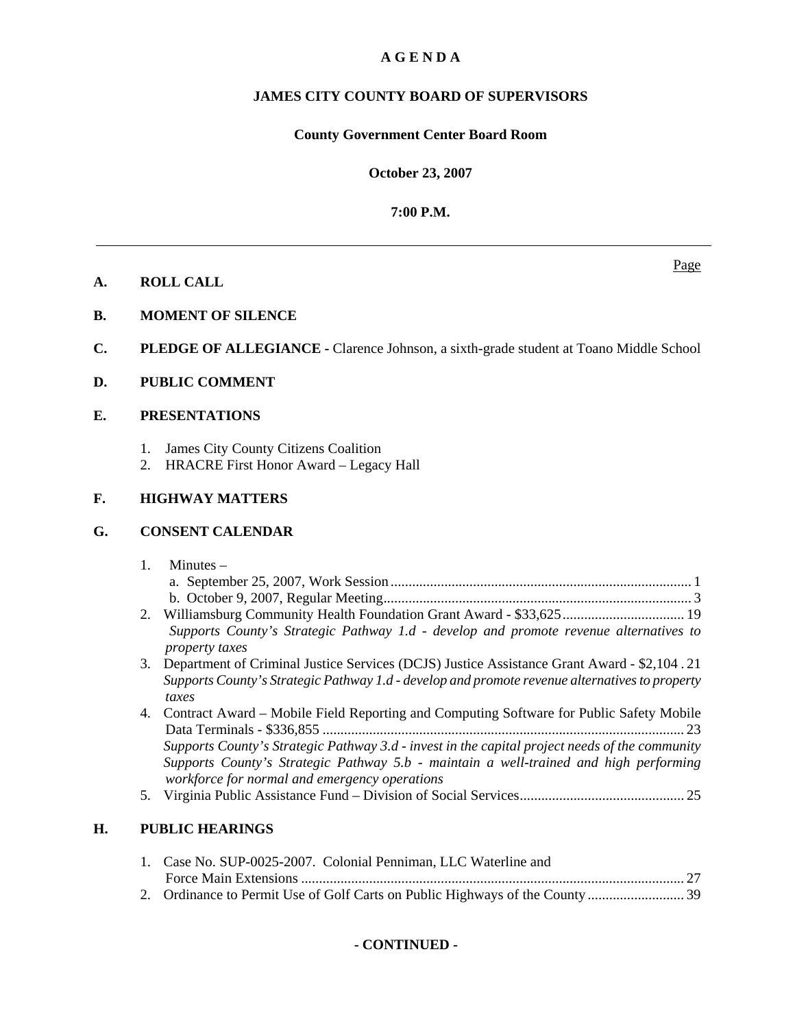# **A G E N D A**

# **JAMES CITY COUNTY BOARD OF SUPERVISORS**

# **County Government Center Board Room**

**October 23, 2007**

**7:00 P.M.**

- **A. ROLL CALL**
- **B. MOMENT OF SILENCE**
- **C. PLEDGE OF ALLEGIANCE** Clarence Johnson, a sixth-grade student at Toano Middle School
- **D. PUBLIC COMMENT**

# **E. PRESENTATIONS**

- 1. James City County Citizens Coalition
- 2. HRACRE First Honor Award Legacy Hall

# **F. HIGHWAY MATTERS**

# **G. CONSENT CALENDAR**

| 1. Minutes $-$                                                     |  |
|--------------------------------------------------------------------|--|
|                                                                    |  |
|                                                                    |  |
| $2.$ Williamsburg Community Hoalth Foundation Creat Award $22.625$ |  |

- 2. Williamsburg Community Health Foundation Grant Award \$33,625 .................................. 19 *Supports County's Strategic Pathway 1.d - develop and promote revenue alternatives to property taxes*
- 3. Department of Criminal Justice Services (DCJS) Justice Assistance Grant Award \$2,104 . 21 *Supports County's Strategic Pathway 1.d - develop and promote revenue alternatives to property taxes*
- 4. Contract Award Mobile Field Reporting and Computing Software for Public Safety Mobile Data Terminals - \$336,855 ..................................................................................................... 23 *Supports County's Strategic Pathway 3.d - invest in the capital project needs of the community Supports County's Strategic Pathway 5.b - maintain a well-trained and high performing workforce for normal and emergency operations*
- 5. Virginia Public Assistance Fund Division of Social Services .............................................. 25

# **H. PUBLIC HEARINGS**

| 1. Case No. SUP-0025-2007. Colonial Penniman, LLC Waterline and |  |
|-----------------------------------------------------------------|--|
|                                                                 |  |
|                                                                 |  |

Page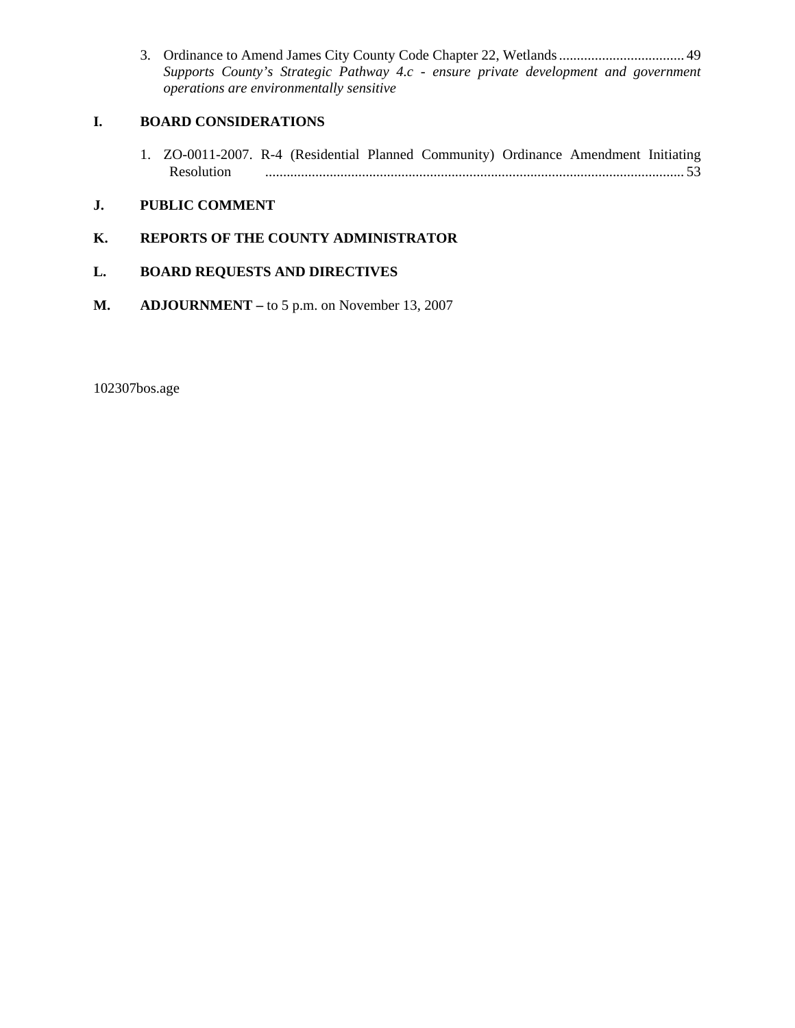3. Ordinance to Amend James City County Code Chapter 22, Wetlands ................................... 49 *Supports County's Strategic Pathway 4.c - ensure private development and government operations are environmentally sensitive* 

# **I. BOARD CONSIDERATIONS**

1. ZO-0011-2007. R-4 (Residential Planned Community) Ordinance Amendment Initiating Resolution ..................................................................................................................... 53

# **J. PUBLIC COMMENT**

# **K. REPORTS OF THE COUNTY ADMINISTRATOR**

# **L. BOARD REQUESTS AND DIRECTIVES**

**M. ADJOURNMENT –** to 5 p.m. on November 13, 2007

102307bos.age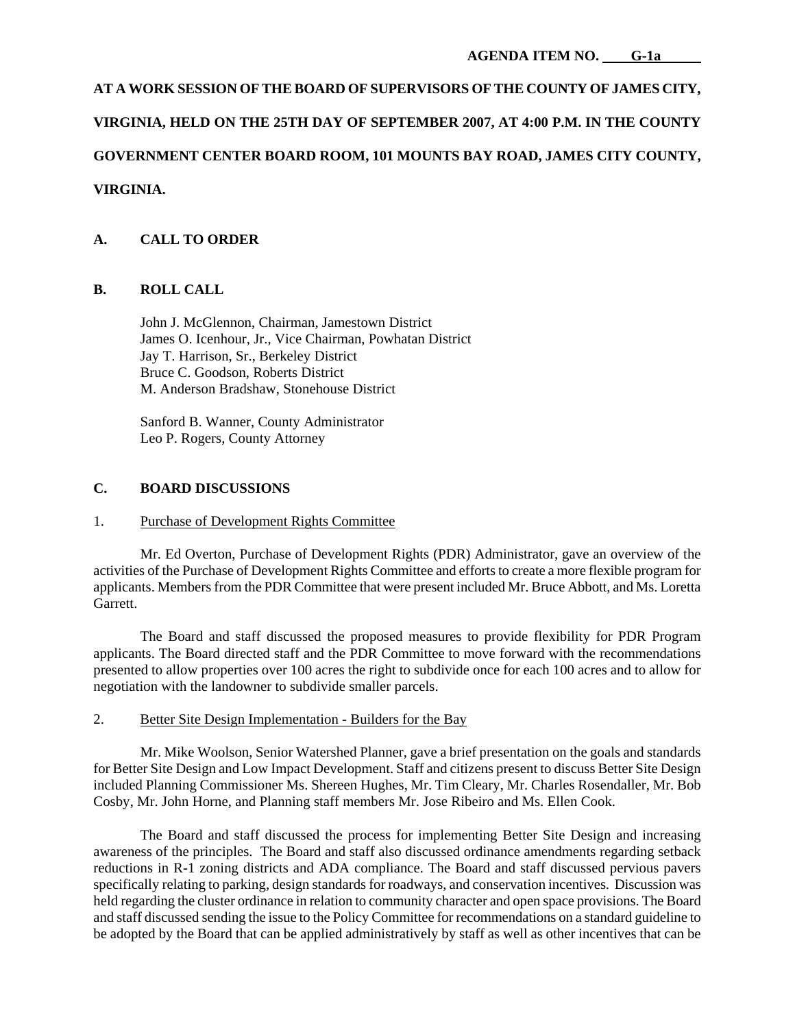# **AT A WORK SESSION OF THE BOARD OF SUPERVISORS OF THE COUNTY OF JAMES CITY,**

# **VIRGINIA, HELD ON THE 25TH DAY OF SEPTEMBER 2007, AT 4:00 P.M. IN THE COUNTY**

# **GOVERNMENT CENTER BOARD ROOM, 101 MOUNTS BAY ROAD, JAMES CITY COUNTY,**

# **VIRGINIA.**

# **A. CALL TO ORDER**

# **B. ROLL CALL**

 John J. McGlennon, Chairman, Jamestown District James O. Icenhour, Jr., Vice Chairman, Powhatan District Jay T. Harrison, Sr., Berkeley District Bruce C. Goodson, Roberts District M. Anderson Bradshaw, Stonehouse District

 Sanford B. Wanner, County Administrator Leo P. Rogers, County Attorney

#### **C. BOARD DISCUSSIONS**

#### 1. Purchase of Development Rights Committee

 Mr. Ed Overton, Purchase of Development Rights (PDR) Administrator, gave an overview of the activities of the Purchase of Development Rights Committee and efforts to create a more flexible program for applicants. Members from the PDR Committee that were present included Mr. Bruce Abbott, and Ms. Loretta Garrett.

 The Board and staff discussed the proposed measures to provide flexibility for PDR Program applicants. The Board directed staff and the PDR Committee to move forward with the recommendations presented to allow properties over 100 acres the right to subdivide once for each 100 acres and to allow for negotiation with the landowner to subdivide smaller parcels.

#### 2. Better Site Design Implementation - Builders for the Bay

 Mr. Mike Woolson, Senior Watershed Planner, gave a brief presentation on the goals and standards for Better Site Design and Low Impact Development. Staff and citizens present to discuss Better Site Design included Planning Commissioner Ms. Shereen Hughes, Mr. Tim Cleary, Mr. Charles Rosendaller, Mr. Bob Cosby, Mr. John Horne, and Planning staff members Mr. Jose Ribeiro and Ms. Ellen Cook.

 The Board and staff discussed the process for implementing Better Site Design and increasing awareness of the principles. The Board and staff also discussed ordinance amendments regarding setback reductions in R-1 zoning districts and ADA compliance. The Board and staff discussed pervious pavers specifically relating to parking, design standards for roadways, and conservation incentives. Discussion was held regarding the cluster ordinance in relation to community character and open space provisions. The Board and staff discussed sending the issue to the Policy Committee for recommendations on a standard guideline to be adopted by the Board that can be applied administratively by staff as well as other incentives that can be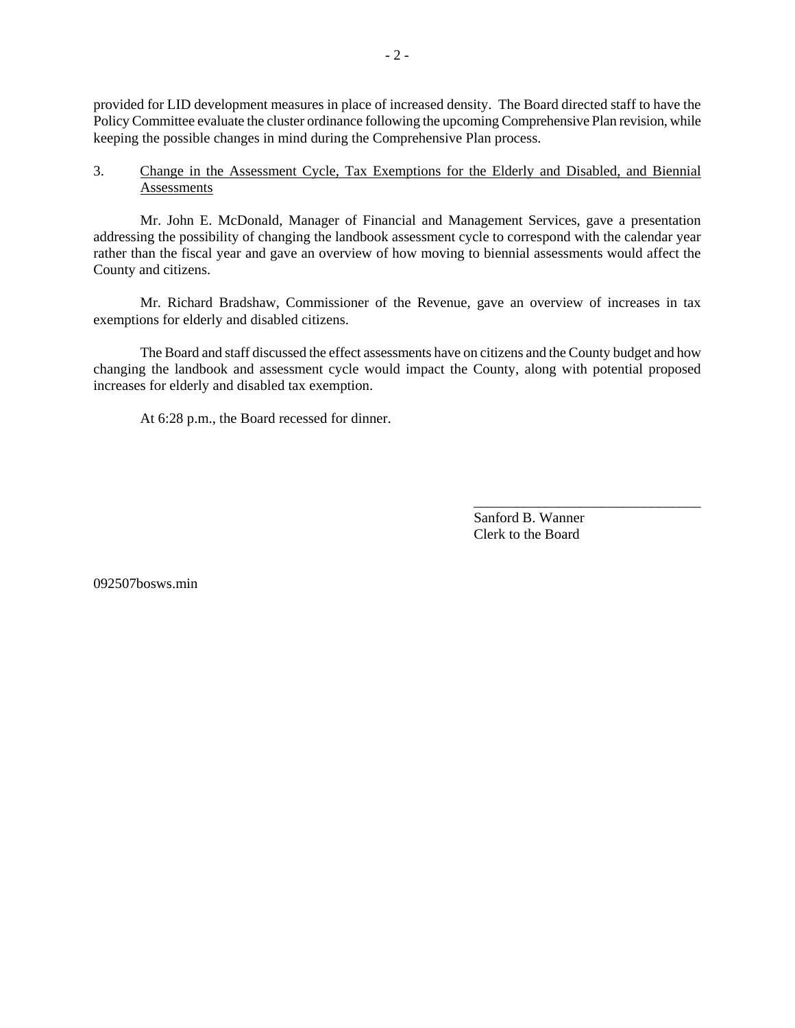provided for LID development measures in place of increased density. The Board directed staff to have the Policy Committee evaluate the cluster ordinance following the upcoming Comprehensive Plan revision, while keeping the possible changes in mind during the Comprehensive Plan process.

# 3. Change in the Assessment Cycle, Tax Exemptions for the Elderly and Disabled, and Biennial Assessments

 Mr. John E. McDonald, Manager of Financial and Management Services, gave a presentation addressing the possibility of changing the landbook assessment cycle to correspond with the calendar year rather than the fiscal year and gave an overview of how moving to biennial assessments would affect the County and citizens.

 Mr. Richard Bradshaw, Commissioner of the Revenue, gave an overview of increases in tax exemptions for elderly and disabled citizens.

 The Board and staff discussed the effect assessments have on citizens and the County budget and how changing the landbook and assessment cycle would impact the County, along with potential proposed increases for elderly and disabled tax exemption.

At 6:28 p.m., the Board recessed for dinner.

Sanford B. Wanner Clerk to the Board

\_\_\_\_\_\_\_\_\_\_\_\_\_\_\_\_\_\_\_\_\_\_\_\_\_\_\_\_\_\_\_\_

092507bosws.min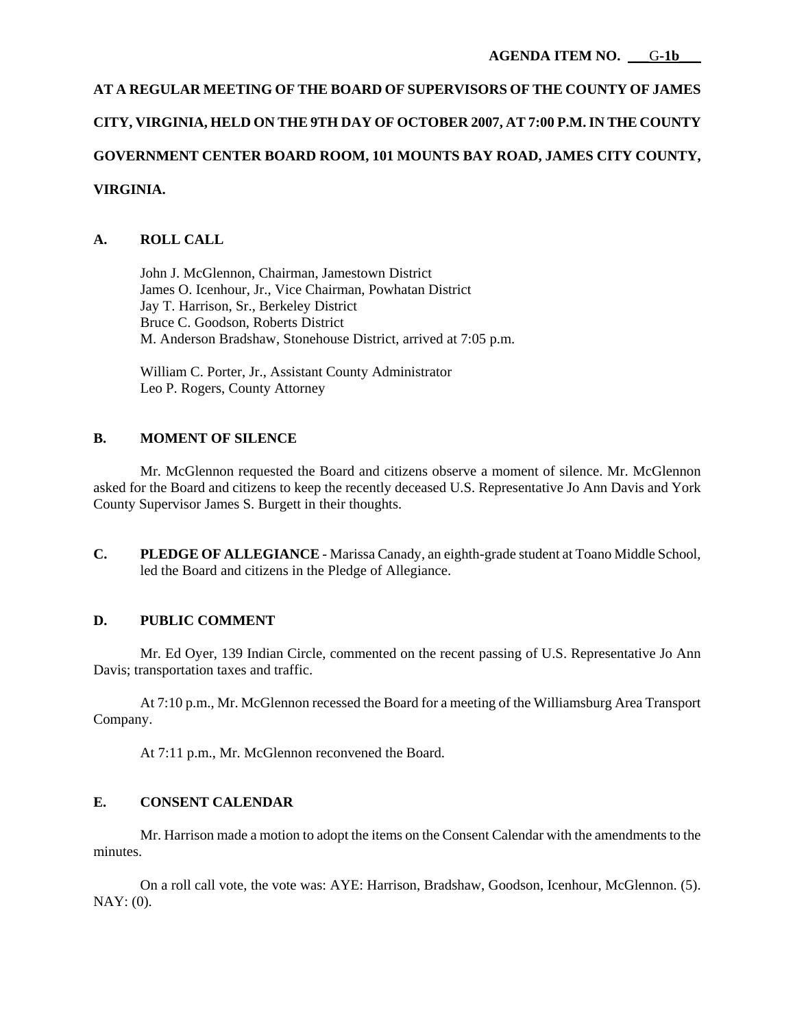# **AT A REGULAR MEETING OF THE BOARD OF SUPERVISORS OF THE COUNTY OF JAMES CITY, VIRGINIA, HELD ON THE 9TH DAY OF OCTOBER 2007, AT 7:00 P.M. IN THE COUNTY GOVERNMENT CENTER BOARD ROOM, 101 MOUNTS BAY ROAD, JAMES CITY COUNTY, VIRGINIA.**

# **A. ROLL CALL**

 John J. McGlennon, Chairman, Jamestown District James O. Icenhour, Jr., Vice Chairman, Powhatan District Jay T. Harrison, Sr., Berkeley District Bruce C. Goodson, Roberts District M. Anderson Bradshaw, Stonehouse District, arrived at 7:05 p.m.

 William C. Porter, Jr., Assistant County Administrator Leo P. Rogers, County Attorney

# **B. MOMENT OF SILENCE**

 Mr. McGlennon requested the Board and citizens observe a moment of silence. Mr. McGlennon asked for the Board and citizens to keep the recently deceased U.S. Representative Jo Ann Davis and York County Supervisor James S. Burgett in their thoughts.

**C. PLEDGE OF ALLEGIANCE** - Marissa Canady, an eighth-grade student at Toano Middle School, led the Board and citizens in the Pledge of Allegiance.

# **D. PUBLIC COMMENT**

 Mr. Ed Oyer, 139 Indian Circle, commented on the recent passing of U.S. Representative Jo Ann Davis; transportation taxes and traffic.

 At 7:10 p.m., Mr. McGlennon recessed the Board for a meeting of the Williamsburg Area Transport Company.

At 7:11 p.m., Mr. McGlennon reconvened the Board.

# **E. CONSENT CALENDAR**

 Mr. Harrison made a motion to adopt the items on the Consent Calendar with the amendments to the minutes.

 On a roll call vote, the vote was: AYE: Harrison, Bradshaw, Goodson, Icenhour, McGlennon. (5). NAY: (0).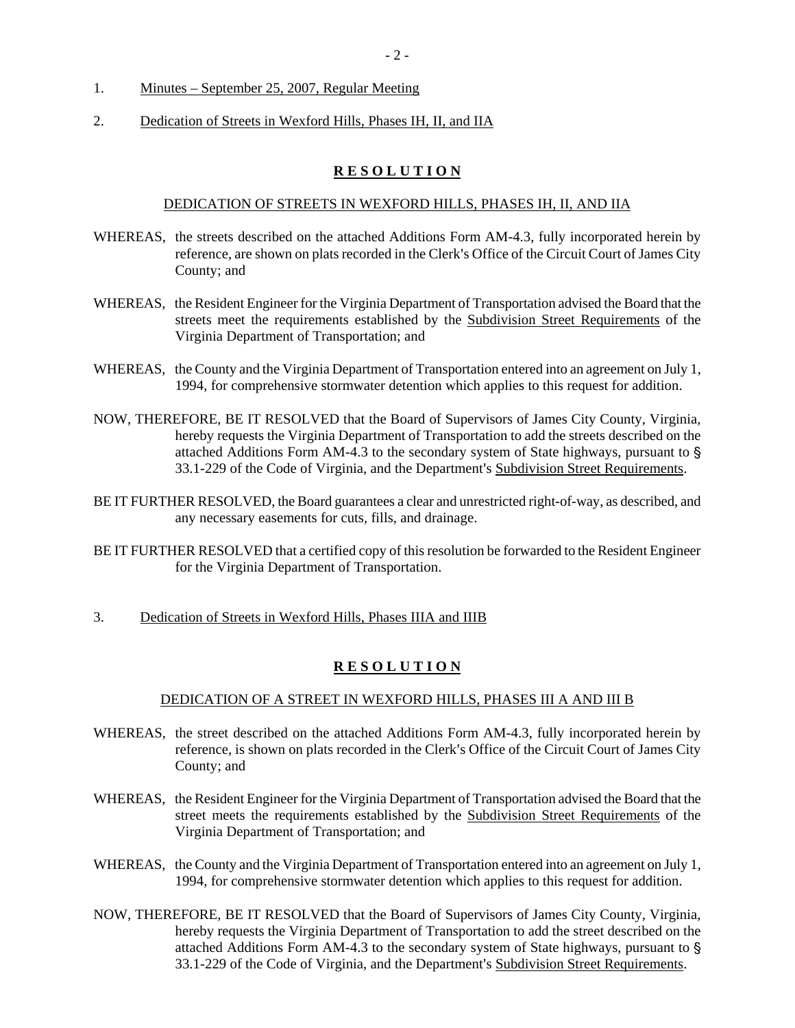- 1. Minutes September 25, 2007, Regular Meeting
- 2. Dedication of Streets in Wexford Hills, Phases IH, II, and IIA

# **R E S O L U T I O N**

#### DEDICATION OF STREETS IN WEXFORD HILLS, PHASES IH, II, AND IIA

- WHEREAS, the streets described on the attached Additions Form AM-4.3, fully incorporated herein by reference, are shown on plats recorded in the Clerk's Office of the Circuit Court of James City County; and
- WHEREAS, the Resident Engineer for the Virginia Department of Transportation advised the Board that the streets meet the requirements established by the Subdivision Street Requirements of the Virginia Department of Transportation; and
- WHEREAS, the County and the Virginia Department of Transportation entered into an agreement on July 1, 1994, for comprehensive stormwater detention which applies to this request for addition.
- NOW, THEREFORE, BE IT RESOLVED that the Board of Supervisors of James City County, Virginia, hereby requests the Virginia Department of Transportation to add the streets described on the attached Additions Form AM-4.3 to the secondary system of State highways, pursuant to ' 33.1-229 of the Code of Virginia, and the Department's Subdivision Street Requirements.
- BE IT FURTHER RESOLVED, the Board guarantees a clear and unrestricted right-of-way, as described, and any necessary easements for cuts, fills, and drainage.
- BE IT FURTHER RESOLVED that a certified copy of this resolution be forwarded to the Resident Engineer for the Virginia Department of Transportation.
- 3. Dedication of Streets in Wexford Hills, Phases IIIA and IIIB

# **R E S O L U T I O N**

#### DEDICATION OF A STREET IN WEXFORD HILLS, PHASES III A AND III B

- WHEREAS, the street described on the attached Additions Form AM-4.3, fully incorporated herein by reference, is shown on plats recorded in the Clerk's Office of the Circuit Court of James City County; and
- WHEREAS, the Resident Engineer for the Virginia Department of Transportation advised the Board that the street meets the requirements established by the Subdivision Street Requirements of the Virginia Department of Transportation; and
- WHEREAS, the County and the Virginia Department of Transportation entered into an agreement on July 1, 1994, for comprehensive stormwater detention which applies to this request for addition.
- NOW, THEREFORE, BE IT RESOLVED that the Board of Supervisors of James City County, Virginia, hereby requests the Virginia Department of Transportation to add the street described on the attached Additions Form AM-4.3 to the secondary system of State highways, pursuant to ' 33.1-229 of the Code of Virginia, and the Department's Subdivision Street Requirements.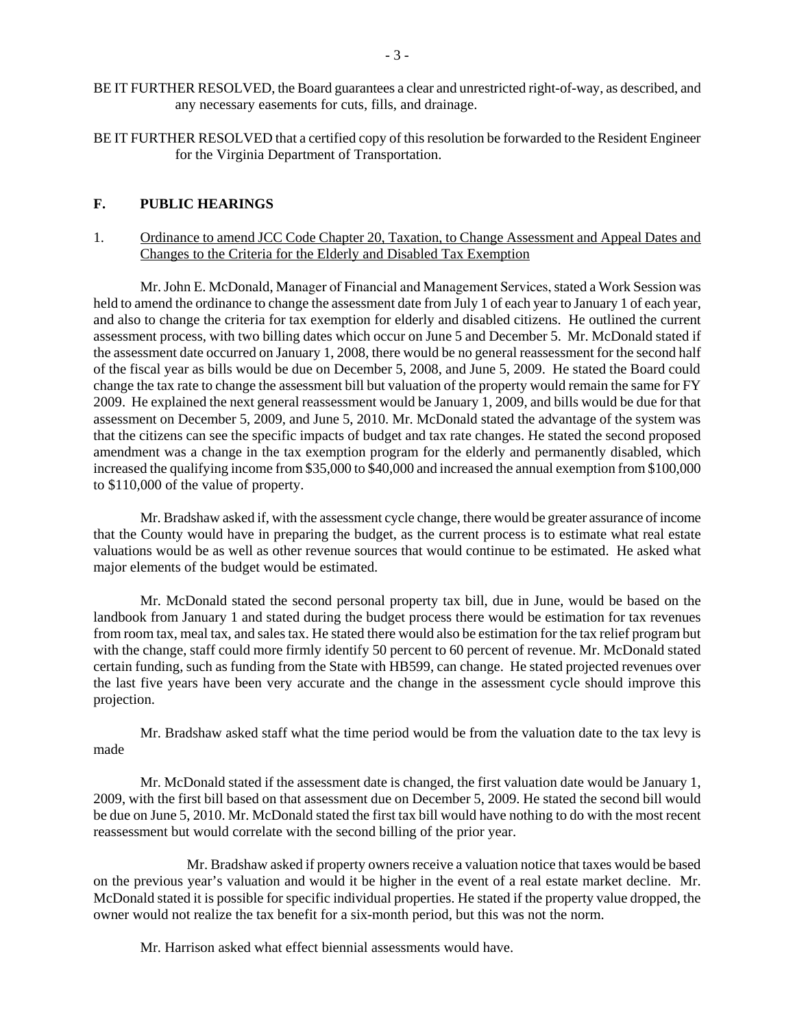- BE IT FURTHER RESOLVED, the Board guarantees a clear and unrestricted right-of-way, as described, and any necessary easements for cuts, fills, and drainage.
- BE IT FURTHER RESOLVED that a certified copy of this resolution be forwarded to the Resident Engineer for the Virginia Department of Transportation.

#### **F. PUBLIC HEARINGS**

1. Ordinance to amend JCC Code Chapter 20, Taxation, to Change Assessment and Appeal Dates and Changes to the Criteria for the Elderly and Disabled Tax Exemption

 Mr. John E. McDonald, Manager of Financial and Management Services, stated a Work Session was held to amend the ordinance to change the assessment date from July 1 of each year to January 1 of each year, and also to change the criteria for tax exemption for elderly and disabled citizens. He outlined the current assessment process, with two billing dates which occur on June 5 and December 5. Mr. McDonald stated if the assessment date occurred on January 1, 2008, there would be no general reassessment for the second half of the fiscal year as bills would be due on December 5, 2008, and June 5, 2009. He stated the Board could change the tax rate to change the assessment bill but valuation of the property would remain the same for FY 2009. He explained the next general reassessment would be January 1, 2009, and bills would be due for that assessment on December 5, 2009, and June 5, 2010. Mr. McDonald stated the advantage of the system was that the citizens can see the specific impacts of budget and tax rate changes. He stated the second proposed amendment was a change in the tax exemption program for the elderly and permanently disabled, which increased the qualifying income from \$35,000 to \$40,000 and increased the annual exemption from \$100,000 to \$110,000 of the value of property.

 Mr. Bradshaw asked if, with the assessment cycle change, there would be greater assurance of income that the County would have in preparing the budget, as the current process is to estimate what real estate valuations would be as well as other revenue sources that would continue to be estimated. He asked what major elements of the budget would be estimated.

 Mr. McDonald stated the second personal property tax bill, due in June, would be based on the landbook from January 1 and stated during the budget process there would be estimation for tax revenues from room tax, meal tax, and sales tax. He stated there would also be estimation for the tax relief program but with the change, staff could more firmly identify 50 percent to 60 percent of revenue. Mr. McDonald stated certain funding, such as funding from the State with HB599, can change. He stated projected revenues over the last five years have been very accurate and the change in the assessment cycle should improve this projection.

 Mr. Bradshaw asked staff what the time period would be from the valuation date to the tax levy is made

Mr. McDonald stated if the assessment date is changed, the first valuation date would be January 1, 2009, with the first bill based on that assessment due on December 5, 2009. He stated the second bill would be due on June 5, 2010. Mr. McDonald stated the first tax bill would have nothing to do with the most recent reassessment but would correlate with the second billing of the prior year.

 Mr. Bradshaw asked if property owners receive a valuation notice that taxes would be based on the previous year's valuation and would it be higher in the event of a real estate market decline. Mr. McDonald stated it is possible for specific individual properties. He stated if the property value dropped, the owner would not realize the tax benefit for a six-month period, but this was not the norm.

Mr. Harrison asked what effect biennial assessments would have.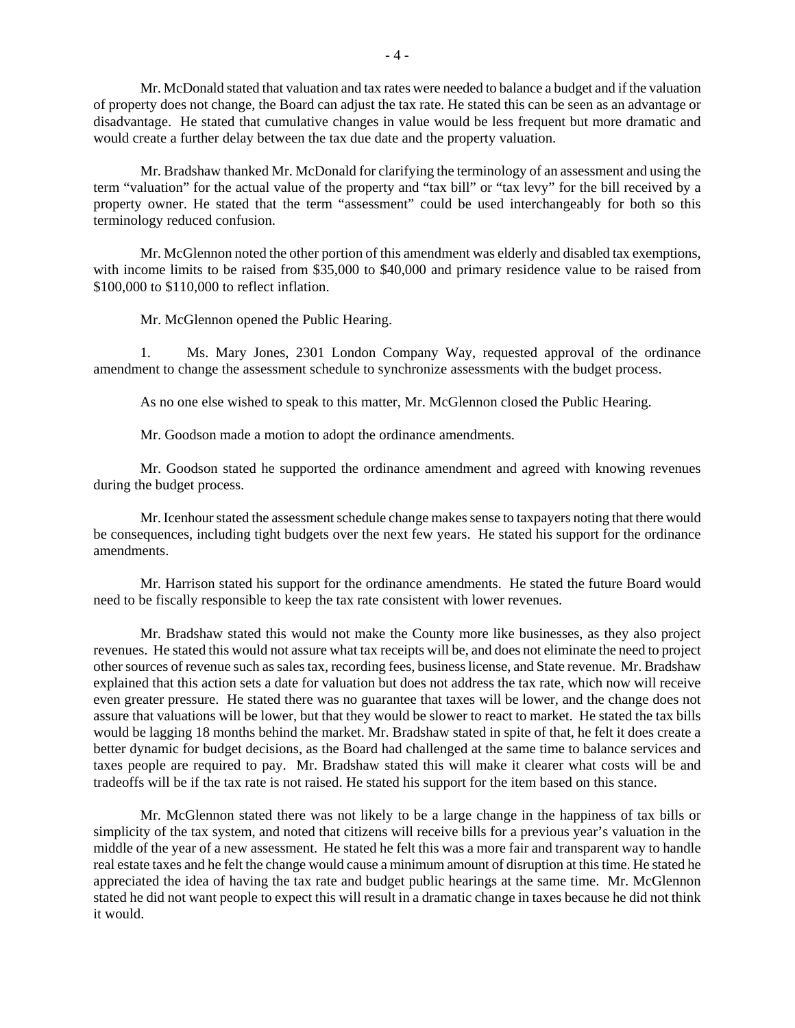Mr. McDonald stated that valuation and tax rates were needed to balance a budget and if the valuation of property does not change, the Board can adjust the tax rate. He stated this can be seen as an advantage or disadvantage. He stated that cumulative changes in value would be less frequent but more dramatic and would create a further delay between the tax due date and the property valuation.

 Mr. Bradshaw thanked Mr. McDonald for clarifying the terminology of an assessment and using the term "valuation" for the actual value of the property and "tax bill" or "tax levy" for the bill received by a property owner. He stated that the term "assessment" could be used interchangeably for both so this terminology reduced confusion.

 Mr. McGlennon noted the other portion of this amendment was elderly and disabled tax exemptions, with income limits to be raised from \$35,000 to \$40,000 and primary residence value to be raised from \$100,000 to \$110,000 to reflect inflation.

Mr. McGlennon opened the Public Hearing.

 1. Ms. Mary Jones, 2301 London Company Way, requested approval of the ordinance amendment to change the assessment schedule to synchronize assessments with the budget process.

As no one else wished to speak to this matter, Mr. McGlennon closed the Public Hearing.

Mr. Goodson made a motion to adopt the ordinance amendments.

 Mr. Goodson stated he supported the ordinance amendment and agreed with knowing revenues during the budget process.

 Mr. Icenhour stated the assessment schedule change makes sense to taxpayers noting that there would be consequences, including tight budgets over the next few years. He stated his support for the ordinance amendments.

 Mr. Harrison stated his support for the ordinance amendments. He stated the future Board would need to be fiscally responsible to keep the tax rate consistent with lower revenues.

 Mr. Bradshaw stated this would not make the County more like businesses, as they also project revenues. He stated this would not assure what tax receipts will be, and does not eliminate the need to project other sources of revenue such as sales tax, recording fees, business license, and State revenue. Mr. Bradshaw explained that this action sets a date for valuation but does not address the tax rate, which now will receive even greater pressure. He stated there was no guarantee that taxes will be lower, and the change does not assure that valuations will be lower, but that they would be slower to react to market. He stated the tax bills would be lagging 18 months behind the market. Mr. Bradshaw stated in spite of that, he felt it does create a better dynamic for budget decisions, as the Board had challenged at the same time to balance services and taxes people are required to pay. Mr. Bradshaw stated this will make it clearer what costs will be and tradeoffs will be if the tax rate is not raised. He stated his support for the item based on this stance.

 Mr. McGlennon stated there was not likely to be a large change in the happiness of tax bills or simplicity of the tax system, and noted that citizens will receive bills for a previous year's valuation in the middle of the year of a new assessment. He stated he felt this was a more fair and transparent way to handle real estate taxes and he felt the change would cause a minimum amount of disruption at this time. He stated he appreciated the idea of having the tax rate and budget public hearings at the same time. Mr. McGlennon stated he did not want people to expect this will result in a dramatic change in taxes because he did not think it would.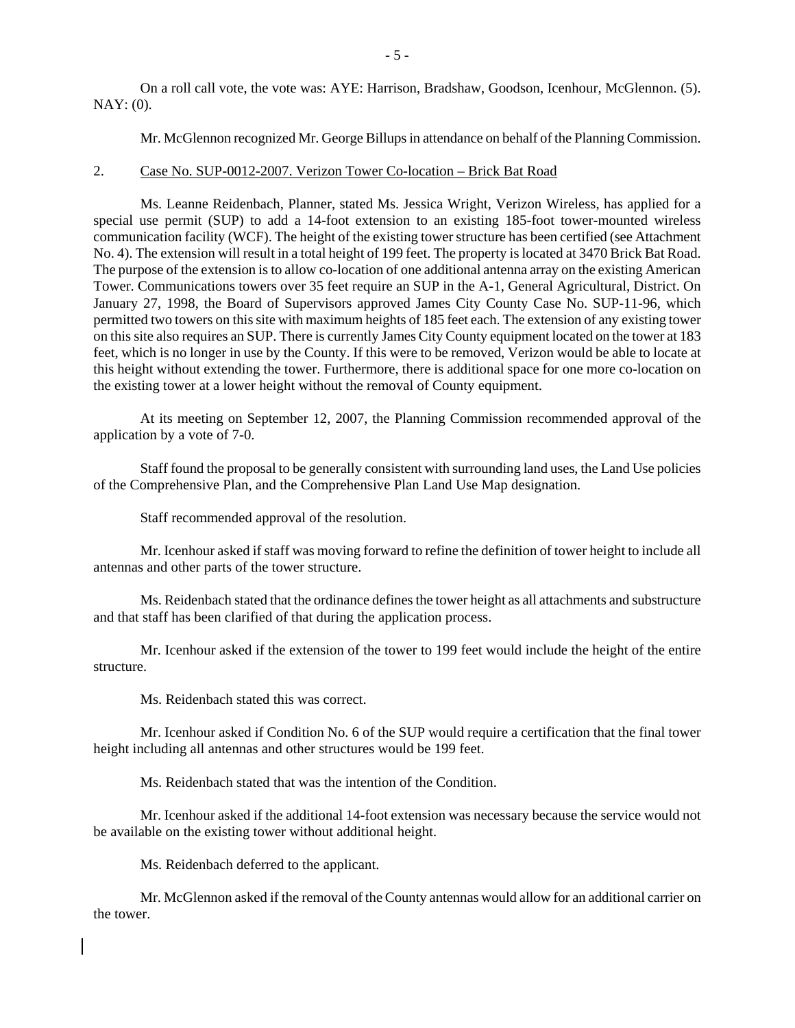On a roll call vote, the vote was: AYE: Harrison, Bradshaw, Goodson, Icenhour, McGlennon. (5).  $NAY: (0)$ .

Mr. McGlennon recognized Mr. George Billups in attendance on behalf of the Planning Commission.

#### 2. Case No. SUP-0012-2007. Verizon Tower Co-location – Brick Bat Road

 Ms. Leanne Reidenbach, Planner, stated Ms. Jessica Wright, Verizon Wireless, has applied for a special use permit (SUP) to add a 14-foot extension to an existing 185-foot tower-mounted wireless communication facility (WCF). The height of the existing tower structure has been certified (see Attachment No. 4). The extension will result in a total height of 199 feet. The property is located at 3470 Brick Bat Road. The purpose of the extension is to allow co-location of one additional antenna array on the existing American Tower. Communications towers over 35 feet require an SUP in the A-1, General Agricultural, District. On January 27, 1998, the Board of Supervisors approved James City County Case No. SUP-11-96, which permitted two towers on this site with maximum heights of 185 feet each. The extension of any existing tower on this site also requires an SUP. There is currently James City County equipment located on the tower at 183 feet, which is no longer in use by the County. If this were to be removed, Verizon would be able to locate at this height without extending the tower. Furthermore, there is additional space for one more co-location on the existing tower at a lower height without the removal of County equipment.

 At its meeting on September 12, 2007, the Planning Commission recommended approval of the application by a vote of 7-0.

 Staff found the proposal to be generally consistent with surrounding land uses, the Land Use policies of the Comprehensive Plan, and the Comprehensive Plan Land Use Map designation.

Staff recommended approval of the resolution.

 Mr. Icenhour asked if staff was moving forward to refine the definition of tower height to include all antennas and other parts of the tower structure.

 Ms. Reidenbach stated that the ordinance defines the tower height as all attachments and substructure and that staff has been clarified of that during the application process.

 Mr. Icenhour asked if the extension of the tower to 199 feet would include the height of the entire structure.

Ms. Reidenbach stated this was correct.

 Mr. Icenhour asked if Condition No. 6 of the SUP would require a certification that the final tower height including all antennas and other structures would be 199 feet.

Ms. Reidenbach stated that was the intention of the Condition.

 Mr. Icenhour asked if the additional 14-foot extension was necessary because the service would not be available on the existing tower without additional height.

Ms. Reidenbach deferred to the applicant.

 Mr. McGlennon asked if the removal of the County antennas would allow for an additional carrier on the tower.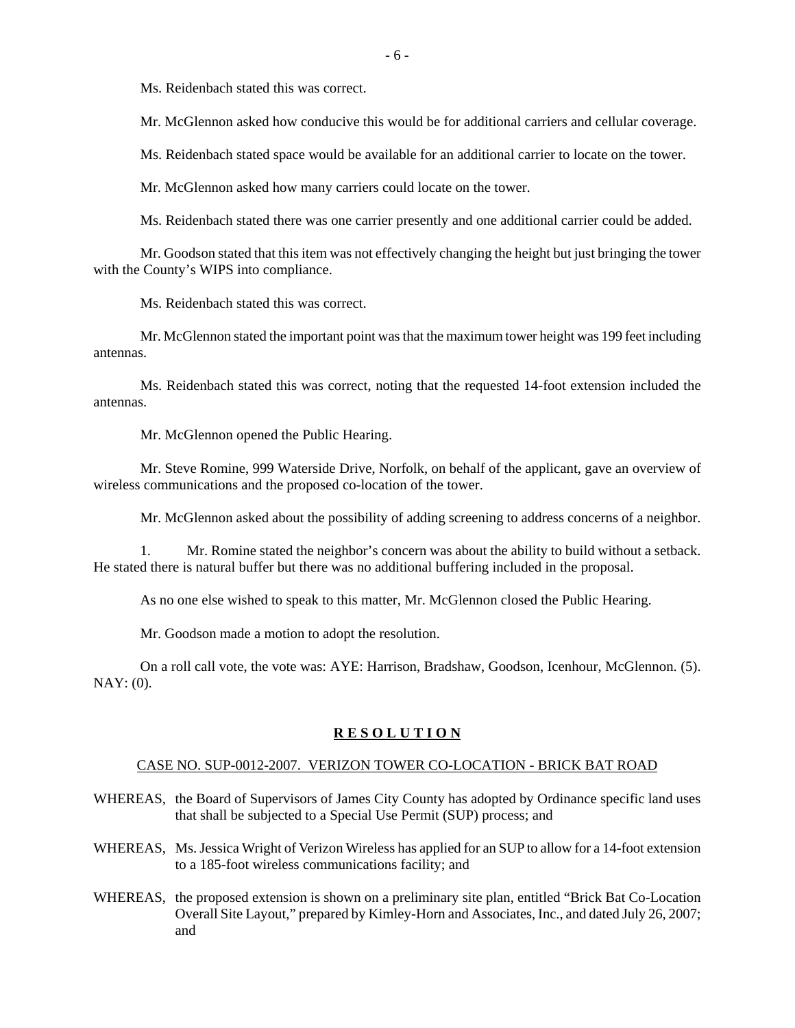Ms. Reidenbach stated this was correct.

Mr. McGlennon asked how conducive this would be for additional carriers and cellular coverage.

Ms. Reidenbach stated space would be available for an additional carrier to locate on the tower.

Mr. McGlennon asked how many carriers could locate on the tower.

Ms. Reidenbach stated there was one carrier presently and one additional carrier could be added.

 Mr. Goodson stated that this item was not effectively changing the height but just bringing the tower with the County's WIPS into compliance.

Ms. Reidenbach stated this was correct.

 Mr. McGlennon stated the important point was that the maximum tower height was 199 feet including antennas.

 Ms. Reidenbach stated this was correct, noting that the requested 14-foot extension included the antennas.

Mr. McGlennon opened the Public Hearing.

 Mr. Steve Romine, 999 Waterside Drive, Norfolk, on behalf of the applicant, gave an overview of wireless communications and the proposed co-location of the tower.

Mr. McGlennon asked about the possibility of adding screening to address concerns of a neighbor.

 1. Mr. Romine stated the neighbor's concern was about the ability to build without a setback. He stated there is natural buffer but there was no additional buffering included in the proposal.

As no one else wished to speak to this matter, Mr. McGlennon closed the Public Hearing.

Mr. Goodson made a motion to adopt the resolution.

 On a roll call vote, the vote was: AYE: Harrison, Bradshaw, Goodson, Icenhour, McGlennon. (5). NAY: (0).

#### **R E S O L U T I O N**

#### CASE NO. SUP-0012-2007. VERIZON TOWER CO-LOCATION - BRICK BAT ROAD

- WHEREAS, the Board of Supervisors of James City County has adopted by Ordinance specific land uses that shall be subjected to a Special Use Permit (SUP) process; and
- WHEREAS, Ms. Jessica Wright of Verizon Wireless has applied for an SUP to allow for a 14-foot extension to a 185-foot wireless communications facility; and
- WHEREAS, the proposed extension is shown on a preliminary site plan, entitled "Brick Bat Co-Location Overall Site Layout," prepared by Kimley-Horn and Associates, Inc., and dated July 26, 2007; and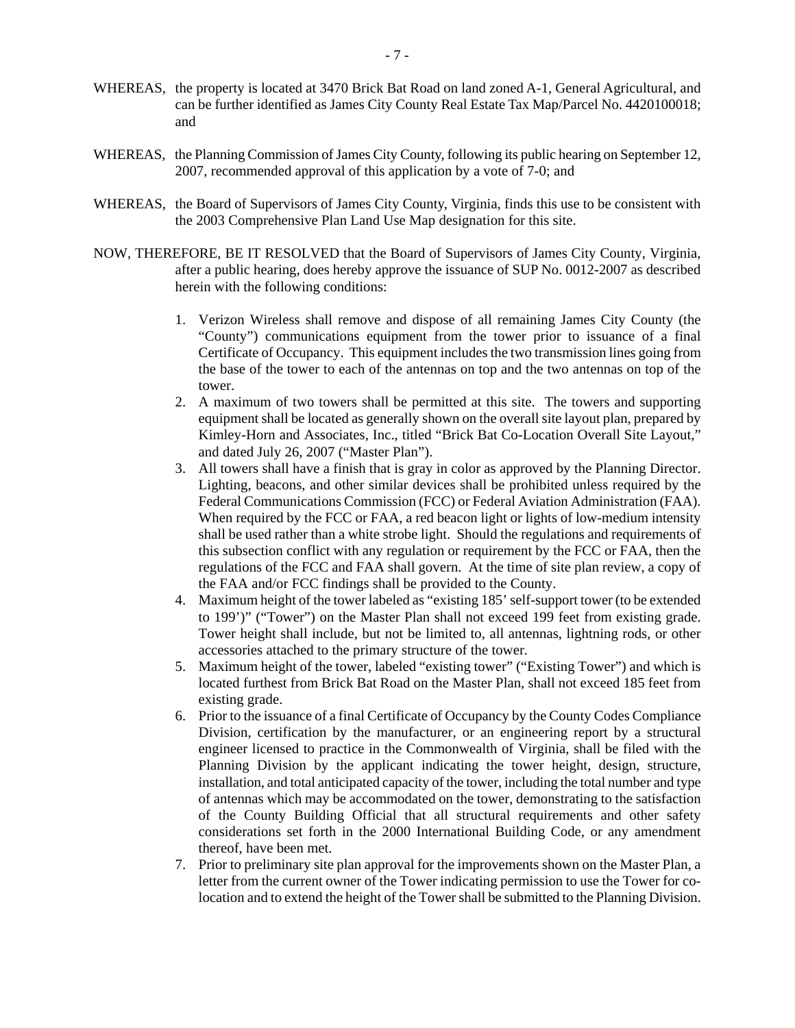- WHEREAS, the property is located at 3470 Brick Bat Road on land zoned A-1, General Agricultural, and can be further identified as James City County Real Estate Tax Map/Parcel No. 4420100018; and
- WHEREAS, the Planning Commission of James City County, following its public hearing on September 12, 2007, recommended approval of this application by a vote of 7-0; and
- WHEREAS, the Board of Supervisors of James City County, Virginia, finds this use to be consistent with the 2003 Comprehensive Plan Land Use Map designation for this site.
- NOW, THEREFORE, BE IT RESOLVED that the Board of Supervisors of James City County, Virginia, after a public hearing, does hereby approve the issuance of SUP No. 0012-2007 as described herein with the following conditions:
	- 1. Verizon Wireless shall remove and dispose of all remaining James City County (the "County") communications equipment from the tower prior to issuance of a final Certificate of Occupancy. This equipment includes the two transmission lines going from the base of the tower to each of the antennas on top and the two antennas on top of the tower.
	- 2. A maximum of two towers shall be permitted at this site. The towers and supporting equipment shall be located as generally shown on the overall site layout plan, prepared by Kimley-Horn and Associates, Inc., titled "Brick Bat Co-Location Overall Site Layout," and dated July 26, 2007 ("Master Plan").
	- 3. All towers shall have a finish that is gray in color as approved by the Planning Director. Lighting, beacons, and other similar devices shall be prohibited unless required by the Federal Communications Commission (FCC) or Federal Aviation Administration (FAA). When required by the FCC or FAA, a red beacon light or lights of low-medium intensity shall be used rather than a white strobe light. Should the regulations and requirements of this subsection conflict with any regulation or requirement by the FCC or FAA, then the regulations of the FCC and FAA shall govern. At the time of site plan review, a copy of the FAA and/or FCC findings shall be provided to the County.
	- 4. Maximum height of the tower labeled as "existing 185' self-support tower (to be extended to 199')" ("Tower") on the Master Plan shall not exceed 199 feet from existing grade. Tower height shall include, but not be limited to, all antennas, lightning rods, or other accessories attached to the primary structure of the tower.
	- 5. Maximum height of the tower, labeled "existing tower" ("Existing Tower") and which is located furthest from Brick Bat Road on the Master Plan, shall not exceed 185 feet from existing grade.
	- 6. Prior to the issuance of a final Certificate of Occupancy by the County Codes Compliance Division, certification by the manufacturer, or an engineering report by a structural engineer licensed to practice in the Commonwealth of Virginia, shall be filed with the Planning Division by the applicant indicating the tower height, design, structure, installation, and total anticipated capacity of the tower, including the total number and type of antennas which may be accommodated on the tower, demonstrating to the satisfaction of the County Building Official that all structural requirements and other safety considerations set forth in the 2000 International Building Code, or any amendment thereof, have been met.
	- 7. Prior to preliminary site plan approval for the improvements shown on the Master Plan, a letter from the current owner of the Tower indicating permission to use the Tower for colocation and to extend the height of the Tower shall be submitted to the Planning Division.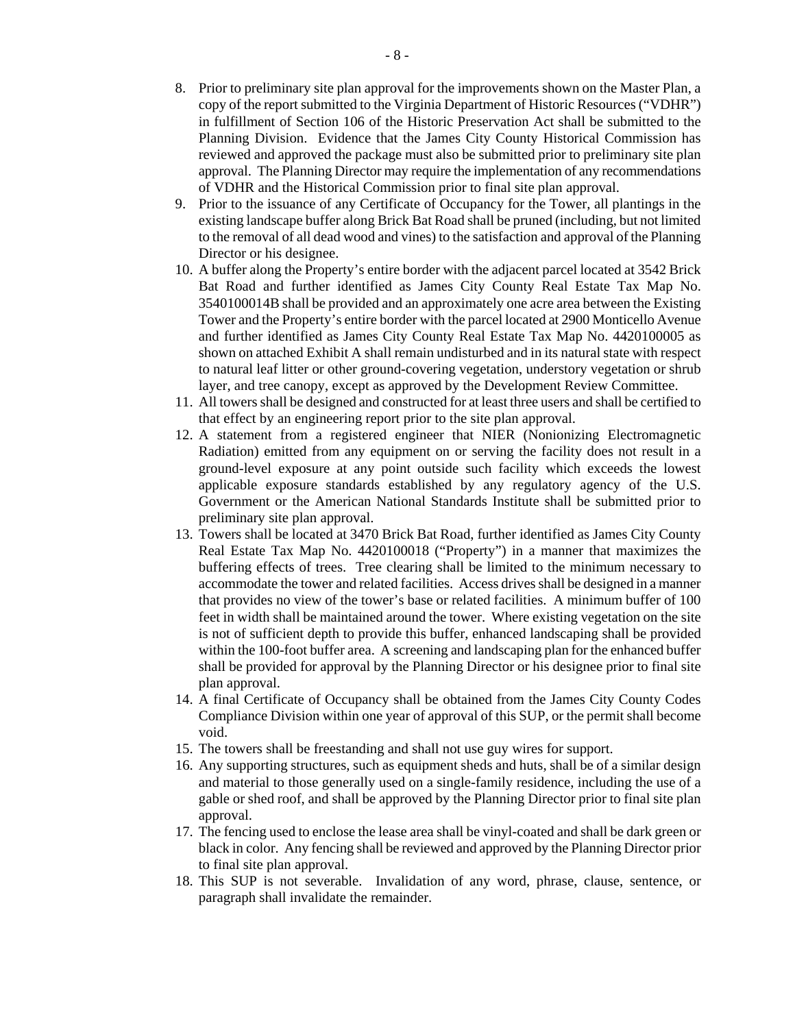- 8. Prior to preliminary site plan approval for the improvements shown on the Master Plan, a copy of the report submitted to the Virginia Department of Historic Resources ("VDHR") in fulfillment of Section 106 of the Historic Preservation Act shall be submitted to the Planning Division. Evidence that the James City County Historical Commission has reviewed and approved the package must also be submitted prior to preliminary site plan approval. The Planning Director may require the implementation of any recommendations of VDHR and the Historical Commission prior to final site plan approval.
- 9. Prior to the issuance of any Certificate of Occupancy for the Tower, all plantings in the existing landscape buffer along Brick Bat Road shall be pruned (including, but not limited to the removal of all dead wood and vines) to the satisfaction and approval of the Planning Director or his designee.
- 10. A buffer along the Property's entire border with the adjacent parcel located at 3542 Brick Bat Road and further identified as James City County Real Estate Tax Map No. 3540100014B shall be provided and an approximately one acre area between the Existing Tower and the Property's entire border with the parcel located at 2900 Monticello Avenue and further identified as James City County Real Estate Tax Map No. 4420100005 as shown on attached Exhibit A shall remain undisturbed and in its natural state with respect to natural leaf litter or other ground-covering vegetation, understory vegetation or shrub layer, and tree canopy, except as approved by the Development Review Committee.
- 11. All towers shall be designed and constructed for at least three users and shall be certified to that effect by an engineering report prior to the site plan approval.
- 12. A statement from a registered engineer that NIER (Nonionizing Electromagnetic Radiation) emitted from any equipment on or serving the facility does not result in a ground-level exposure at any point outside such facility which exceeds the lowest applicable exposure standards established by any regulatory agency of the U.S. Government or the American National Standards Institute shall be submitted prior to preliminary site plan approval.
- 13. Towers shall be located at 3470 Brick Bat Road, further identified as James City County Real Estate Tax Map No. 4420100018 ("Property") in a manner that maximizes the buffering effects of trees. Tree clearing shall be limited to the minimum necessary to accommodate the tower and related facilities. Access drives shall be designed in a manner that provides no view of the tower's base or related facilities. A minimum buffer of 100 feet in width shall be maintained around the tower. Where existing vegetation on the site is not of sufficient depth to provide this buffer, enhanced landscaping shall be provided within the 100-foot buffer area. A screening and landscaping plan for the enhanced buffer shall be provided for approval by the Planning Director or his designee prior to final site plan approval.
- 14. A final Certificate of Occupancy shall be obtained from the James City County Codes Compliance Division within one year of approval of this SUP, or the permit shall become void.
- 15. The towers shall be freestanding and shall not use guy wires for support.
- 16. Any supporting structures, such as equipment sheds and huts, shall be of a similar design and material to those generally used on a single-family residence, including the use of a gable or shed roof, and shall be approved by the Planning Director prior to final site plan approval.
- 17. The fencing used to enclose the lease area shall be vinyl-coated and shall be dark green or black in color. Any fencing shall be reviewed and approved by the Planning Director prior to final site plan approval.
- 18. This SUP is not severable. Invalidation of any word, phrase, clause, sentence, or paragraph shall invalidate the remainder.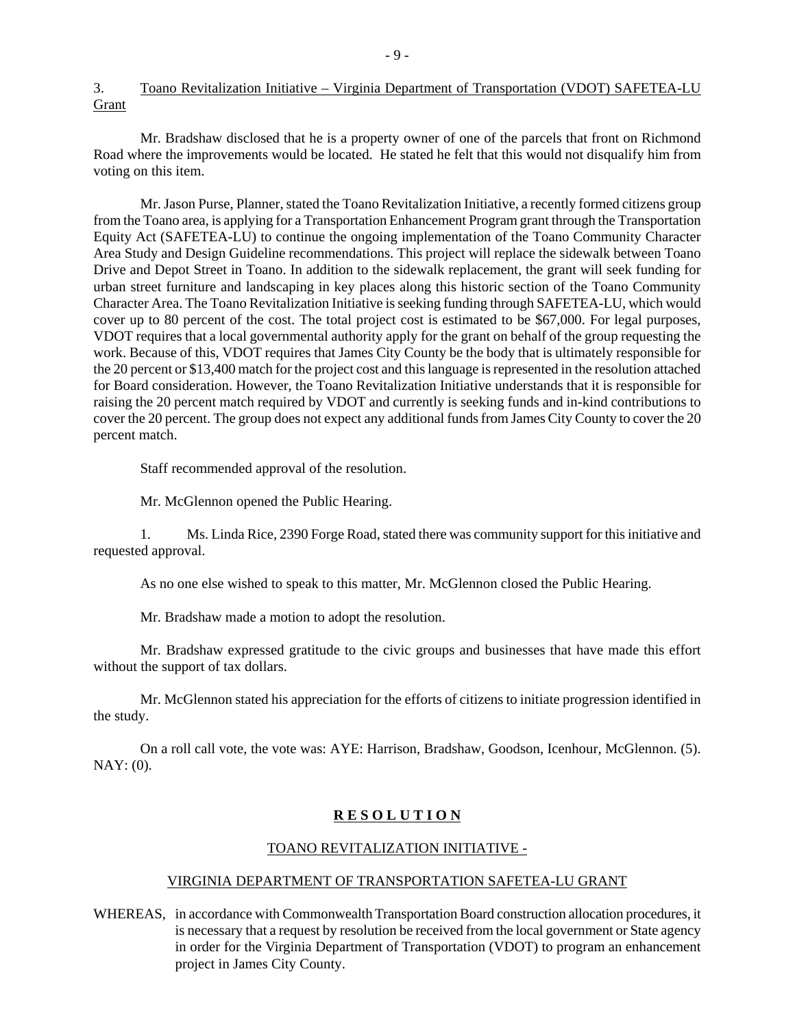3. Toano Revitalization Initiative – Virginia Department of Transportation (VDOT) SAFETEA-LU Grant

 Mr. Bradshaw disclosed that he is a property owner of one of the parcels that front on Richmond Road where the improvements would be located. He stated he felt that this would not disqualify him from voting on this item.

 Mr. Jason Purse, Planner, stated the Toano Revitalization Initiative, a recently formed citizens group from the Toano area, is applying for a Transportation Enhancement Program grant through the Transportation Equity Act (SAFETEA-LU) to continue the ongoing implementation of the Toano Community Character Area Study and Design Guideline recommendations. This project will replace the sidewalk between Toano Drive and Depot Street in Toano. In addition to the sidewalk replacement, the grant will seek funding for urban street furniture and landscaping in key places along this historic section of the Toano Community Character Area. The Toano Revitalization Initiative is seeking funding through SAFETEA-LU, which would cover up to 80 percent of the cost. The total project cost is estimated to be \$67,000. For legal purposes, VDOT requires that a local governmental authority apply for the grant on behalf of the group requesting the work. Because of this, VDOT requires that James City County be the body that is ultimately responsible for the 20 percent or \$13,400 match for the project cost and this language is represented in the resolution attached for Board consideration. However, the Toano Revitalization Initiative understands that it is responsible for raising the 20 percent match required by VDOT and currently is seeking funds and in-kind contributions to cover the 20 percent. The group does not expect any additional funds from James City County to cover the 20 percent match.

Staff recommended approval of the resolution.

Mr. McGlennon opened the Public Hearing.

 1. Ms. Linda Rice, 2390 Forge Road, stated there was community support for this initiative and requested approval.

As no one else wished to speak to this matter, Mr. McGlennon closed the Public Hearing.

Mr. Bradshaw made a motion to adopt the resolution.

 Mr. Bradshaw expressed gratitude to the civic groups and businesses that have made this effort without the support of tax dollars.

 Mr. McGlennon stated his appreciation for the efforts of citizens to initiate progression identified in the study.

 On a roll call vote, the vote was: AYE: Harrison, Bradshaw, Goodson, Icenhour, McGlennon. (5). NAY: (0).

#### **R E S O L U T I O N**

#### TOANO REVITALIZATION INITIATIVE -

#### VIRGINIA DEPARTMENT OF TRANSPORTATION SAFETEA-LU GRANT

WHEREAS, in accordance with Commonwealth Transportation Board construction allocation procedures, it is necessary that a request by resolution be received from the local government or State agency in order for the Virginia Department of Transportation (VDOT) to program an enhancement project in James City County.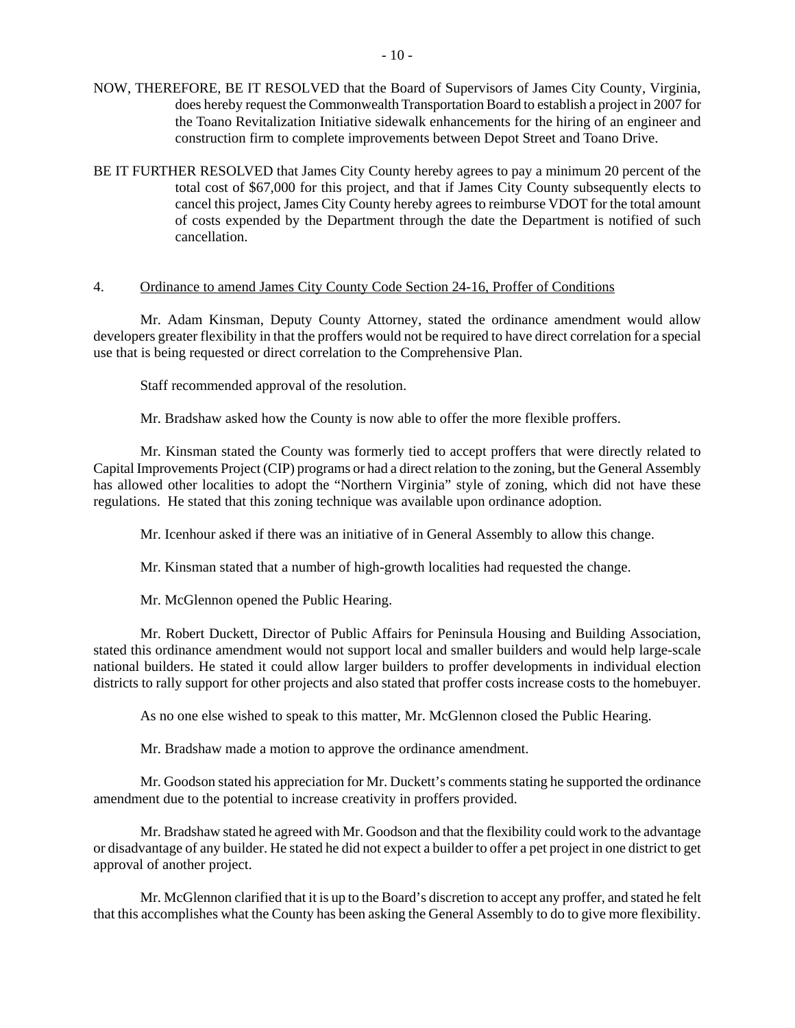- NOW, THEREFORE, BE IT RESOLVED that the Board of Supervisors of James City County, Virginia, does hereby request the Commonwealth Transportation Board to establish a project in 2007 for the Toano Revitalization Initiative sidewalk enhancements for the hiring of an engineer and construction firm to complete improvements between Depot Street and Toano Drive.
- BE IT FURTHER RESOLVED that James City County hereby agrees to pay a minimum 20 percent of the total cost of \$67,000 for this project, and that if James City County subsequently elects to cancel this project, James City County hereby agrees to reimburse VDOT for the total amount of costs expended by the Department through the date the Department is notified of such cancellation.

#### 4. Ordinance to amend James City County Code Section 24-16, Proffer of Conditions

 Mr. Adam Kinsman, Deputy County Attorney, stated the ordinance amendment would allow developers greater flexibility in that the proffers would not be required to have direct correlation for a special use that is being requested or direct correlation to the Comprehensive Plan.

Staff recommended approval of the resolution.

Mr. Bradshaw asked how the County is now able to offer the more flexible proffers.

 Mr. Kinsman stated the County was formerly tied to accept proffers that were directly related to Capital Improvements Project (CIP) programs or had a direct relation to the zoning, but the General Assembly has allowed other localities to adopt the "Northern Virginia" style of zoning, which did not have these regulations. He stated that this zoning technique was available upon ordinance adoption.

Mr. Icenhour asked if there was an initiative of in General Assembly to allow this change.

Mr. Kinsman stated that a number of high-growth localities had requested the change.

Mr. McGlennon opened the Public Hearing.

 Mr. Robert Duckett, Director of Public Affairs for Peninsula Housing and Building Association, stated this ordinance amendment would not support local and smaller builders and would help large-scale national builders. He stated it could allow larger builders to proffer developments in individual election districts to rally support for other projects and also stated that proffer costs increase costs to the homebuyer.

As no one else wished to speak to this matter, Mr. McGlennon closed the Public Hearing.

Mr. Bradshaw made a motion to approve the ordinance amendment.

Mr. Goodson stated his appreciation for Mr. Duckett's comments stating he supported the ordinance amendment due to the potential to increase creativity in proffers provided.

 Mr. Bradshaw stated he agreed with Mr. Goodson and that the flexibility could work to the advantage or disadvantage of any builder. He stated he did not expect a builder to offer a pet project in one district to get approval of another project.

 Mr. McGlennon clarified that it is up to the Board's discretion to accept any proffer, and stated he felt that this accomplishes what the County has been asking the General Assembly to do to give more flexibility.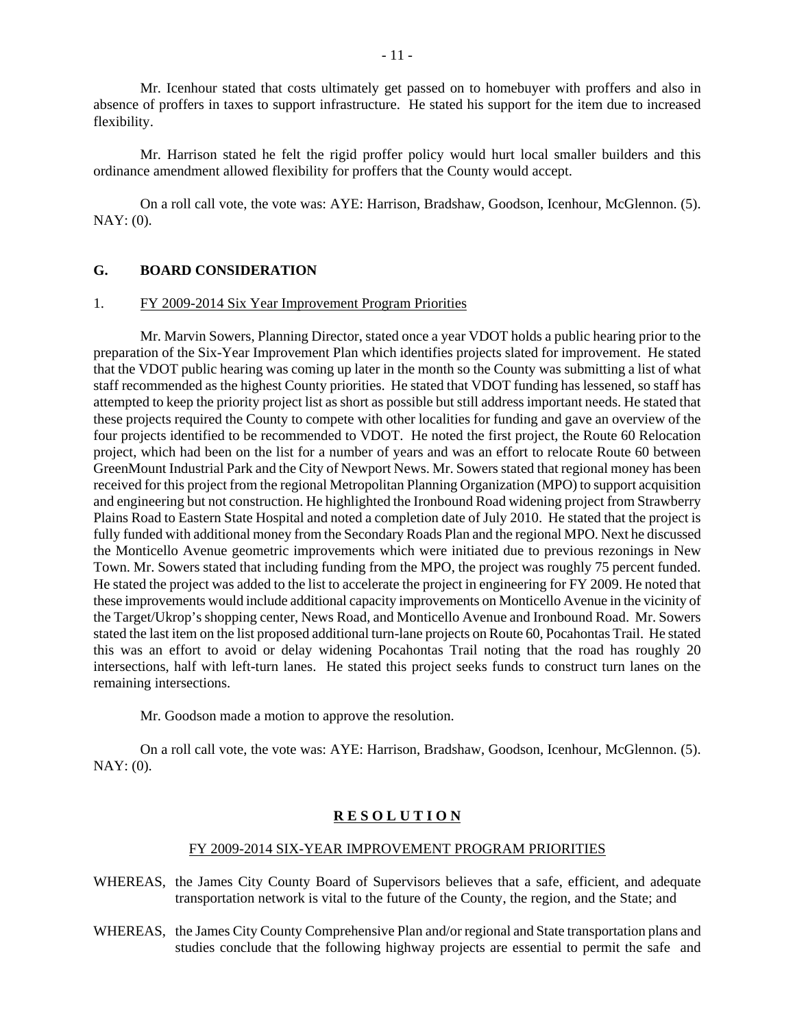Mr. Icenhour stated that costs ultimately get passed on to homebuyer with proffers and also in absence of proffers in taxes to support infrastructure. He stated his support for the item due to increased flexibility.

 Mr. Harrison stated he felt the rigid proffer policy would hurt local smaller builders and this ordinance amendment allowed flexibility for proffers that the County would accept.

 On a roll call vote, the vote was: AYE: Harrison, Bradshaw, Goodson, Icenhour, McGlennon. (5). NAY: (0).

#### **G. BOARD CONSIDERATION**

#### 1. FY 2009-2014 Six Year Improvement Program Priorities

 Mr. Marvin Sowers, Planning Director, stated once a year VDOT holds a public hearing prior to the preparation of the Six-Year Improvement Plan which identifies projects slated for improvement. He stated that the VDOT public hearing was coming up later in the month so the County was submitting a list of what staff recommended as the highest County priorities. He stated that VDOT funding has lessened, so staff has attempted to keep the priority project list as short as possible but still address important needs. He stated that these projects required the County to compete with other localities for funding and gave an overview of the four projects identified to be recommended to VDOT. He noted the first project, the Route 60 Relocation project, which had been on the list for a number of years and was an effort to relocate Route 60 between GreenMount Industrial Park and the City of Newport News. Mr. Sowers stated that regional money has been received for this project from the regional Metropolitan Planning Organization (MPO) to support acquisition and engineering but not construction. He highlighted the Ironbound Road widening project from Strawberry Plains Road to Eastern State Hospital and noted a completion date of July 2010. He stated that the project is fully funded with additional money from the Secondary Roads Plan and the regional MPO. Next he discussed the Monticello Avenue geometric improvements which were initiated due to previous rezonings in New Town. Mr. Sowers stated that including funding from the MPO, the project was roughly 75 percent funded. He stated the project was added to the list to accelerate the project in engineering for FY 2009. He noted that these improvements would include additional capacity improvements on Monticello Avenue in the vicinity of the Target/Ukrop's shopping center, News Road, and Monticello Avenue and Ironbound Road. Mr. Sowers stated the last item on the list proposed additional turn-lane projects on Route 60, Pocahontas Trail. He stated this was an effort to avoid or delay widening Pocahontas Trail noting that the road has roughly 20 intersections, half with left-turn lanes. He stated this project seeks funds to construct turn lanes on the remaining intersections.

Mr. Goodson made a motion to approve the resolution.

 On a roll call vote, the vote was: AYE: Harrison, Bradshaw, Goodson, Icenhour, McGlennon. (5). NAY: (0).

#### **R E S O L U T I O N**

#### FY 2009-2014 SIX-YEAR IMPROVEMENT PROGRAM PRIORITIES

- WHEREAS, the James City County Board of Supervisors believes that a safe, efficient, and adequate transportation network is vital to the future of the County, the region, and the State; and
- WHEREAS, the James City County Comprehensive Plan and/or regional and State transportation plans and studies conclude that the following highway projects are essential to permit the safe and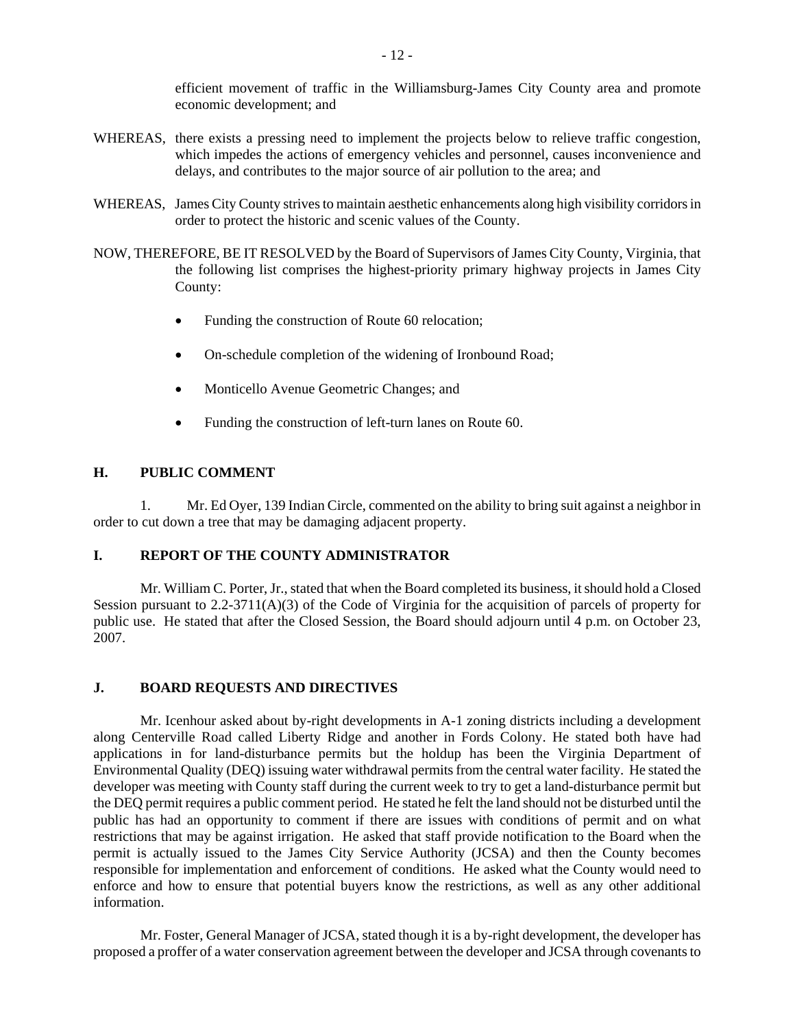efficient movement of traffic in the Williamsburg-James City County area and promote economic development; and

- WHEREAS, there exists a pressing need to implement the projects below to relieve traffic congestion, which impedes the actions of emergency vehicles and personnel, causes inconvenience and delays, and contributes to the major source of air pollution to the area; and
- WHEREAS, James City County strives to maintain aesthetic enhancements along high visibility corridors in order to protect the historic and scenic values of the County.
- NOW, THEREFORE, BE IT RESOLVED by the Board of Supervisors of James City County, Virginia, that the following list comprises the highest-priority primary highway projects in James City County:
	- Funding the construction of Route 60 relocation;
	- On-schedule completion of the widening of Ironbound Road;
	- Monticello Avenue Geometric Changes; and
	- Funding the construction of left-turn lanes on Route 60.

# **H. PUBLIC COMMENT**

 1. Mr. Ed Oyer, 139 Indian Circle, commented on the ability to bring suit against a neighbor in order to cut down a tree that may be damaging adjacent property.

#### **I. REPORT OF THE COUNTY ADMINISTRATOR**

 Mr. William C. Porter, Jr., stated that when the Board completed its business, it should hold a Closed Session pursuant to 2.2-3711(A)(3) of the Code of Virginia for the acquisition of parcels of property for public use. He stated that after the Closed Session, the Board should adjourn until 4 p.m. on October 23, 2007.

#### **J. BOARD REQUESTS AND DIRECTIVES**

 Mr. Icenhour asked about by-right developments in A-1 zoning districts including a development along Centerville Road called Liberty Ridge and another in Fords Colony. He stated both have had applications in for land-disturbance permits but the holdup has been the Virginia Department of Environmental Quality (DEQ) issuing water withdrawal permits from the central water facility. He stated the developer was meeting with County staff during the current week to try to get a land-disturbance permit but the DEQ permit requires a public comment period. He stated he felt the land should not be disturbed until the public has had an opportunity to comment if there are issues with conditions of permit and on what restrictions that may be against irrigation. He asked that staff provide notification to the Board when the permit is actually issued to the James City Service Authority (JCSA) and then the County becomes responsible for implementation and enforcement of conditions. He asked what the County would need to enforce and how to ensure that potential buyers know the restrictions, as well as any other additional information.

 Mr. Foster, General Manager of JCSA, stated though it is a by-right development, the developer has proposed a proffer of a water conservation agreement between the developer and JCSA through covenants to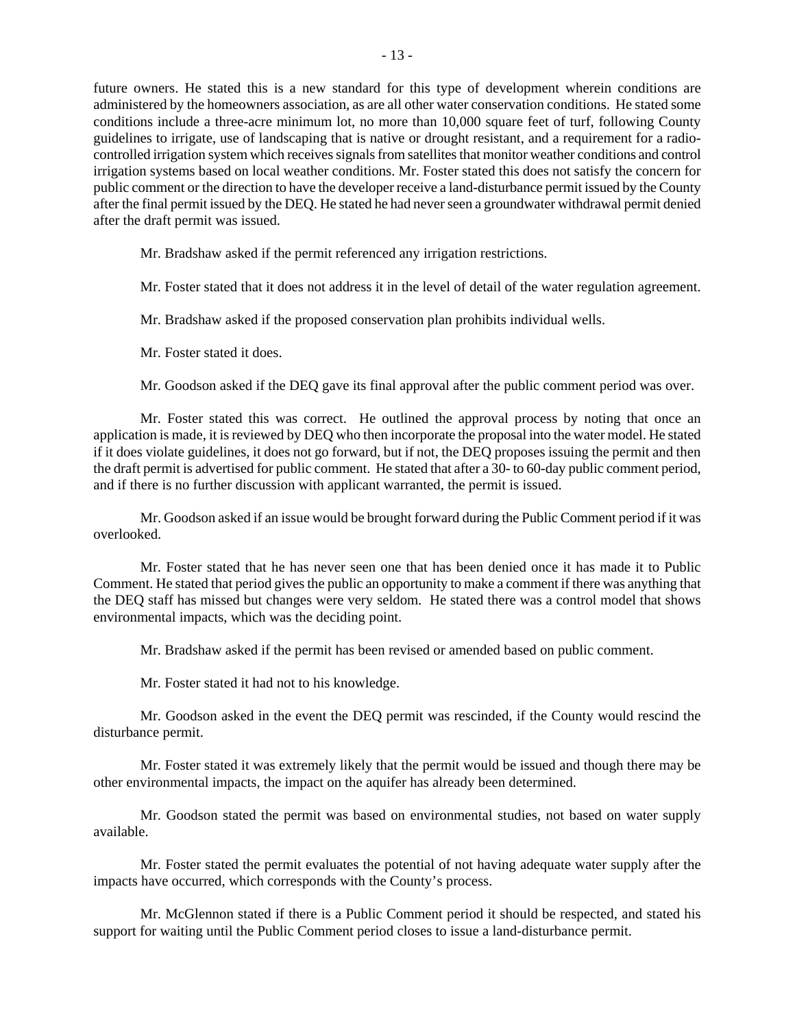future owners. He stated this is a new standard for this type of development wherein conditions are administered by the homeowners association, as are all other water conservation conditions. He stated some conditions include a three-acre minimum lot, no more than 10,000 square feet of turf, following County guidelines to irrigate, use of landscaping that is native or drought resistant, and a requirement for a radiocontrolled irrigation system which receives signals from satellites that monitor weather conditions and control irrigation systems based on local weather conditions. Mr. Foster stated this does not satisfy the concern for public comment or the direction to have the developer receive a land-disturbance permit issued by the County after the final permit issued by the DEQ. He stated he had never seen a groundwater withdrawal permit denied after the draft permit was issued.

Mr. Bradshaw asked if the permit referenced any irrigation restrictions.

Mr. Foster stated that it does not address it in the level of detail of the water regulation agreement.

Mr. Bradshaw asked if the proposed conservation plan prohibits individual wells.

Mr. Foster stated it does.

Mr. Goodson asked if the DEQ gave its final approval after the public comment period was over.

 Mr. Foster stated this was correct. He outlined the approval process by noting that once an application is made, it is reviewed by DEQ who then incorporate the proposal into the water model. He stated if it does violate guidelines, it does not go forward, but if not, the DEQ proposes issuing the permit and then the draft permit is advertised for public comment. He stated that after a 30- to 60-day public comment period, and if there is no further discussion with applicant warranted, the permit is issued.

 Mr. Goodson asked if an issue would be brought forward during the Public Comment period if it was overlooked.

 Mr. Foster stated that he has never seen one that has been denied once it has made it to Public Comment. He stated that period gives the public an opportunity to make a comment if there was anything that the DEQ staff has missed but changes were very seldom. He stated there was a control model that shows environmental impacts, which was the deciding point.

Mr. Bradshaw asked if the permit has been revised or amended based on public comment.

Mr. Foster stated it had not to his knowledge.

 Mr. Goodson asked in the event the DEQ permit was rescinded, if the County would rescind the disturbance permit.

 Mr. Foster stated it was extremely likely that the permit would be issued and though there may be other environmental impacts, the impact on the aquifer has already been determined.

Mr. Goodson stated the permit was based on environmental studies, not based on water supply available.

 Mr. Foster stated the permit evaluates the potential of not having adequate water supply after the impacts have occurred, which corresponds with the County's process.

 Mr. McGlennon stated if there is a Public Comment period it should be respected, and stated his support for waiting until the Public Comment period closes to issue a land-disturbance permit.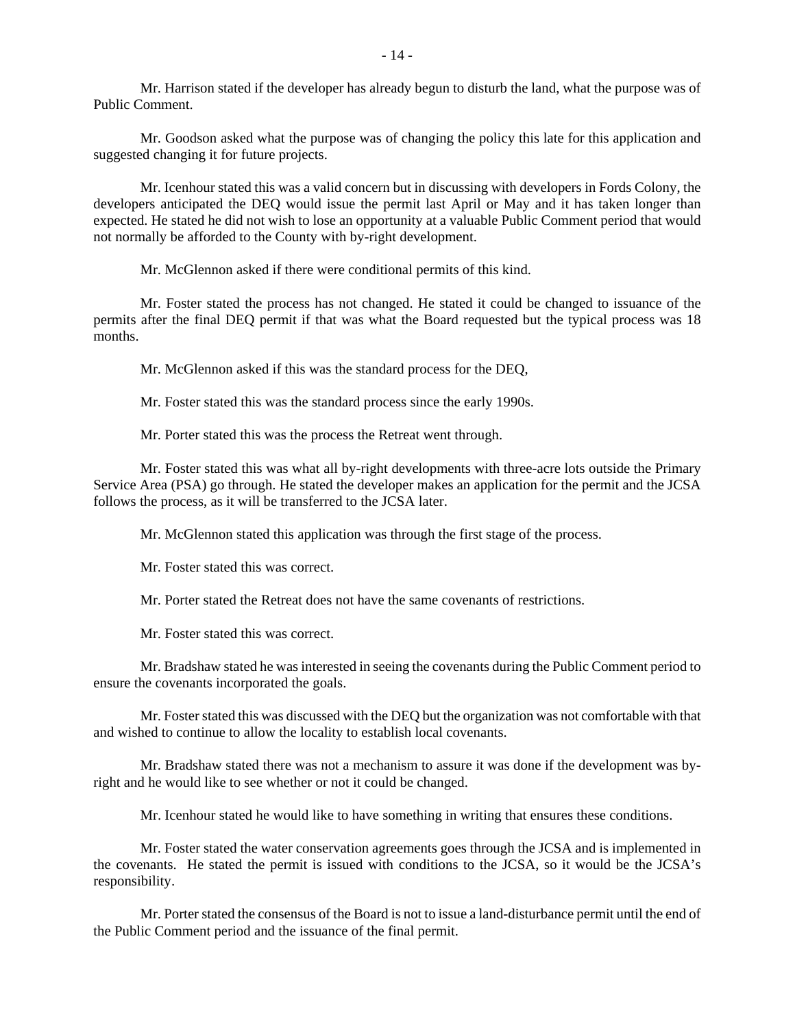Mr. Harrison stated if the developer has already begun to disturb the land, what the purpose was of Public Comment.

 Mr. Goodson asked what the purpose was of changing the policy this late for this application and suggested changing it for future projects.

 Mr. Icenhour stated this was a valid concern but in discussing with developers in Fords Colony, the developers anticipated the DEQ would issue the permit last April or May and it has taken longer than expected. He stated he did not wish to lose an opportunity at a valuable Public Comment period that would not normally be afforded to the County with by-right development.

Mr. McGlennon asked if there were conditional permits of this kind.

 Mr. Foster stated the process has not changed. He stated it could be changed to issuance of the permits after the final DEQ permit if that was what the Board requested but the typical process was 18 months.

Mr. McGlennon asked if this was the standard process for the DEQ,

Mr. Foster stated this was the standard process since the early 1990s.

Mr. Porter stated this was the process the Retreat went through.

 Mr. Foster stated this was what all by-right developments with three-acre lots outside the Primary Service Area (PSA) go through. He stated the developer makes an application for the permit and the JCSA follows the process, as it will be transferred to the JCSA later.

Mr. McGlennon stated this application was through the first stage of the process.

Mr. Foster stated this was correct.

Mr. Porter stated the Retreat does not have the same covenants of restrictions.

Mr. Foster stated this was correct.

 Mr. Bradshaw stated he was interested in seeing the covenants during the Public Comment period to ensure the covenants incorporated the goals.

 Mr. Foster stated this was discussed with the DEQ but the organization was not comfortable with that and wished to continue to allow the locality to establish local covenants.

 Mr. Bradshaw stated there was not a mechanism to assure it was done if the development was byright and he would like to see whether or not it could be changed.

Mr. Icenhour stated he would like to have something in writing that ensures these conditions.

 Mr. Foster stated the water conservation agreements goes through the JCSA and is implemented in the covenants. He stated the permit is issued with conditions to the JCSA, so it would be the JCSA's responsibility.

 Mr. Porter stated the consensus of the Board is not to issue a land-disturbance permit until the end of the Public Comment period and the issuance of the final permit.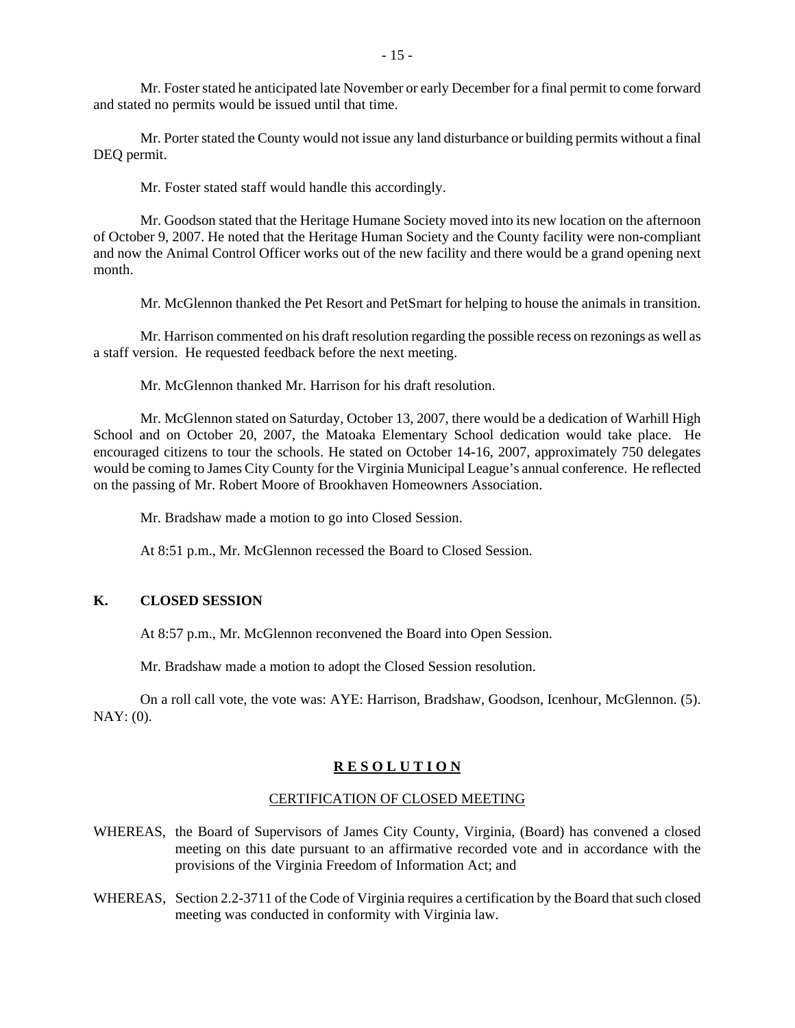Mr. Foster stated he anticipated late November or early December for a final permit to come forward and stated no permits would be issued until that time.

 Mr. Porter stated the County would not issue any land disturbance or building permits without a final DEQ permit.

Mr. Foster stated staff would handle this accordingly.

 Mr. Goodson stated that the Heritage Humane Society moved into its new location on the afternoon of October 9, 2007. He noted that the Heritage Human Society and the County facility were non-compliant and now the Animal Control Officer works out of the new facility and there would be a grand opening next month.

Mr. McGlennon thanked the Pet Resort and PetSmart for helping to house the animals in transition.

 Mr. Harrison commented on his draft resolution regarding the possible recess on rezonings as well as a staff version. He requested feedback before the next meeting.

Mr. McGlennon thanked Mr. Harrison for his draft resolution.

 Mr. McGlennon stated on Saturday, October 13, 2007, there would be a dedication of Warhill High School and on October 20, 2007, the Matoaka Elementary School dedication would take place. He encouraged citizens to tour the schools. He stated on October 14-16, 2007, approximately 750 delegates would be coming to James City County for the Virginia Municipal League's annual conference. He reflected on the passing of Mr. Robert Moore of Brookhaven Homeowners Association.

Mr. Bradshaw made a motion to go into Closed Session.

At 8:51 p.m., Mr. McGlennon recessed the Board to Closed Session.

#### **K. CLOSED SESSION**

At 8:57 p.m., Mr. McGlennon reconvened the Board into Open Session.

Mr. Bradshaw made a motion to adopt the Closed Session resolution.

 On a roll call vote, the vote was: AYE: Harrison, Bradshaw, Goodson, Icenhour, McGlennon. (5). NAY: (0).

#### **R E S O L U T I O N**

#### CERTIFICATION OF CLOSED MEETING

- WHEREAS, the Board of Supervisors of James City County, Virginia, (Board) has convened a closed meeting on this date pursuant to an affirmative recorded vote and in accordance with the provisions of the Virginia Freedom of Information Act; and
- WHEREAS, Section 2.2-3711 of the Code of Virginia requires a certification by the Board that such closed meeting was conducted in conformity with Virginia law.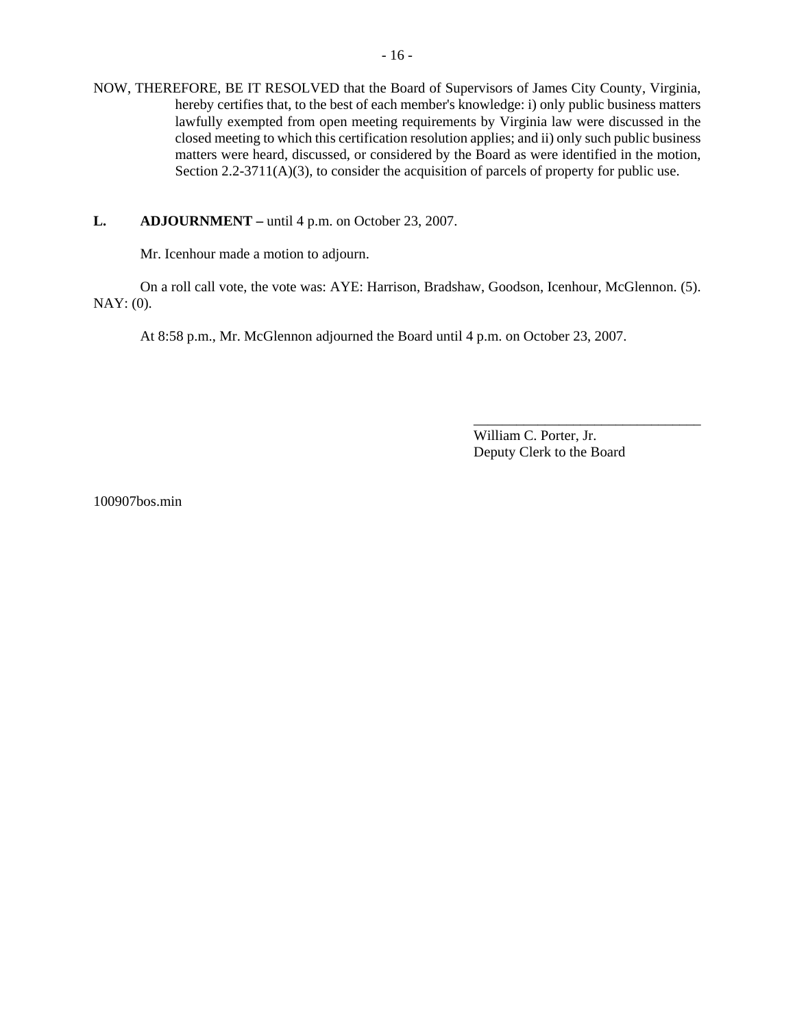NOW, THEREFORE, BE IT RESOLVED that the Board of Supervisors of James City County, Virginia, hereby certifies that, to the best of each member's knowledge: i) only public business matters lawfully exempted from open meeting requirements by Virginia law were discussed in the closed meeting to which this certification resolution applies; and ii) only such public business matters were heard, discussed, or considered by the Board as were identified in the motion, Section 2.2-3711(A)(3), to consider the acquisition of parcels of property for public use.

#### **L.** ADJOURNMENT – until 4 p.m. on October 23, 2007.

Mr. Icenhour made a motion to adjourn.

 On a roll call vote, the vote was: AYE: Harrison, Bradshaw, Goodson, Icenhour, McGlennon. (5). NAY: (0).

At 8:58 p.m., Mr. McGlennon adjourned the Board until 4 p.m. on October 23, 2007.

William C. Porter, Jr. Deputy Clerk to the Board

\_\_\_\_\_\_\_\_\_\_\_\_\_\_\_\_\_\_\_\_\_\_\_\_\_\_\_\_\_\_\_\_

100907bos.min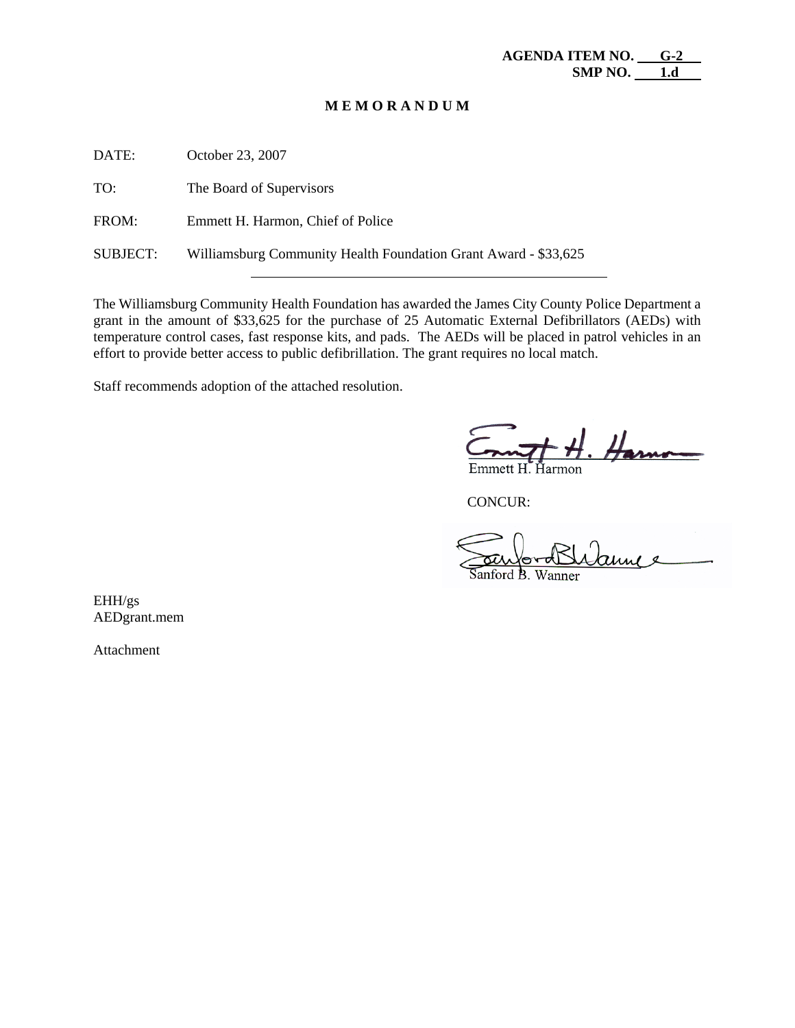#### **M E M O R A N D U M**

| DATE:           | October 23, 2007                                                |
|-----------------|-----------------------------------------------------------------|
| TO:             | The Board of Supervisors                                        |
| FROM:           | Emmett H. Harmon, Chief of Police                               |
| <b>SUBJECT:</b> | Williamsburg Community Health Foundation Grant Award - \$33,625 |
|                 |                                                                 |

The Williamsburg Community Health Foundation has awarded the James City County Police Department a grant in the amount of \$33,625 for the purchase of 25 Automatic External Defibrillators (AEDs) with temperature control cases, fast response kits, and pads. The AEDs will be placed in patrol vehicles in an effort to provide better access to public defibrillation. The grant requires no local match.

Staff recommends adoption of the attached resolution.

 $\#$  H. Harno

CONCUR:

anford B. Wanner

EHH/gs AEDgrant.mem

Attachment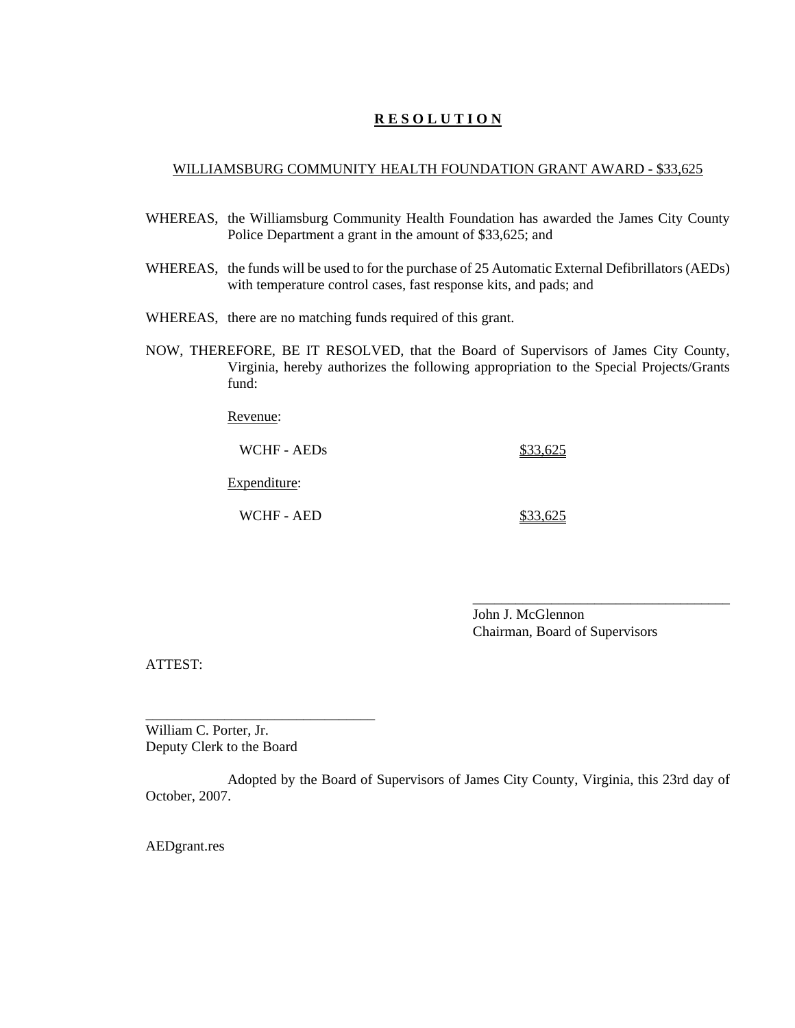# **R E S O L U T I O N**

# WILLIAMSBURG COMMUNITY HEALTH FOUNDATION GRANT AWARD - \$33,625

- WHEREAS, the Williamsburg Community Health Foundation has awarded the James City County Police Department a grant in the amount of \$33,625; and
- WHEREAS, the funds will be used to for the purchase of 25 Automatic External Defibrillators (AEDs) with temperature control cases, fast response kits, and pads; and
- WHEREAS, there are no matching funds required of this grant.
- NOW, THEREFORE, BE IT RESOLVED, that the Board of Supervisors of James City County, Virginia, hereby authorizes the following appropriation to the Special Projects/Grants fund:

Revenue:

WCHF - AEDs \$33,625

Expenditure:

WCHF - AED \$33,625

John J. McGlennon Chairman, Board of Supervisors

\_\_\_\_\_\_\_\_\_\_\_\_\_\_\_\_\_\_\_\_\_\_\_\_\_\_\_\_\_\_\_\_\_\_\_\_

ATTEST:

William C. Porter, Jr. Deputy Clerk to the Board

\_\_\_\_\_\_\_\_\_\_\_\_\_\_\_\_\_\_\_\_\_\_\_\_\_\_\_\_\_\_\_\_

Adopted by the Board of Supervisors of James City County, Virginia, this 23rd day of October, 2007.

AEDgrant.res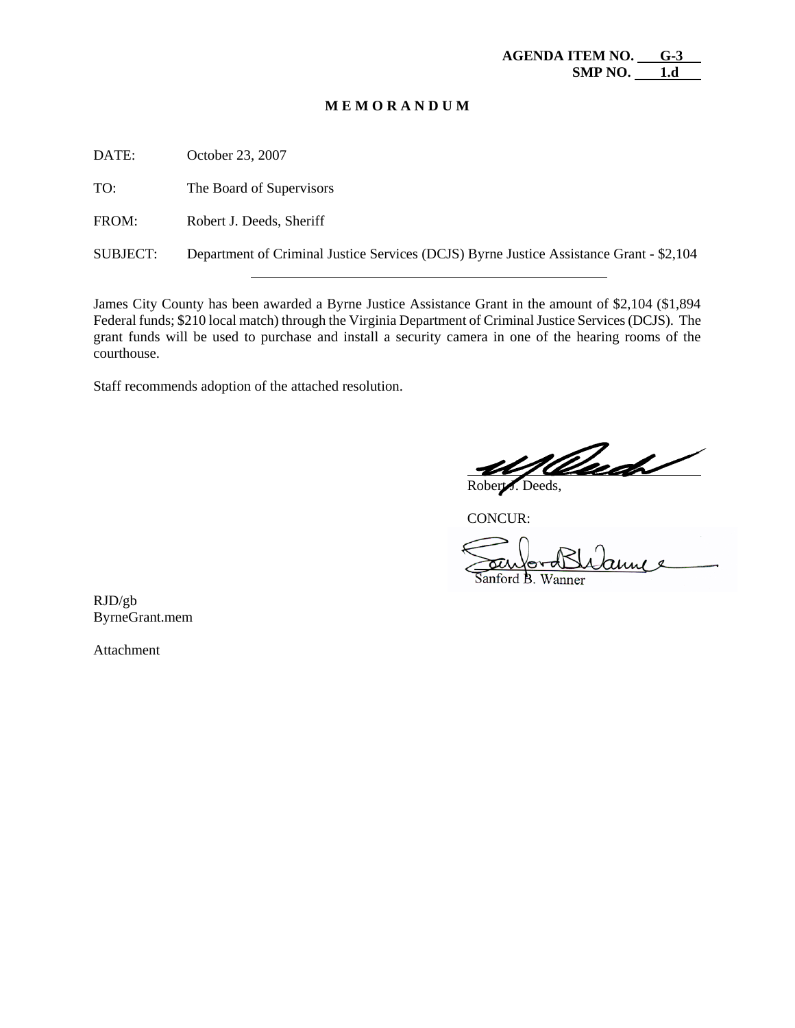#### **M E M O R A N D U M**

DATE: October 23, 2007

TO: The Board of Supervisors

FROM: Robert J. Deeds, Sheriff

SUBJECT: Department of Criminal Justice Services (DCJS) Byrne Justice Assistance Grant - \$2,104

James City County has been awarded a Byrne Justice Assistance Grant in the amount of \$2,104 (\$1,894 Federal funds; \$210 local match) through the Virginia Department of Criminal Justice Services (DCJS). The grant funds will be used to purchase and install a security camera in one of the hearing rooms of the courthouse.

Staff recommends adoption of the attached resolution.

 $\overline{a}$ Robert J. Deeds,

CONCUR:

Sanford B. Wanner

RJD/gb ByrneGrant.mem

Attachment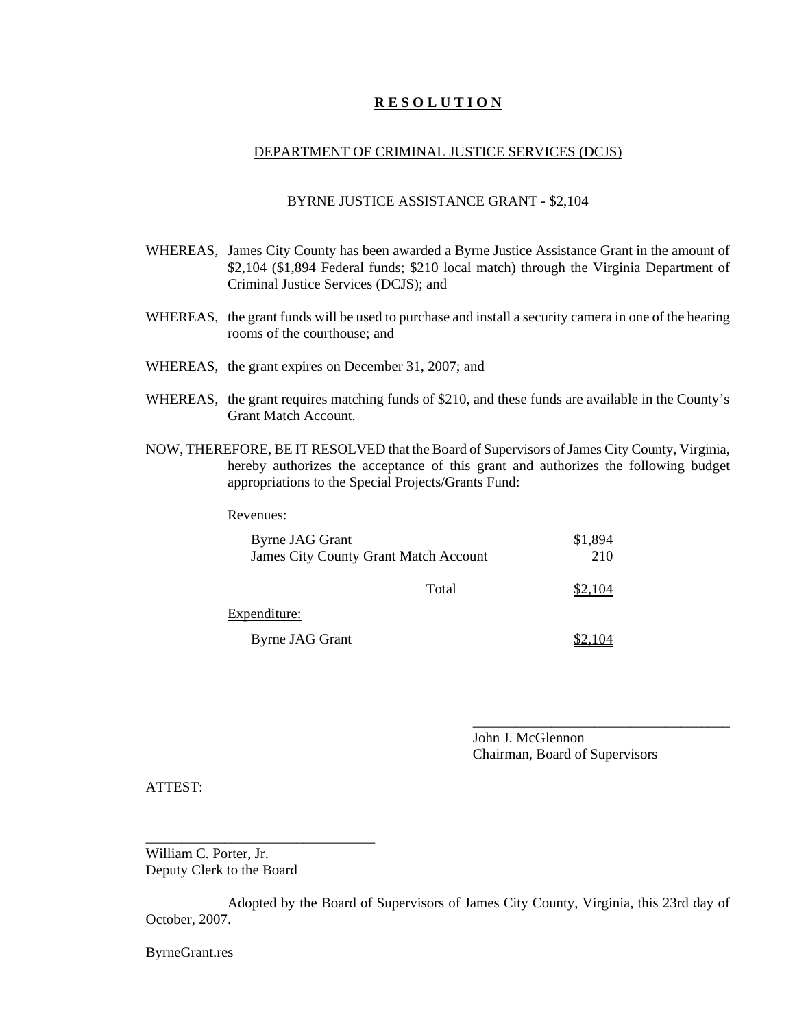# **R E S O L U T I O N**

#### DEPARTMENT OF CRIMINAL JUSTICE SERVICES (DCJS)

#### BYRNE JUSTICE ASSISTANCE GRANT - \$2,104

- WHEREAS, James City County has been awarded a Byrne Justice Assistance Grant in the amount of \$2,104 (\$1,894 Federal funds; \$210 local match) through the Virginia Department of Criminal Justice Services (DCJS); and
- WHEREAS, the grant funds will be used to purchase and install a security camera in one of the hearing rooms of the courthouse; and
- WHEREAS, the grant expires on December 31, 2007; and
- WHEREAS, the grant requires matching funds of \$210, and these funds are available in the County's Grant Match Account.
- NOW, THEREFORE, BE IT RESOLVED that the Board of Supervisors of James City County, Virginia, hereby authorizes the acceptance of this grant and authorizes the following budget appropriations to the Special Projects/Grants Fund:

#### Revenues:

| Byrne JAG Grant | <b>James City County Grant Match Account</b> | \$1,894<br>210 |
|-----------------|----------------------------------------------|----------------|
|                 | Total                                        | <u>\$2,104</u> |
| Expenditure:    |                                              |                |
| Byrne JAG Grant |                                              |                |

John J. McGlennon Chairman, Board of Supervisors

\_\_\_\_\_\_\_\_\_\_\_\_\_\_\_\_\_\_\_\_\_\_\_\_\_\_\_\_\_\_\_\_\_\_\_\_

ATTEST:

William C. Porter, Jr. Deputy Clerk to the Board

\_\_\_\_\_\_\_\_\_\_\_\_\_\_\_\_\_\_\_\_\_\_\_\_\_\_\_\_\_\_\_\_

Adopted by the Board of Supervisors of James City County, Virginia, this 23rd day of October, 2007.

ByrneGrant.res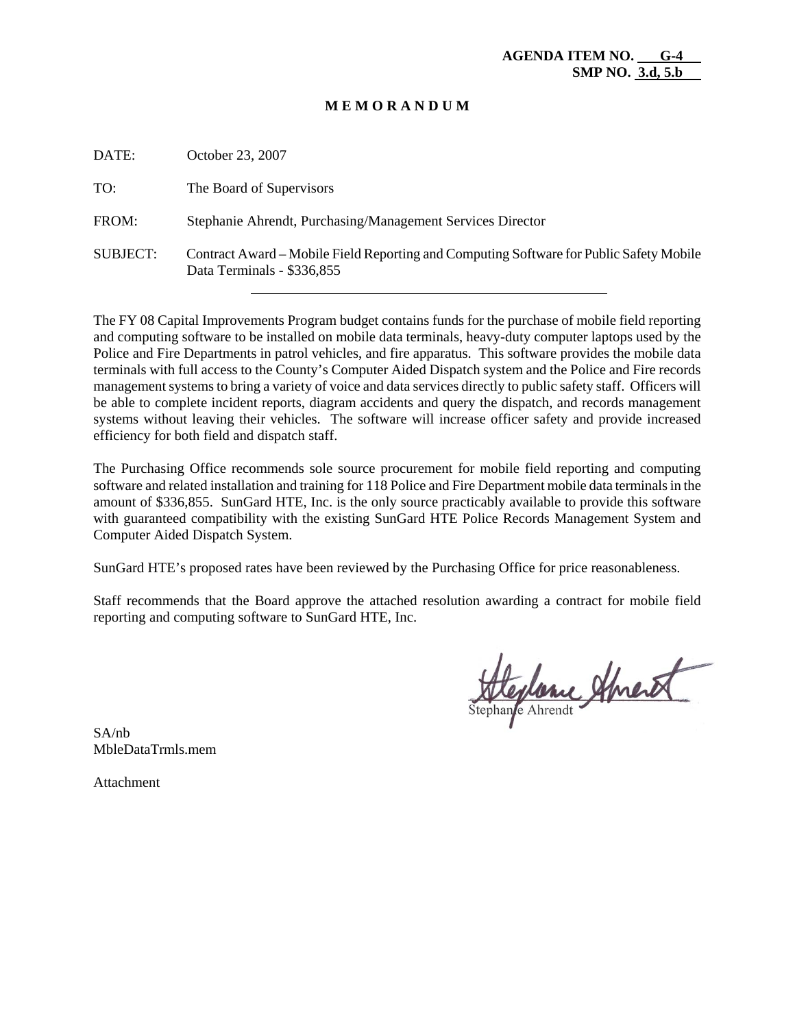#### **M E M O R A N D U M**

| DATE:           | October 23, 2007                                                                                                      |
|-----------------|-----------------------------------------------------------------------------------------------------------------------|
| TO:             | The Board of Supervisors                                                                                              |
| FROM:           | Stephanie Ahrendt, Purchasing/Management Services Director                                                            |
| <b>SUBJECT:</b> | Contract Award – Mobile Field Reporting and Computing Software for Public Safety Mobile<br>Data Terminals - \$336,855 |

The FY 08 Capital Improvements Program budget contains funds for the purchase of mobile field reporting and computing software to be installed on mobile data terminals, heavy-duty computer laptops used by the Police and Fire Departments in patrol vehicles, and fire apparatus. This software provides the mobile data terminals with full access to the County's Computer Aided Dispatch system and the Police and Fire records management systems to bring a variety of voice and data services directly to public safety staff. Officers will be able to complete incident reports, diagram accidents and query the dispatch, and records management systems without leaving their vehicles. The software will increase officer safety and provide increased efficiency for both field and dispatch staff.

The Purchasing Office recommends sole source procurement for mobile field reporting and computing software and related installation and training for 118 Police and Fire Department mobile data terminals in the amount of \$336,855. SunGard HTE, Inc. is the only source practicably available to provide this software with guaranteed compatibility with the existing SunGard HTE Police Records Management System and Computer Aided Dispatch System.

SunGard HTE's proposed rates have been reviewed by the Purchasing Office for price reasonableness.

Staff recommends that the Board approve the attached resolution awarding a contract for mobile field reporting and computing software to SunGard HTE, Inc.

Heplance Ameret

SA/nb MbleDataTrmls.mem

Attachment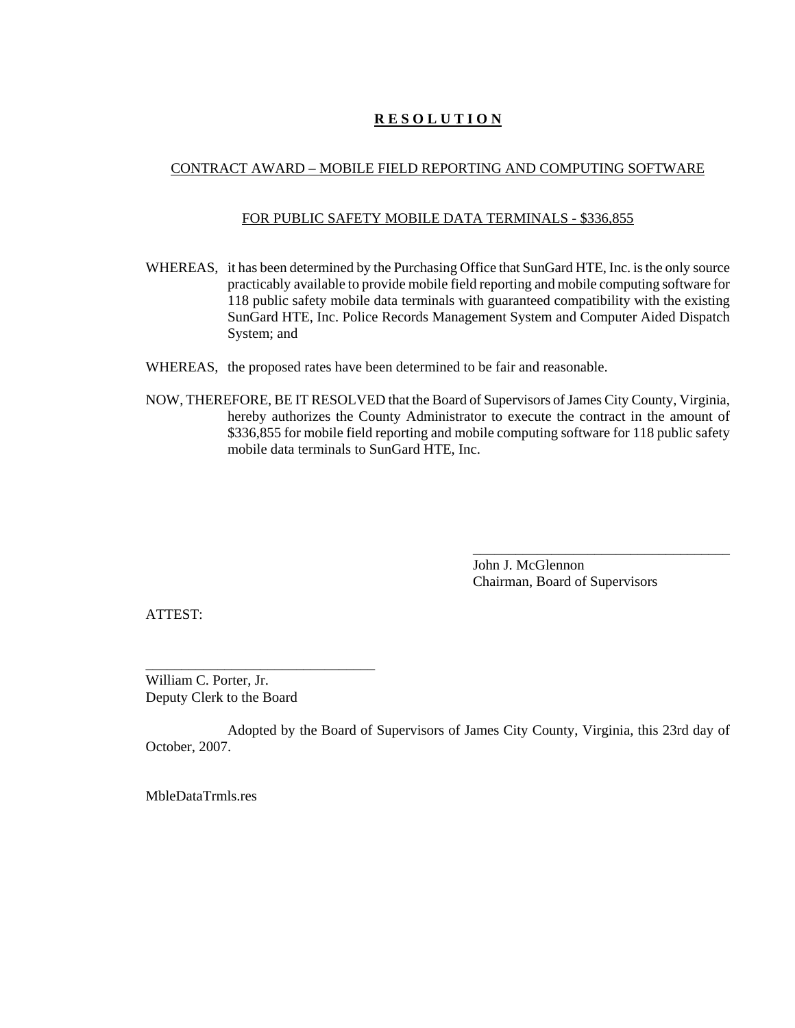# **R E S O L U T I O N**

# CONTRACT AWARD – MOBILE FIELD REPORTING AND COMPUTING SOFTWARE

# FOR PUBLIC SAFETY MOBILE DATA TERMINALS - \$336,855

- WHEREAS, it has been determined by the Purchasing Office that SunGard HTE, Inc. is the only source practicably available to provide mobile field reporting and mobile computing software for 118 public safety mobile data terminals with guaranteed compatibility with the existing SunGard HTE, Inc. Police Records Management System and Computer Aided Dispatch System; and
- WHEREAS, the proposed rates have been determined to be fair and reasonable.
- NOW, THEREFORE, BE IT RESOLVED that the Board of Supervisors of James City County, Virginia, hereby authorizes the County Administrator to execute the contract in the amount of \$336,855 for mobile field reporting and mobile computing software for 118 public safety mobile data terminals to SunGard HTE, Inc.

John J. McGlennon Chairman, Board of Supervisors

\_\_\_\_\_\_\_\_\_\_\_\_\_\_\_\_\_\_\_\_\_\_\_\_\_\_\_\_\_\_\_\_\_\_\_\_

ATTEST:

William C. Porter, Jr. Deputy Clerk to the Board

\_\_\_\_\_\_\_\_\_\_\_\_\_\_\_\_\_\_\_\_\_\_\_\_\_\_\_\_\_\_\_\_

Adopted by the Board of Supervisors of James City County, Virginia, this 23rd day of October, 2007.

MbleDataTrmls.res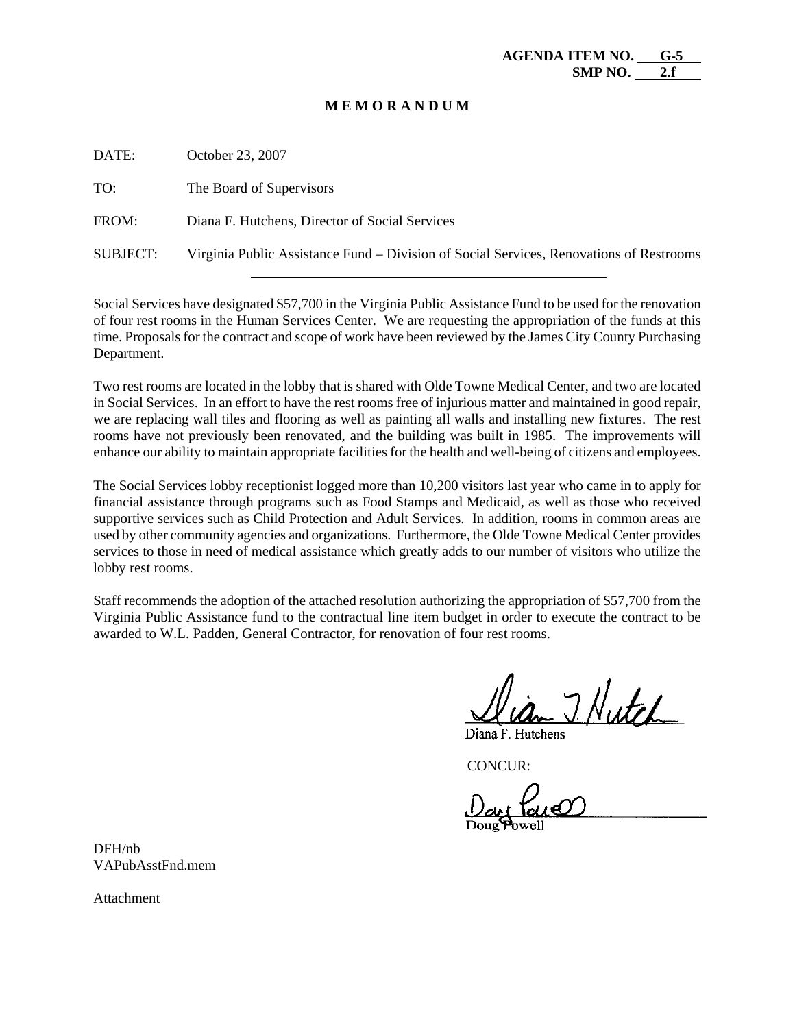#### **M E M O R A N D U M**

| DATE:           | October 23, 2007                                                                        |
|-----------------|-----------------------------------------------------------------------------------------|
| TO:             | The Board of Supervisors                                                                |
| FROM:           | Diana F. Hutchens, Director of Social Services                                          |
| <b>SUBJECT:</b> | Virginia Public Assistance Fund – Division of Social Services, Renovations of Restrooms |

Social Services have designated \$57,700 in the Virginia Public Assistance Fund to be used for the renovation of four rest rooms in the Human Services Center. We are requesting the appropriation of the funds at this time. Proposals for the contract and scope of work have been reviewed by the James City County Purchasing Department.

Two rest rooms are located in the lobby that is shared with Olde Towne Medical Center, and two are located in Social Services. In an effort to have the rest rooms free of injurious matter and maintained in good repair, we are replacing wall tiles and flooring as well as painting all walls and installing new fixtures. The rest rooms have not previously been renovated, and the building was built in 1985. The improvements will enhance our ability to maintain appropriate facilities for the health and well-being of citizens and employees.

The Social Services lobby receptionist logged more than 10,200 visitors last year who came in to apply for financial assistance through programs such as Food Stamps and Medicaid, as well as those who received supportive services such as Child Protection and Adult Services. In addition, rooms in common areas are used by other community agencies and organizations. Furthermore, the Olde Towne Medical Center provides services to those in need of medical assistance which greatly adds to our number of visitors who utilize the lobby rest rooms.

Staff recommends the adoption of the attached resolution authorizing the appropriation of \$57,700 from the Virginia Public Assistance fund to the contractual line item budget in order to execute the contract to be awarded to W.L. Padden, General Contractor, for renovation of four rest rooms.

7. Nutch Diana F. Hutchens

DFH/nb VAPubAsstFnd.mem

Attachment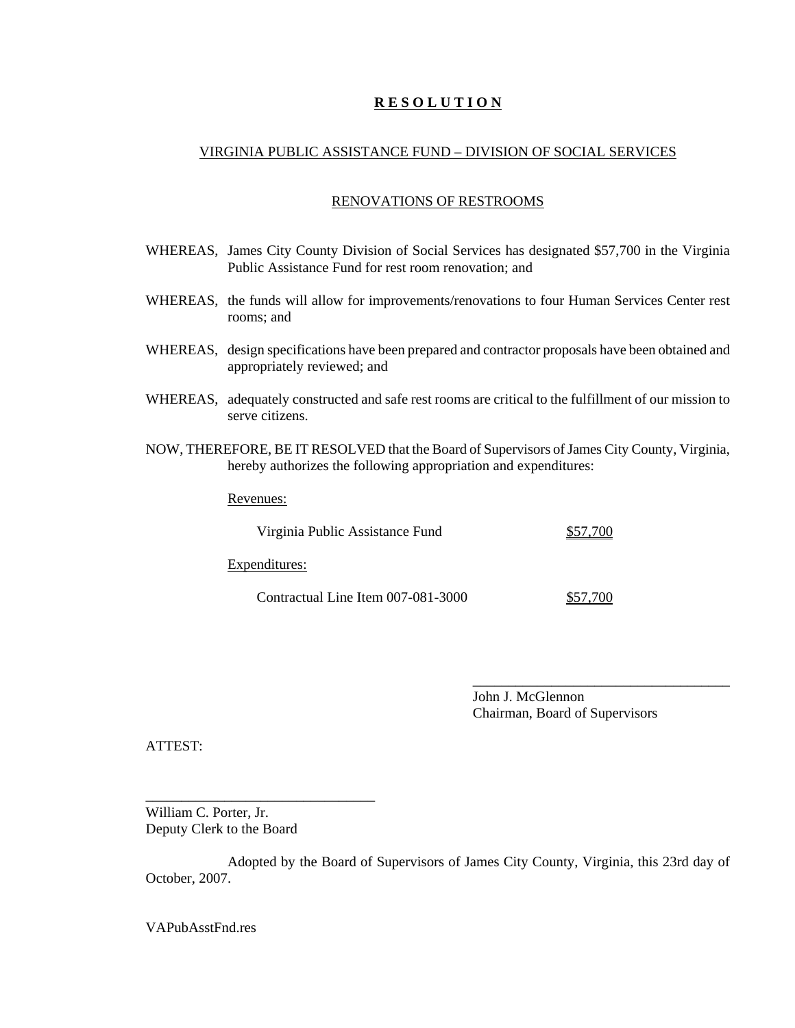# **R E S O L U T I O N**

#### VIRGINIA PUBLIC ASSISTANCE FUND – DIVISION OF SOCIAL SERVICES

#### RENOVATIONS OF RESTROOMS

- WHEREAS, James City County Division of Social Services has designated \$57,700 in the Virginia Public Assistance Fund for rest room renovation; and
- WHEREAS, the funds will allow for improvements/renovations to four Human Services Center rest rooms; and
- WHEREAS, design specifications have been prepared and contractor proposals have been obtained and appropriately reviewed; and
- WHEREAS, adequately constructed and safe rest rooms are critical to the fulfillment of our mission to serve citizens.
- NOW, THEREFORE, BE IT RESOLVED that the Board of Supervisors of James City County, Virginia, hereby authorizes the following appropriation and expenditures:

Revenues:

Virginia Public Assistance Fund \$57,700

Expenditures:

Contractual Line Item 007-081-3000 \$57,700

\_\_\_\_\_\_\_\_\_\_\_\_\_\_\_\_\_\_\_\_\_\_\_\_\_\_\_\_\_\_\_\_\_\_\_\_

John J. McGlennon Chairman, Board of Supervisors

ATTEST:

William C. Porter, Jr. Deputy Clerk to the Board

\_\_\_\_\_\_\_\_\_\_\_\_\_\_\_\_\_\_\_\_\_\_\_\_\_\_\_\_\_\_\_\_

Adopted by the Board of Supervisors of James City County, Virginia, this 23rd day of October, 2007.

VAPubAsstFnd.res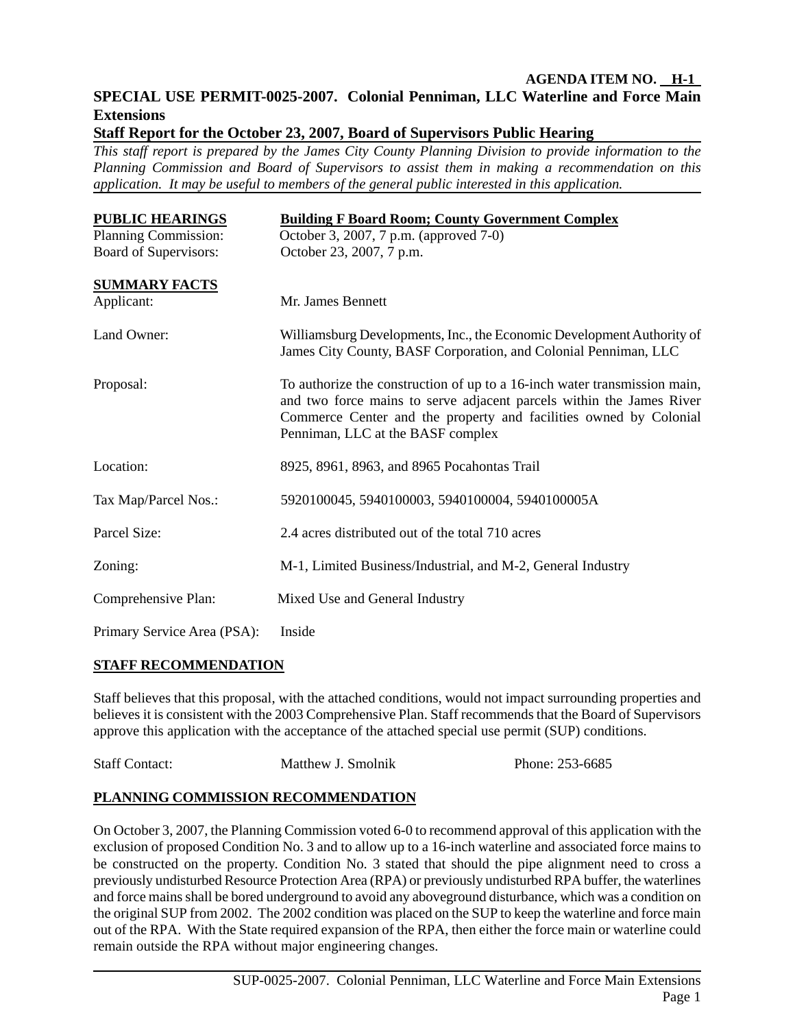# **AGENDA ITEM NO. H-1 SPECIAL USE PERMIT-0025-2007. Colonial Penniman, LLC Waterline and Force Main Extensions**

**Staff Report for the October 23, 2007, Board of Supervisors Public Hearing** 

*This staff report is prepared by the James City County Planning Division to provide information to the Planning Commission and Board of Supervisors to assist them in making a recommendation on this application. It may be useful to members of the general public interested in this application.* 

| <b>PUBLIC HEARINGS</b><br>Planning Commission: | <b>Building F Board Room; County Government Complex</b><br>October 3, 2007, 7 p.m. (approved 7-0)                                                                                                                                                           |
|------------------------------------------------|-------------------------------------------------------------------------------------------------------------------------------------------------------------------------------------------------------------------------------------------------------------|
| Board of Supervisors:                          | October 23, 2007, 7 p.m.                                                                                                                                                                                                                                    |
| <b>SUMMARY FACTS</b>                           |                                                                                                                                                                                                                                                             |
| Applicant:                                     | Mr. James Bennett                                                                                                                                                                                                                                           |
| Land Owner:                                    | Williamsburg Developments, Inc., the Economic Development Authority of<br>James City County, BASF Corporation, and Colonial Penniman, LLC                                                                                                                   |
| Proposal:                                      | To authorize the construction of up to a 16-inch water transmission main,<br>and two force mains to serve adjacent parcels within the James River<br>Commerce Center and the property and facilities owned by Colonial<br>Penniman, LLC at the BASF complex |
| Location:                                      | 8925, 8961, 8963, and 8965 Pocahontas Trail                                                                                                                                                                                                                 |
| Tax Map/Parcel Nos.:                           | 5920100045, 5940100003, 5940100004, 5940100005A                                                                                                                                                                                                             |
| Parcel Size:                                   | 2.4 acres distributed out of the total 710 acres                                                                                                                                                                                                            |
| Zoning:                                        | M-1, Limited Business/Industrial, and M-2, General Industry                                                                                                                                                                                                 |
| Comprehensive Plan:                            | Mixed Use and General Industry                                                                                                                                                                                                                              |
| $\sim$ $\sim$ $\sim$ $\sim$ $\sim$ $\sim$      |                                                                                                                                                                                                                                                             |

Primary Service Area (PSA): Inside

# **STAFF RECOMMENDATION**

Staff believes that this proposal, with the attached conditions, would not impact surrounding properties and believes it is consistent with the 2003 Comprehensive Plan. Staff recommends that the Board of Supervisors approve this application with the acceptance of the attached special use permit (SUP) conditions.

| <b>Staff Contact:</b> | Matthew J. Smolnik | Phone: 253-6685 |
|-----------------------|--------------------|-----------------|
|                       |                    |                 |

# **PLANNING COMMISSION RECOMMENDATION**

On October 3, 2007, the Planning Commission voted 6-0 to recommend approval of this application with the exclusion of proposed Condition No. 3 and to allow up to a 16-inch waterline and associated force mains to be constructed on the property. Condition No. 3 stated that should the pipe alignment need to cross a previously undisturbed Resource Protection Area (RPA) or previously undisturbed RPA buffer, the waterlines and force mains shall be bored underground to avoid any aboveground disturbance, which was a condition on the original SUP from 2002. The 2002 condition was placed on the SUP to keep the waterline and force main out of the RPA. With the State required expansion of the RPA, then either the force main or waterline could remain outside the RPA without major engineering changes.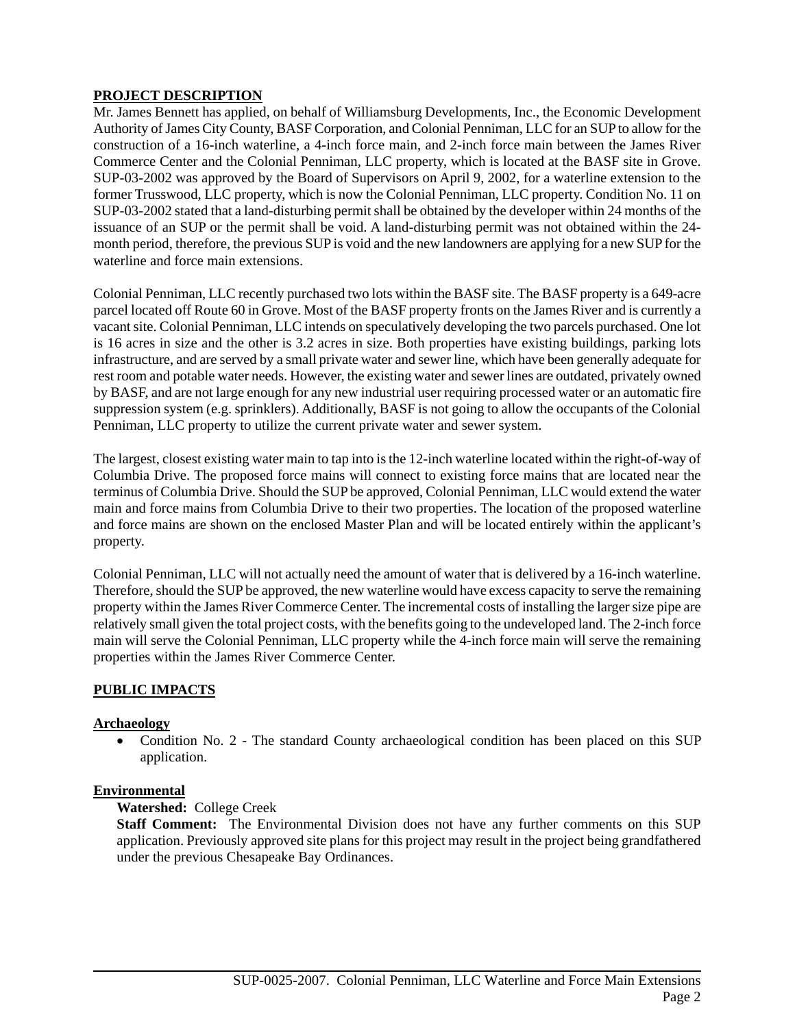# **PROJECT DESCRIPTION**

Mr. James Bennett has applied, on behalf of Williamsburg Developments, Inc., the Economic Development Authority of James City County, BASF Corporation, and Colonial Penniman, LLC for an SUP to allow for the construction of a 16-inch waterline, a 4-inch force main, and 2-inch force main between the James River Commerce Center and the Colonial Penniman, LLC property, which is located at the BASF site in Grove. SUP-03-2002 was approved by the Board of Supervisors on April 9, 2002, for a waterline extension to the former Trusswood, LLC property, which is now the Colonial Penniman, LLC property. Condition No. 11 on SUP-03-2002 stated that a land-disturbing permit shall be obtained by the developer within 24 months of the issuance of an SUP or the permit shall be void. A land-disturbing permit was not obtained within the 24 month period, therefore, the previous SUP is void and the new landowners are applying for a new SUP for the waterline and force main extensions.

Colonial Penniman, LLC recently purchased two lots within the BASF site. The BASF property is a 649-acre parcel located off Route 60 in Grove. Most of the BASF property fronts on the James River and is currently a vacant site. Colonial Penniman, LLC intends on speculatively developing the two parcels purchased. One lot is 16 acres in size and the other is 3.2 acres in size. Both properties have existing buildings, parking lots infrastructure, and are served by a small private water and sewer line, which have been generally adequate for rest room and potable water needs. However, the existing water and sewer lines are outdated, privately owned by BASF, and are not large enough for any new industrial user requiring processed water or an automatic fire suppression system (e.g. sprinklers). Additionally, BASF is not going to allow the occupants of the Colonial Penniman, LLC property to utilize the current private water and sewer system.

The largest, closest existing water main to tap into is the 12-inch waterline located within the right-of-way of Columbia Drive. The proposed force mains will connect to existing force mains that are located near the terminus of Columbia Drive. Should the SUP be approved, Colonial Penniman, LLC would extend the water main and force mains from Columbia Drive to their two properties. The location of the proposed waterline and force mains are shown on the enclosed Master Plan and will be located entirely within the applicant's property.

Colonial Penniman, LLC will not actually need the amount of water that is delivered by a 16-inch waterline. Therefore, should the SUP be approved, the new waterline would have excess capacity to serve the remaining property within the James River Commerce Center. The incremental costs of installing the larger size pipe are relatively small given the total project costs, with the benefits going to the undeveloped land. The 2-inch force main will serve the Colonial Penniman, LLC property while the 4-inch force main will serve the remaining properties within the James River Commerce Center.

# **PUBLIC IMPACTS**

# **Archaeology**

• Condition No. 2 - The standard County archaeological condition has been placed on this SUP application.

# **Environmental**

# **Watershed:** College Creek

**Staff Comment:** The Environmental Division does not have any further comments on this SUP application. Previously approved site plans for this project may result in the project being grandfathered under the previous Chesapeake Bay Ordinances.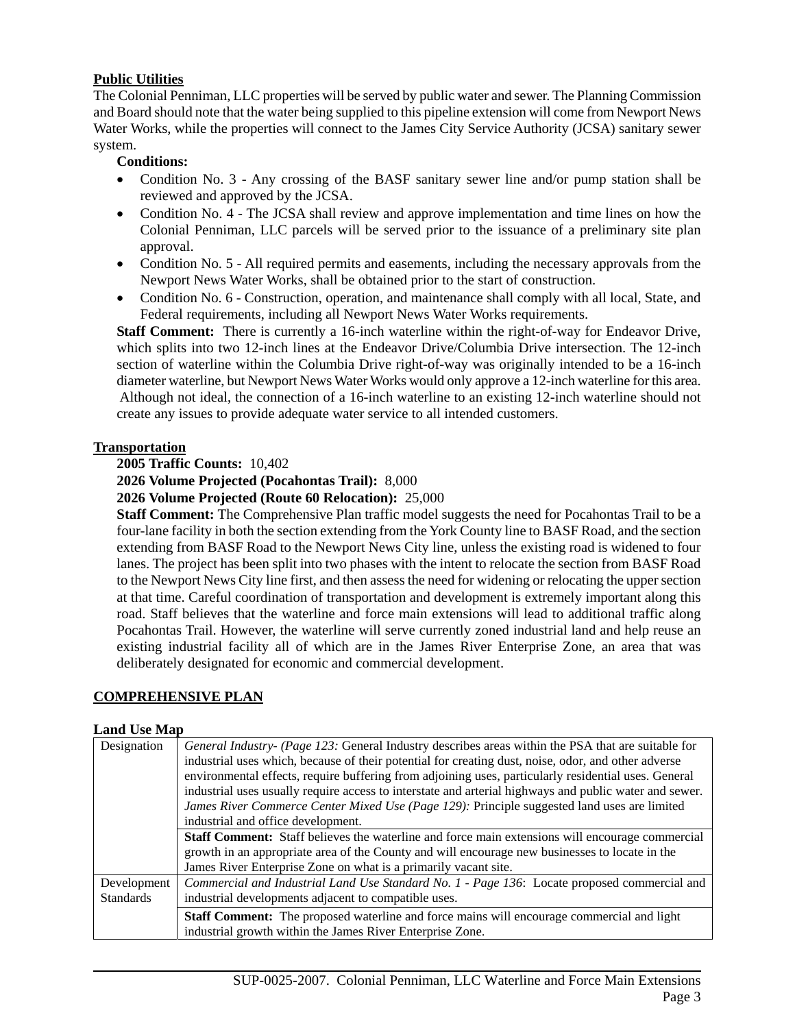# **Public Utilities**

The Colonial Penniman, LLC properties will be served by public water and sewer. The Planning Commission and Board should note that the water being supplied to this pipeline extension will come from Newport News Water Works, while the properties will connect to the James City Service Authority (JCSA) sanitary sewer system.

# **Conditions:**

- Condition No. 3 Any crossing of the BASF sanitary sewer line and/or pump station shall be reviewed and approved by the JCSA.
- Condition No. 4 The JCSA shall review and approve implementation and time lines on how the Colonial Penniman, LLC parcels will be served prior to the issuance of a preliminary site plan approval.
- Condition No. 5 All required permits and easements, including the necessary approvals from the Newport News Water Works, shall be obtained prior to the start of construction.
- Condition No. 6 Construction, operation, and maintenance shall comply with all local, State, and Federal requirements, including all Newport News Water Works requirements.

 **Staff Comment:** There is currently a 16-inch waterline within the right-of-way for Endeavor Drive, which splits into two 12-inch lines at the Endeavor Drive/Columbia Drive intersection. The 12-inch section of waterline within the Columbia Drive right-of-way was originally intended to be a 16-inch diameter waterline, but Newport News Water Works would only approve a 12-inch waterline for this area. Although not ideal, the connection of a 16-inch waterline to an existing 12-inch waterline should not create any issues to provide adequate water service to all intended customers.

# **Transportation**

# **2005 Traffic Counts:** 10,402

 **2026 Volume Projected (Pocahontas Trail):** 8,000

 **2026 Volume Projected (Route 60 Relocation):** 25,000

**Staff Comment:** The Comprehensive Plan traffic model suggests the need for Pocahontas Trail to be a four-lane facility in both the section extending from the York County line to BASF Road, and the section extending from BASF Road to the Newport News City line, unless the existing road is widened to four lanes. The project has been split into two phases with the intent to relocate the section from BASF Road to the Newport News City line first, and then assess the need for widening or relocating the upper section at that time. Careful coordination of transportation and development is extremely important along this road. Staff believes that the waterline and force main extensions will lead to additional traffic along Pocahontas Trail. However, the waterline will serve currently zoned industrial land and help reuse an existing industrial facility all of which are in the James River Enterprise Zone, an area that was deliberately designated for economic and commercial development.

# **COMPREHENSIVE PLAN**

# **Land Use Map**

| Designation<br>General Industry- (Page 123: General Industry describes areas within the PSA that are suitable for |                                                                                                        |  |
|-------------------------------------------------------------------------------------------------------------------|--------------------------------------------------------------------------------------------------------|--|
|                                                                                                                   | industrial uses which, because of their potential for creating dust, noise, odor, and other adverse    |  |
|                                                                                                                   | environmental effects, require buffering from adjoining uses, particularly residential uses. General   |  |
|                                                                                                                   | industrial uses usually require access to interstate and arterial highways and public water and sewer. |  |
|                                                                                                                   | James River Commerce Center Mixed Use (Page 129): Principle suggested land uses are limited            |  |
|                                                                                                                   | industrial and office development.                                                                     |  |
|                                                                                                                   | <b>Staff Comment:</b> Staff believes the waterline and force main extensions will encourage commercial |  |
|                                                                                                                   | growth in an appropriate area of the County and will encourage new businesses to locate in the         |  |
|                                                                                                                   | James River Enterprise Zone on what is a primarily vacant site.                                        |  |
| Development                                                                                                       | Commercial and Industrial Land Use Standard No. 1 - Page 136: Locate proposed commercial and           |  |
| <b>Standards</b>                                                                                                  | industrial developments adjacent to compatible uses.                                                   |  |
|                                                                                                                   | <b>Staff Comment:</b> The proposed waterline and force mains will encourage commercial and light       |  |
|                                                                                                                   | industrial growth within the James River Enterprise Zone.                                              |  |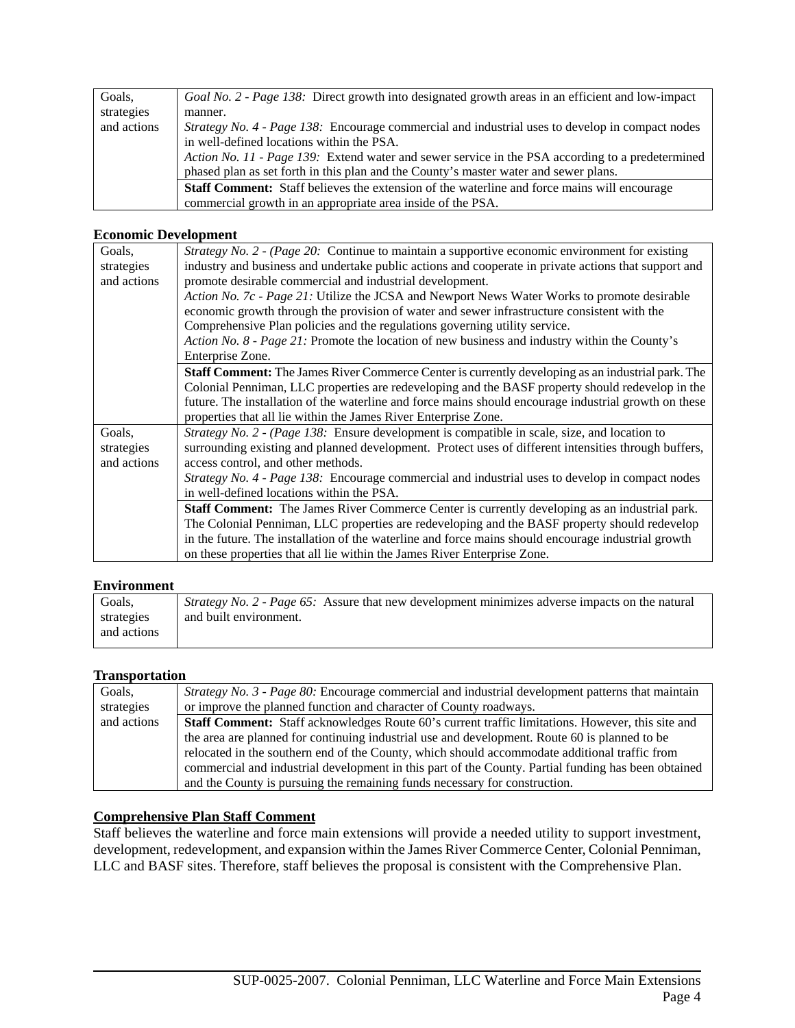| Goals,      | Goal No. 2 - Page 138: Direct growth into designated growth areas in an efficient and low-impact       |
|-------------|--------------------------------------------------------------------------------------------------------|
| strategies  | manner.                                                                                                |
| and actions | <i>Strategy No. 4 - Page 138:</i> Encourage commercial and industrial uses to develop in compact nodes |
|             | in well-defined locations within the PSA.                                                              |
|             | Action No. 11 - Page 139: Extend water and sewer service in the PSA according to a predetermined       |
|             | phased plan as set forth in this plan and the County's master water and sewer plans.                   |
|             | <b>Staff Comment:</b> Staff believes the extension of the waterline and force mains will encourage     |
|             | commercial growth in an appropriate area inside of the PSA.                                            |

# **Economic Development**

| Goals,      | Strategy No. 2 - (Page 20: Continue to maintain a supportive economic environment for existing           |
|-------------|----------------------------------------------------------------------------------------------------------|
| strategies  | industry and business and undertake public actions and cooperate in private actions that support and     |
| and actions | promote desirable commercial and industrial development.                                                 |
|             | Action No. 7c - Page 21: Utilize the JCSA and Newport News Water Works to promote desirable              |
|             | economic growth through the provision of water and sewer infrastructure consistent with the              |
|             | Comprehensive Plan policies and the regulations governing utility service.                               |
|             | Action No. 8 - Page 21: Promote the location of new business and industry within the County's            |
|             | Enterprise Zone.                                                                                         |
|             | <b>Staff Comment:</b> The James River Commerce Center is currently developing as an industrial park. The |
|             | Colonial Penniman, LLC properties are redeveloping and the BASF property should redevelop in the         |
|             | future. The installation of the waterline and force mains should encourage industrial growth on these    |
|             | properties that all lie within the James River Enterprise Zone.                                          |
| Goals,      | <i>Strategy No. 2 - (Page 138:</i> Ensure development is compatible in scale, size, and location to      |
| strategies  | surrounding existing and planned development. Protect uses of different intensities through buffers,     |
| and actions | access control, and other methods.                                                                       |
|             | Strategy No. 4 - Page 138: Encourage commercial and industrial uses to develop in compact nodes          |
|             | in well-defined locations within the PSA.                                                                |
|             | <b>Staff Comment:</b> The James River Commerce Center is currently developing as an industrial park.     |
|             | The Colonial Penniman, LLC properties are redeveloping and the BASF property should redevelop            |
|             | in the future. The installation of the waterline and force mains should encourage industrial growth      |
|             | on these properties that all lie within the James River Enterprise Zone.                                 |

# **Environment**

| Goals,      | <i>Strategy No. 2 - Page 65:</i> Assure that new development minimizes adverse impacts on the natural |
|-------------|-------------------------------------------------------------------------------------------------------|
| strategies  | and built environment.                                                                                |
| and actions |                                                                                                       |

# **Transportation**

| Goals,      | <i>Strategy No. 3 - Page 80:</i> Encourage commercial and industrial development patterns that maintain |
|-------------|---------------------------------------------------------------------------------------------------------|
| strategies  | or improve the planned function and character of County roadways.                                       |
| and actions | <b>Staff Comment:</b> Staff acknowledges Route 60's current traffic limitations. However, this site and |
|             | the area are planned for continuing industrial use and development. Route 60 is planned to be           |
|             | relocated in the southern end of the County, which should accommodate additional traffic from           |
|             | commercial and industrial development in this part of the County. Partial funding has been obtained     |
|             | and the County is pursuing the remaining funds necessary for construction.                              |

# **Comprehensive Plan Staff Comment**

Staff believes the waterline and force main extensions will provide a needed utility to support investment, development, redevelopment, and expansion within the James River Commerce Center, Colonial Penniman, LLC and BASF sites. Therefore, staff believes the proposal is consistent with the Comprehensive Plan.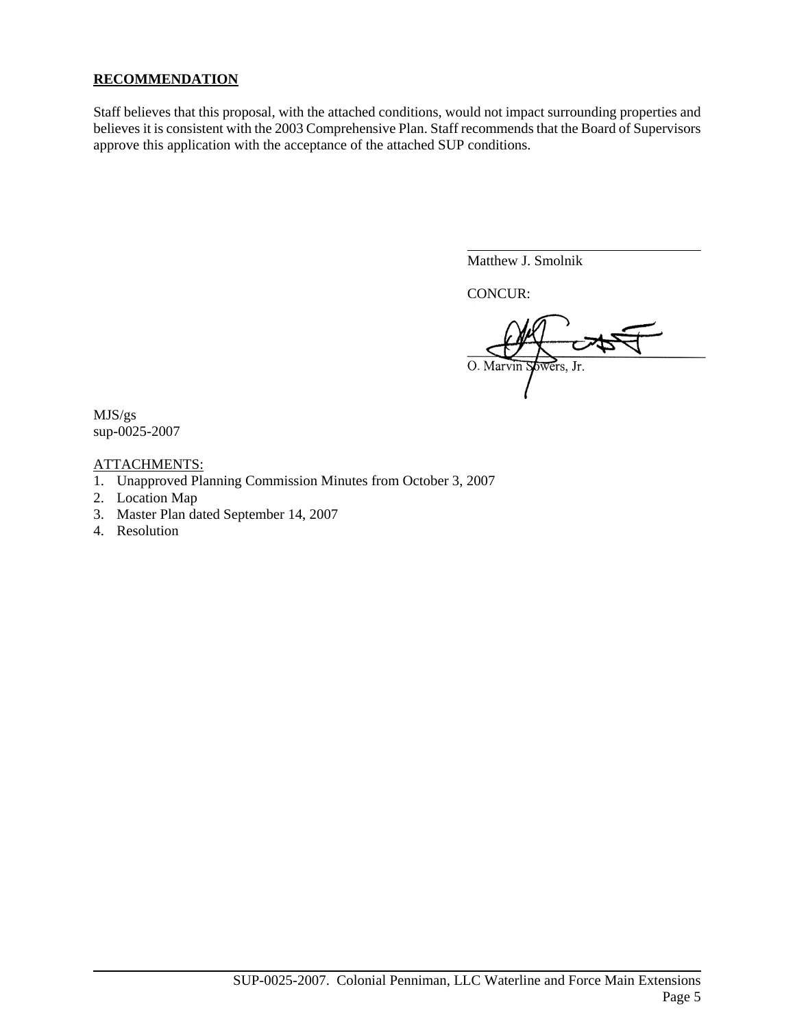# **RECOMMENDATION**

Staff believes that this proposal, with the attached conditions, would not impact surrounding properties and believes it is consistent with the 2003 Comprehensive Plan. Staff recommends that the Board of Supervisors approve this application with the acceptance of the attached SUP conditions.

Matthew J. Smolnik

CONCUR:

 $\overline{a}$ 

O. Marvin Spiners, Jr.

MJS/gs sup-0025-2007

# ATTACHMENTS:

- 1. Unapproved Planning Commission Minutes from October 3, 2007
- 2. Location Map
- 3. Master Plan dated September 14, 2007
- 4. Resolution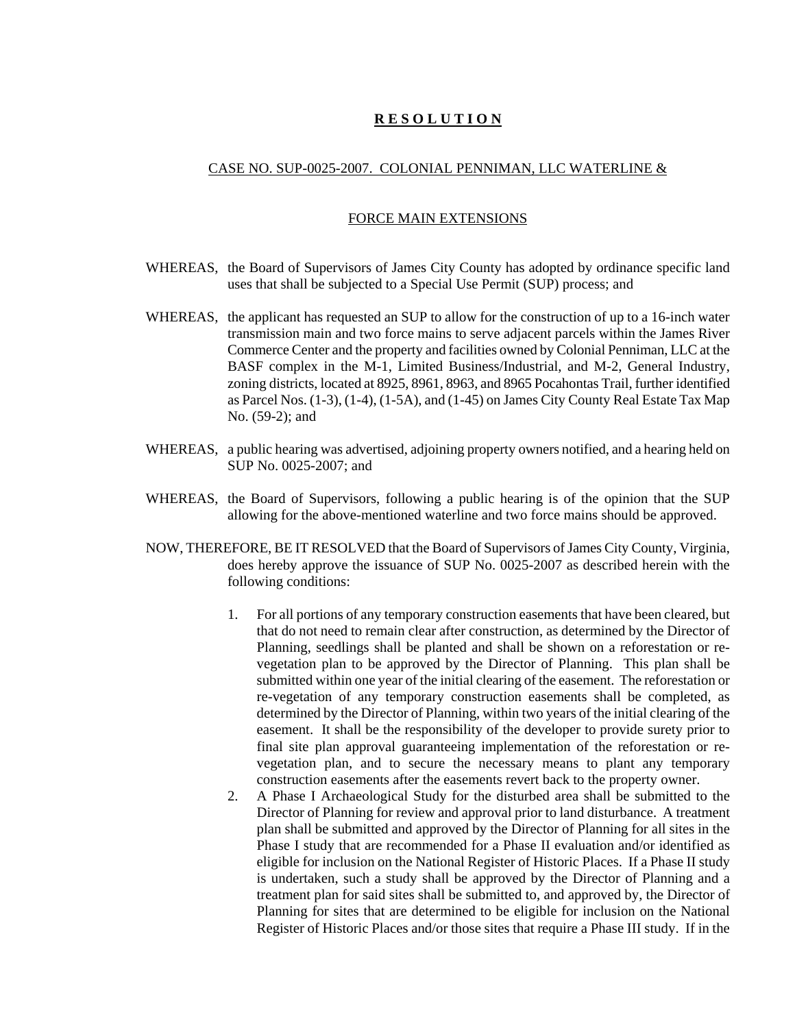# **R E S O L U T I O N**

#### CASE NO. SUP-0025-2007. COLONIAL PENNIMAN, LLC WATERLINE &

#### FORCE MAIN EXTENSIONS

- WHEREAS, the Board of Supervisors of James City County has adopted by ordinance specific land uses that shall be subjected to a Special Use Permit (SUP) process; and
- WHEREAS, the applicant has requested an SUP to allow for the construction of up to a 16-inch water transmission main and two force mains to serve adjacent parcels within the James River Commerce Center and the property and facilities owned by Colonial Penniman, LLC at the BASF complex in the M-1, Limited Business/Industrial, and M-2, General Industry, zoning districts, located at 8925, 8961, 8963, and 8965 Pocahontas Trail, further identified as Parcel Nos. (1-3), (1-4), (1-5A), and (1-45) on James City County Real Estate Tax Map No. (59-2); and
- WHEREAS, a public hearing was advertised, adjoining property owners notified, and a hearing held on SUP No. 0025-2007; and
- WHEREAS, the Board of Supervisors, following a public hearing is of the opinion that the SUP allowing for the above-mentioned waterline and two force mains should be approved.
- NOW, THEREFORE, BE IT RESOLVED that the Board of Supervisors of James City County, Virginia, does hereby approve the issuance of SUP No. 0025-2007 as described herein with the following conditions:
	- 1. For all portions of any temporary construction easements that have been cleared, but that do not need to remain clear after construction, as determined by the Director of Planning, seedlings shall be planted and shall be shown on a reforestation or revegetation plan to be approved by the Director of Planning. This plan shall be submitted within one year of the initial clearing of the easement. The reforestation or re-vegetation of any temporary construction easements shall be completed, as determined by the Director of Planning, within two years of the initial clearing of the easement. It shall be the responsibility of the developer to provide surety prior to final site plan approval guaranteeing implementation of the reforestation or revegetation plan, and to secure the necessary means to plant any temporary construction easements after the easements revert back to the property owner.
	- 2. A Phase I Archaeological Study for the disturbed area shall be submitted to the Director of Planning for review and approval prior to land disturbance. A treatment plan shall be submitted and approved by the Director of Planning for all sites in the Phase I study that are recommended for a Phase II evaluation and/or identified as eligible for inclusion on the National Register of Historic Places. If a Phase II study is undertaken, such a study shall be approved by the Director of Planning and a treatment plan for said sites shall be submitted to, and approved by, the Director of Planning for sites that are determined to be eligible for inclusion on the National Register of Historic Places and/or those sites that require a Phase III study. If in the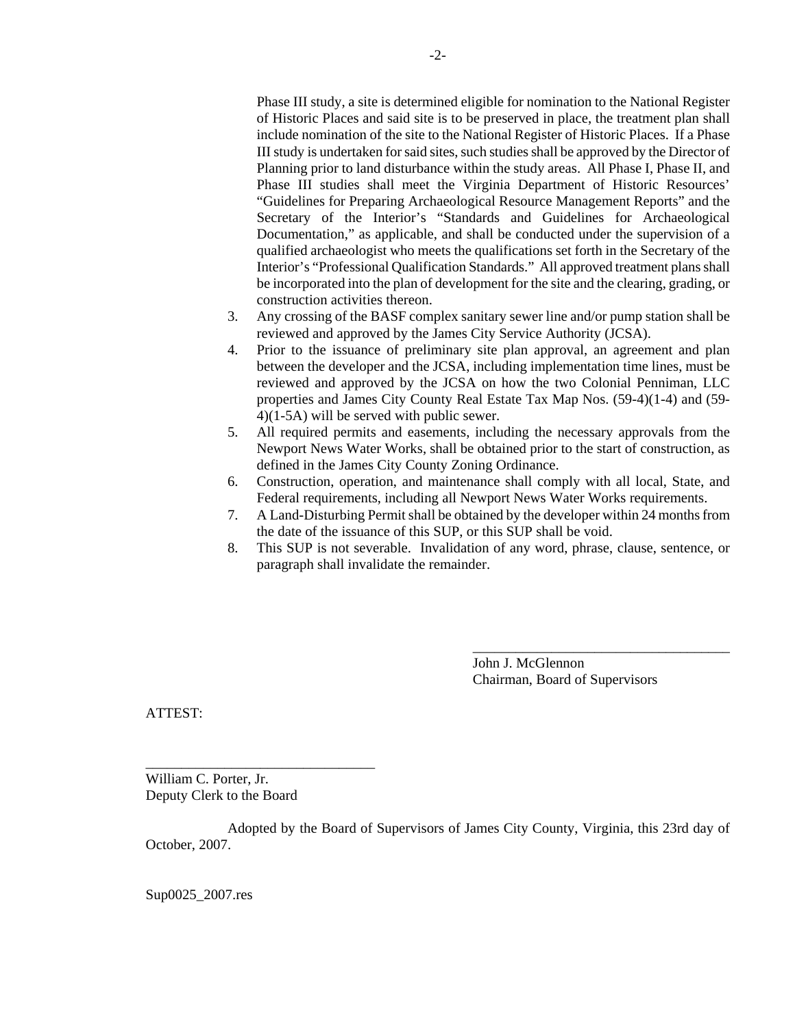Phase III study, a site is determined eligible for nomination to the National Register of Historic Places and said site is to be preserved in place, the treatment plan shall include nomination of the site to the National Register of Historic Places. If a Phase III study is undertaken for said sites, such studies shall be approved by the Director of Planning prior to land disturbance within the study areas. All Phase I, Phase II, and Phase III studies shall meet the Virginia Department of Historic Resources' "Guidelines for Preparing Archaeological Resource Management Reports" and the Secretary of the Interior's "Standards and Guidelines for Archaeological Documentation," as applicable, and shall be conducted under the supervision of a qualified archaeologist who meets the qualifications set forth in the Secretary of the Interior's "Professional Qualification Standards." All approved treatment plans shall be incorporated into the plan of development for the site and the clearing, grading, or construction activities thereon.

- 3. Any crossing of the BASF complex sanitary sewer line and/or pump station shall be reviewed and approved by the James City Service Authority (JCSA).
- 4. Prior to the issuance of preliminary site plan approval, an agreement and plan between the developer and the JCSA, including implementation time lines, must be reviewed and approved by the JCSA on how the two Colonial Penniman, LLC properties and James City County Real Estate Tax Map Nos. (59-4)(1-4) and (59- 4)(1-5A) will be served with public sewer.
- 5. All required permits and easements, including the necessary approvals from the Newport News Water Works, shall be obtained prior to the start of construction, as defined in the James City County Zoning Ordinance.
- 6. Construction, operation, and maintenance shall comply with all local, State, and Federal requirements, including all Newport News Water Works requirements.
- 7. A Land-Disturbing Permit shall be obtained by the developer within 24 months from the date of the issuance of this SUP, or this SUP shall be void.
- 8. This SUP is not severable. Invalidation of any word, phrase, clause, sentence, or paragraph shall invalidate the remainder.

John J. McGlennon Chairman, Board of Supervisors

\_\_\_\_\_\_\_\_\_\_\_\_\_\_\_\_\_\_\_\_\_\_\_\_\_\_\_\_\_\_\_\_\_\_\_\_

ATTEST:

William C. Porter, Jr. Deputy Clerk to the Board

\_\_\_\_\_\_\_\_\_\_\_\_\_\_\_\_\_\_\_\_\_\_\_\_\_\_\_\_\_\_\_\_

Adopted by the Board of Supervisors of James City County, Virginia, this 23rd day of October, 2007.

Sup0025\_2007.res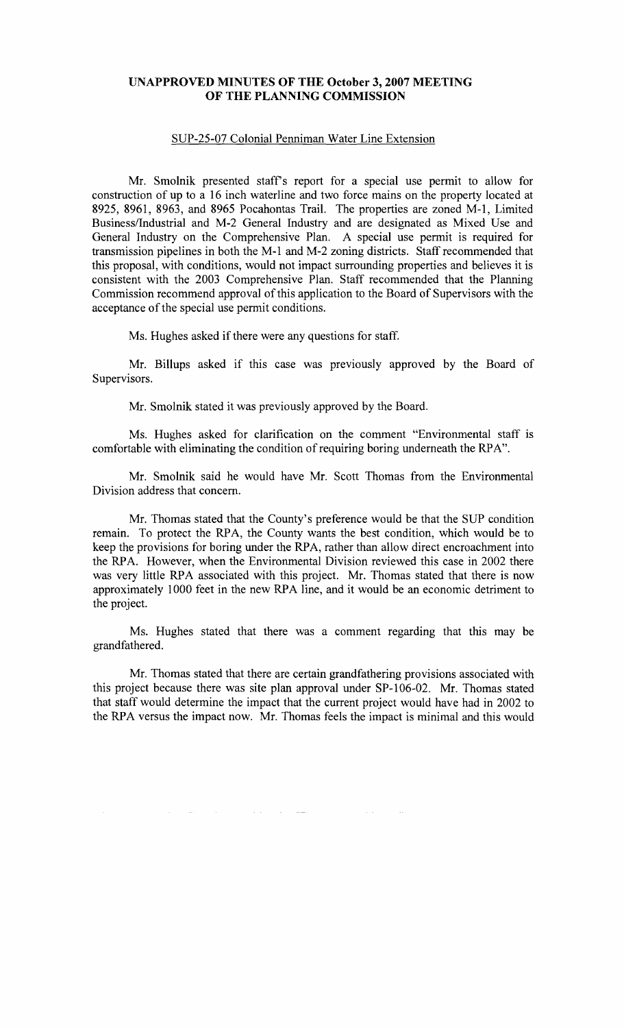# **UNAPPROVED MINUTES OF THE October 3, 2007 MEETING OF THE PLANNING COMMISSION**

# SUP-25-07 Colonial Penniman Water Line Extension

Mr. Smolnik presented staffs report for a special use permit to allow for construction of up to a 16 inch waterline and two force mains on the property located at 8925, 8961, 8963, and 8965 Pocahontas Trail. The properties are zoned M-l, Limited Business/Industrial and M-2 General Industry and are designated as Mixed Use and General Industry on the Comprehensive Plan. A special use permit is required for transmission pipelines in both the M-l and M-2 zoning districts. Staff recommended that this proposal, with conditions, would not impact surrounding properties and believes it is consistent with the 2003 Comprehensive Plan. Staff recommended that the Planning Commission recommend approval of this application to the Board of Supervisors with the acceptance of the special use permit conditions.

Ms. Hughes asked if there were any questions for staff.

Mr. Billups asked if this case was previously approved by the Board of Supervisors.

Mr. Smolnik stated it was previously approved by the Board.

Ms. Hughes asked for clarification on the comment "Environmental staff is comfortable with eliminating the condition of requiring boring underneath the RPA".

Mr. Smolnik said he would have Mr. Scott Thomas from the Environmental Division address that concern.

Mr. Thomas stated that the County's preference would be that the SUP condition remain. To protect the RPA, the County wants the best condition, which would be to keep the provisions for boring under the RPA, rather than allow direct encroachment into the RPA. However, when the Environmental Division reviewed this case in 2002 there was very little RPA associated with this project. Mr. Thomas stated that there is now approximately 1000 feet in the new RPA line, and it would be an economic detriment to the project.

Ms. Hughes stated that there was a comment regarding that this may be grandfathered.

Mr. Thomas stated that there are certain grandfathering provisions associated with this project because there was site plan approval under SP-I06-02. Mr. Thomas stated that staff would determine the impact that the current project would have had in 2002 to the RPA versus the impact now. Mr. Thomas feels the impact is minimal and this would

 $\mathcal{L}^{\text{max}}_{\text{max}}$ 

 $\sim$   $\sim$ 

 $\mathcal{A}$  is a simple polarization of the set of the simple space  $\mathcal{A}$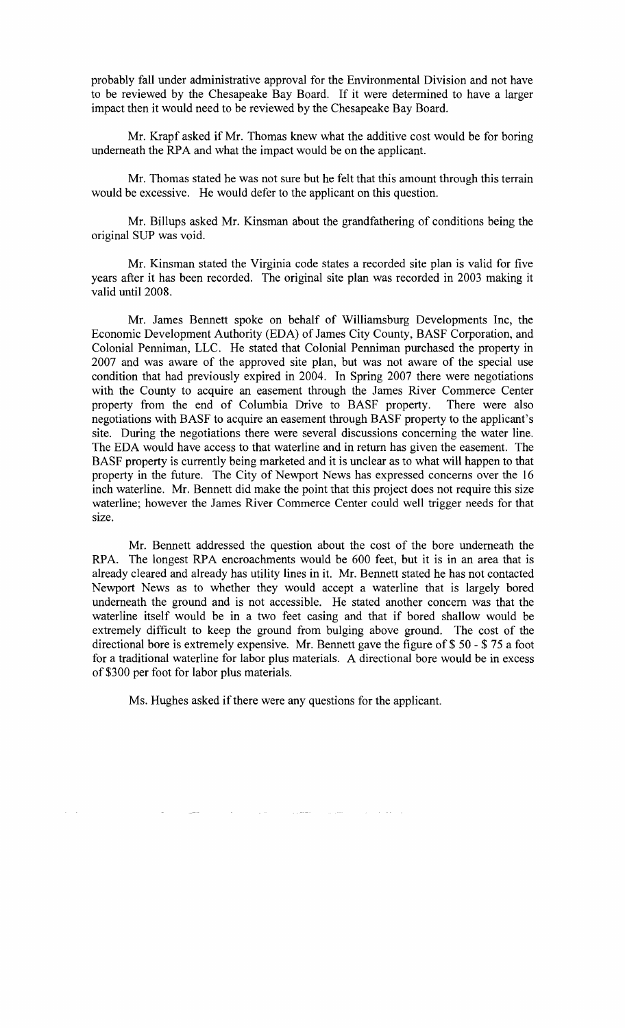probably fall under administrative approval for the Environmental Division and not have to be reviewed by the Chesapeake Bay Board. If it were determined to have a larger impact then it would need to be reviewed by the Chesapeake Bay Board.

Mr. Krapf asked if Mr. Thomas knew what the additive cost would be for boring underneath the RPA and what the impact would be on the applicant.

Mr. Thomas stated he was not sure but he felt that this amount through this terrain would be excessive. He would defer to the applicant on this question.

Mr. Billups asked Mr. Kinsman about the grandfathering of conditions being the original SUP was void.

Mr. Kinsman stated the Virginia code states a recorded site plan is valid for five years after it has been recorded. The original site plan was recorded in 2003 making it valid until 2008.

Mr. James Bennett spoke on behalf of Williamsburg Developments Inc, the Economic Development Authority (EDA) of James City County, BASF Corporation, and Colonial Penniman, LLC. He stated that Colonial Penniman purchased the property in 2007 and was aware of the approved site plan, but was not aware of the special use condition that had previously expired in 2004. In Spring 2007 there were negotiations with the County to acquire an easement through the James River Commerce Center property from the end of Columbia Drive to BASF property. There were also negotiations with BASF to acquire an easement through BASF property to the applicant's site. During the negotiations there were several discussions concerning the water line. The EDA would have access to that waterline and in return has given the easement. The BASF property is currently being marketed and it is unclear as to what will happen to that property in the future. The City of Newport News has expressed concerns over the 16 inch waterline. Mr. Bennett did make the point that this project does not require this size waterline; however the James River Commerce Center could well trigger needs for that size.

Mr. Bennett addressed the question about the cost of the bore underneath the RPA. The longest RPA encroachments would be 600 feet, but it is in an area that is already cleared and already has utility lines in it. Mr. Bennett stated he has not contacted Newport News as to whether they would accept a waterline that is largely bored underneath the ground and is not accessible. He stated another concern was that the waterline itself would be in a two feet casing and that if bored shallow would be extremely difficult to keep the ground from bulging above ground. The cost of the directional bore is extremely expensive. Mr. Bennett gave the figure of \$ 50 - \$ 75 a foot for a traditional waterline for labor plus materials. A directional bore would be in excess of \$300 per foot for labor plus materials.

 $\label{eq:2.1} \begin{array}{cccccccccc} \mathcal{L}_{\mathcal{A}} & \mathcal{L}_{\mathcal{B}} & \mathcal{L}_{\mathcal{B}} & \mathcal{L}_{\mathcal{B}} & \mathcal{L}_{\mathcal{B}} & \mathcal{L}_{\mathcal{B}} & \mathcal{L}_{\mathcal{B}} & \mathcal{L}_{\mathcal{B}} & \mathcal{L}_{\mathcal{B}} & \mathcal{L}_{\mathcal{B}} & \mathcal{L}_{\mathcal{B}} & \mathcal{L}_{\mathcal{B}} & \mathcal{L}_{\mathcal{B}} & \mathcal{L}_{\mathcal{B}} & \mathcal{L}_{\mathcal{B}} & \mathcal{L}_{\$ 

Ms. Hughes asked if there were any questions for the applicant.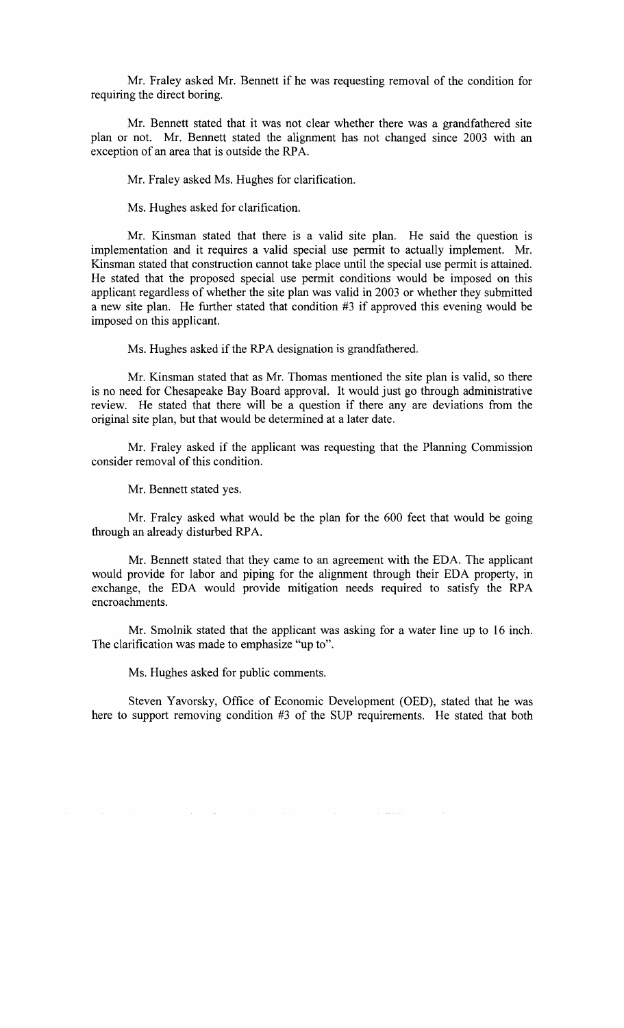Mr. Fraley asked Mr. Bennett if he was requesting removal of the condition for requiring the direct boring.

Mr. Bennett stated that it was not clear whether there was a grandfathered site plan or not. Mr. Bennett stated the alignment has not changed since 2003 with an exception of an area that is outside the RPA.

Mr. Fraley asked Ms. Hughes for clarification.

Ms. Hughes asked for clarification.

Mr. Kinsman stated that there is a valid site plan. He said the question is implementation and it requires a valid special use permit to actually implement. Mr. Kinsman stated that construction cannot take place until the special use permit is attained. He stated that the proposed special use permit conditions would be imposed on this applicant regardless of whether the site plan was valid in 2003 or whether they submitted a new site plan. He further stated that condition #3 if approved this evening would be imposed on this applicant.

Ms. Hughes asked if the RPA designation is grandfathered.

Mr. Kinsman stated that as Mr. Thomas mentioned the site plan is valid, so there is no need for Chesapeake Bay Board approval. It would just go through administrative review. He stated that there will be a question if there any are deviations from the original site plan, but that would be determined at a later date.

Mr. Fraley asked if the applicant was requesting that the Planning Commission consider removal of this condition.

Mr. Bennett stated yes.

 $\sim 10^7$ 

 $\sim 10^{-1}$ 

Mr. Fraley asked what would be the plan for the 600 feet that would be going through an already disturbed RPA.

Mr. Bennett stated that they came to an agreement with the EDA. The applicant would provide for labor and piping for the alignment through their EDA property, in exchange, the EDA would provide mitigation needs required to satisfy the RPA encroachments.

Mr. Smolnik stated that the applicant was asking for a water line up to 16 inch. The clarification was made to emphasize "up to".

Ms. Hughes asked for public comments.

 $\mathcal{L}(\mathcal{A})$  and  $\mathcal{L}(\mathcal{A})$ 

Steven Yavorsky, Office of Economic Development (OED), stated that he was here to support removing condition #3 of the SUP requirements. He stated that both

 $\sim 10^6$ 

المتحصات

 $\sim 10^{11}$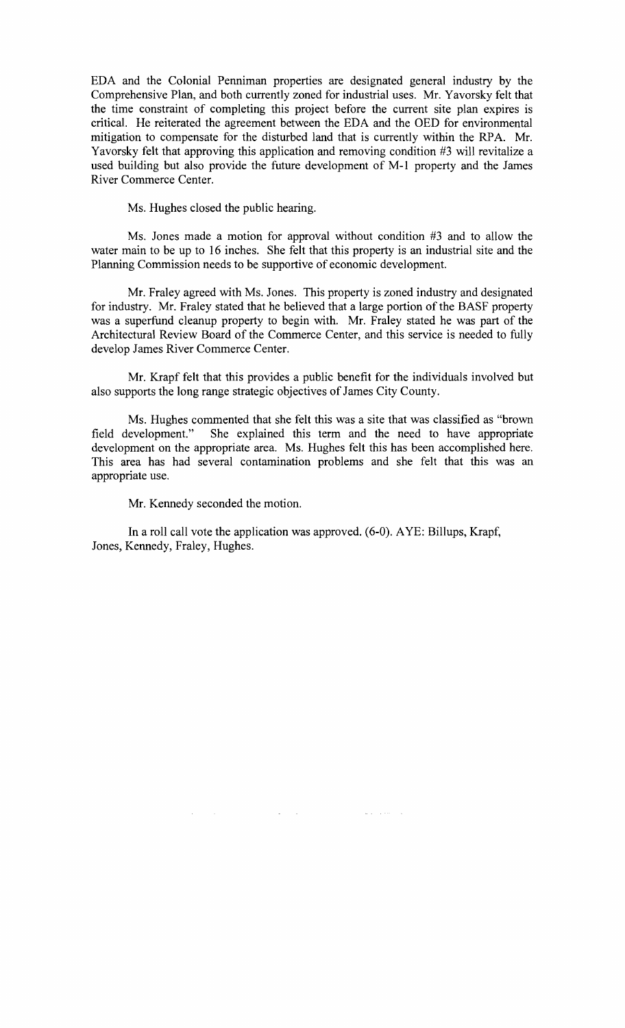EDA and the Colonial Penniman properties are designated general industry by the Comprehensive Plan, and both currently zoned for industrial uses. Mr. Yavorsky felt that the time constraint of completing this project before the current site plan expires is critical. He reiterated the agreement between the EDA and the OED for environmental mitigation to compensate for the disturbed land that is currently within the RPA. Mr. Yavorsky felt that approving this application and removing condition #3 will revitalize a used building but also provide the future development of M-l property and the James River Commerce Center.

Ms. Hughes closed the public hearing.

Ms. Jones made a motion for approval without condition #3 and to allow the water main to be up to 16 inches. She felt that this property is an industrial site and the Planning Commission needs to be supportive of economic development.

Mr. Fraley agreed with Ms. Jones. This property is zoned industry and designated for industry. Mr. Fraley stated that he believed that a large portion of the BASF property was a superfund cleanup property to begin with. Mr. Fraley stated he was part of the Architectural Review Board of the Commerce Center, and this service is needed to fully develop James River Commerce Center.

Mr. Krapf felt that this provides a public benefit for the individuals involved but also supports the long range strategic objectives of James City County.

Ms. Hughes commented that she felt this was a site that was classified as "brown field development." She explained this term and the need to have appropriate development on the appropriate area. Ms. Hughes felt this has been accomplished here. This area has had several contamination problems and she felt that this was an appropriate use.

Mr. Kennedy seconded the motion.

 $\mathcal{A}^{\mathcal{A}}$ 

In a roll call vote the application was approved. (6-0). AYE: Billups, Krapf, Jones, Kennedy, Fraley, Hughes.

 $\mathcal{L}(\mathcal{L})$  ,  $\mathcal{L}(\mathcal{L})$ 

الأراد المحافر الأرابية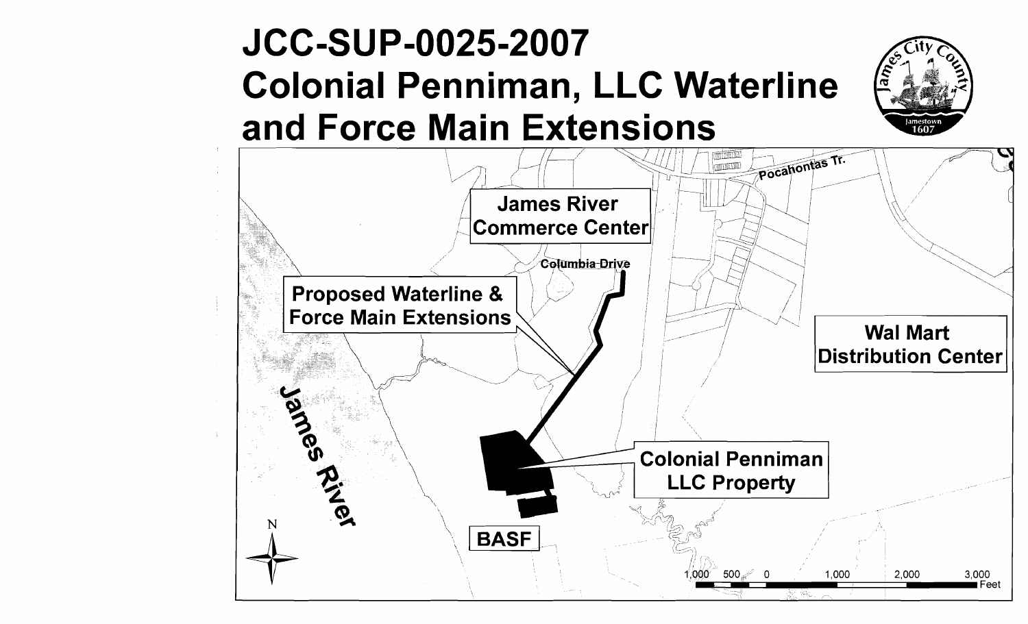# **JCC-SUP-0025-2007 Colonial Penniman, LLC Waterline and Force Main Extensions**



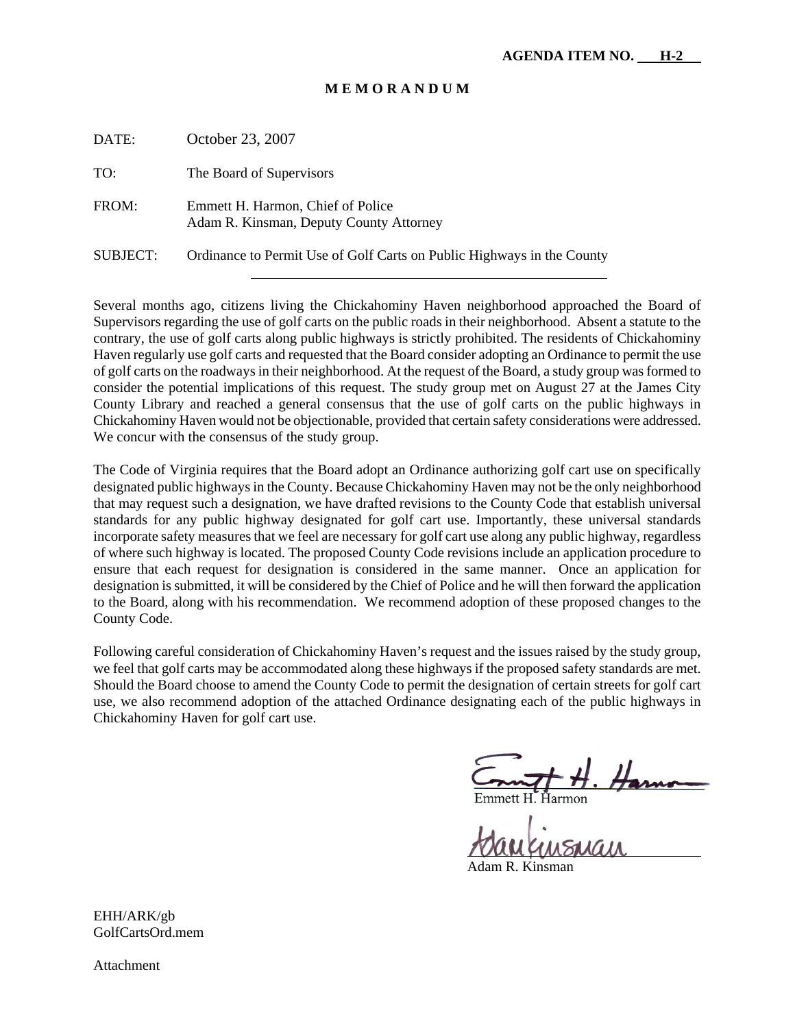#### **M E M O R A N D U M**

| DATE:    | October 23, 2007                                                             |
|----------|------------------------------------------------------------------------------|
| TO:      | The Board of Supervisors                                                     |
| FROM:    | Emmett H. Harmon, Chief of Police<br>Adam R. Kinsman, Deputy County Attorney |
| SUBJECT: | Ordinance to Permit Use of Golf Carts on Public Highways in the County       |

Several months ago, citizens living the Chickahominy Haven neighborhood approached the Board of Supervisors regarding the use of golf carts on the public roads in their neighborhood. Absent a statute to the contrary, the use of golf carts along public highways is strictly prohibited. The residents of Chickahominy Haven regularly use golf carts and requested that the Board consider adopting an Ordinance to permit the use of golf carts on the roadways in their neighborhood. At the request of the Board, a study group was formed to consider the potential implications of this request. The study group met on August 27 at the James City County Library and reached a general consensus that the use of golf carts on the public highways in Chickahominy Haven would not be objectionable, provided that certain safety considerations were addressed. We concur with the consensus of the study group.

The Code of Virginia requires that the Board adopt an Ordinance authorizing golf cart use on specifically designated public highways in the County. Because Chickahominy Haven may not be the only neighborhood that may request such a designation, we have drafted revisions to the County Code that establish universal standards for any public highway designated for golf cart use. Importantly, these universal standards incorporate safety measures that we feel are necessary for golf cart use along any public highway, regardless of where such highway is located. The proposed County Code revisions include an application procedure to ensure that each request for designation is considered in the same manner. Once an application for designation is submitted, it will be considered by the Chief of Police and he will then forward the application to the Board, along with his recommendation. We recommend adoption of these proposed changes to the County Code.

Following careful consideration of Chickahominy Haven's request and the issues raised by the study group, we feel that golf carts may be accommodated along these highways if the proposed safety standards are met. Should the Board choose to amend the County Code to permit the designation of certain streets for golf cart use, we also recommend adoption of the attached Ordinance designating each of the public highways in Chickahominy Haven for golf cart use.

Ĥarmon

 $\overline{a}$ 

Adam R. Kinsman

EHH/ARK/gb GolfCartsOrd.mem

Attachment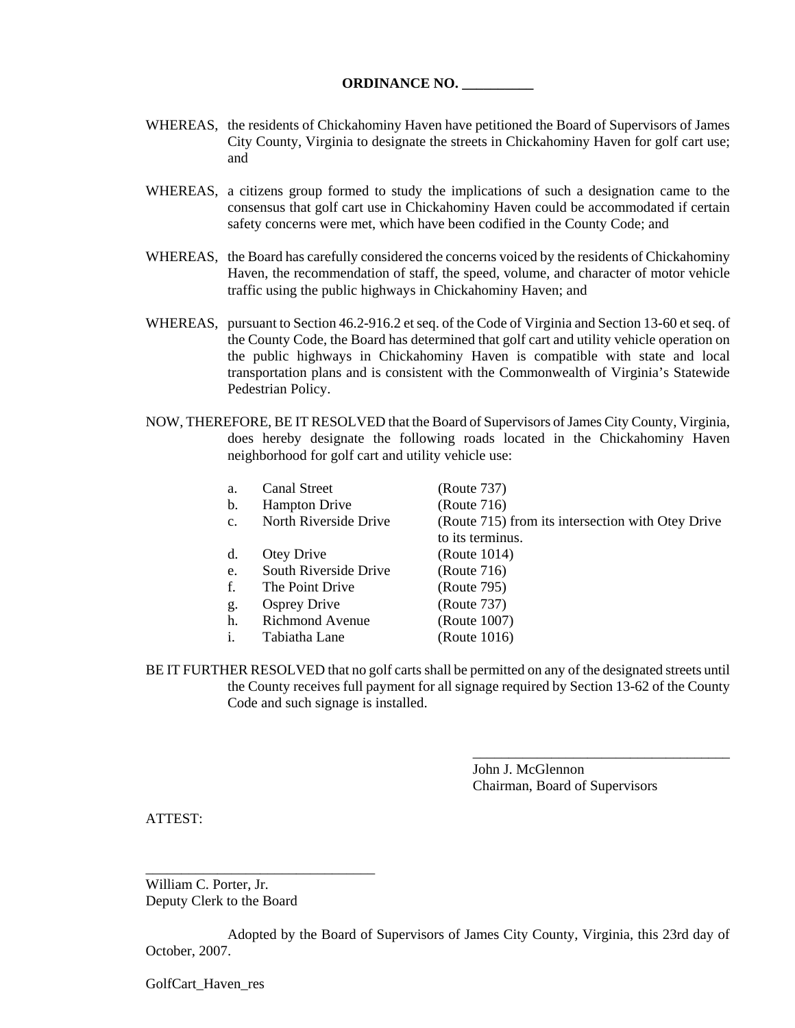- WHEREAS, the residents of Chickahominy Haven have petitioned the Board of Supervisors of James City County, Virginia to designate the streets in Chickahominy Haven for golf cart use; and
- WHEREAS, a citizens group formed to study the implications of such a designation came to the consensus that golf cart use in Chickahominy Haven could be accommodated if certain safety concerns were met, which have been codified in the County Code; and
- WHEREAS, the Board has carefully considered the concerns voiced by the residents of Chickahominy Haven, the recommendation of staff, the speed, volume, and character of motor vehicle traffic using the public highways in Chickahominy Haven; and
- WHEREAS, pursuant to Section 46.2-916.2 et seq. of the Code of Virginia and Section 13-60 et seq. of the County Code, the Board has determined that golf cart and utility vehicle operation on the public highways in Chickahominy Haven is compatible with state and local transportation plans and is consistent with the Commonwealth of Virginia's Statewide Pedestrian Policy.
- NOW, THEREFORE, BE IT RESOLVED that the Board of Supervisors of James City County, Virginia, does hereby designate the following roads located in the Chickahominy Haven neighborhood for golf cart and utility vehicle use:

| a.             | <b>Canal Street</b>   | (Route 737)                                       |
|----------------|-----------------------|---------------------------------------------------|
| b.             | <b>Hampton Drive</b>  | (Route 716)                                       |
| $\mathbf{c}$ . | North Riverside Drive | (Route 715) from its intersection with Otey Drive |
|                |                       | to its terminus.                                  |
| d.             | Otey Drive            | (Route 1014)                                      |
| e.             | South Riverside Drive | (Route 716)                                       |
| f.             | The Point Drive       | (Route 795)                                       |
| g.             | <b>Osprey Drive</b>   | (Route 737)                                       |
| h.             | Richmond Avenue       | (Route 1007)                                      |
| i.             | Tabiatha Lane         | (Route 1016)                                      |
|                |                       |                                                   |

BE IT FURTHER RESOLVED that no golf carts shall be permitted on any of the designated streets until the County receives full payment for all signage required by Section 13-62 of the County Code and such signage is installed.

> John J. McGlennon Chairman, Board of Supervisors

\_\_\_\_\_\_\_\_\_\_\_\_\_\_\_\_\_\_\_\_\_\_\_\_\_\_\_\_\_\_\_\_\_\_\_\_

ATTEST:

William C. Porter, Jr. Deputy Clerk to the Board

\_\_\_\_\_\_\_\_\_\_\_\_\_\_\_\_\_\_\_\_\_\_\_\_\_\_\_\_\_\_\_\_

Adopted by the Board of Supervisors of James City County, Virginia, this 23rd day of October, 2007.

GolfCart\_Haven\_res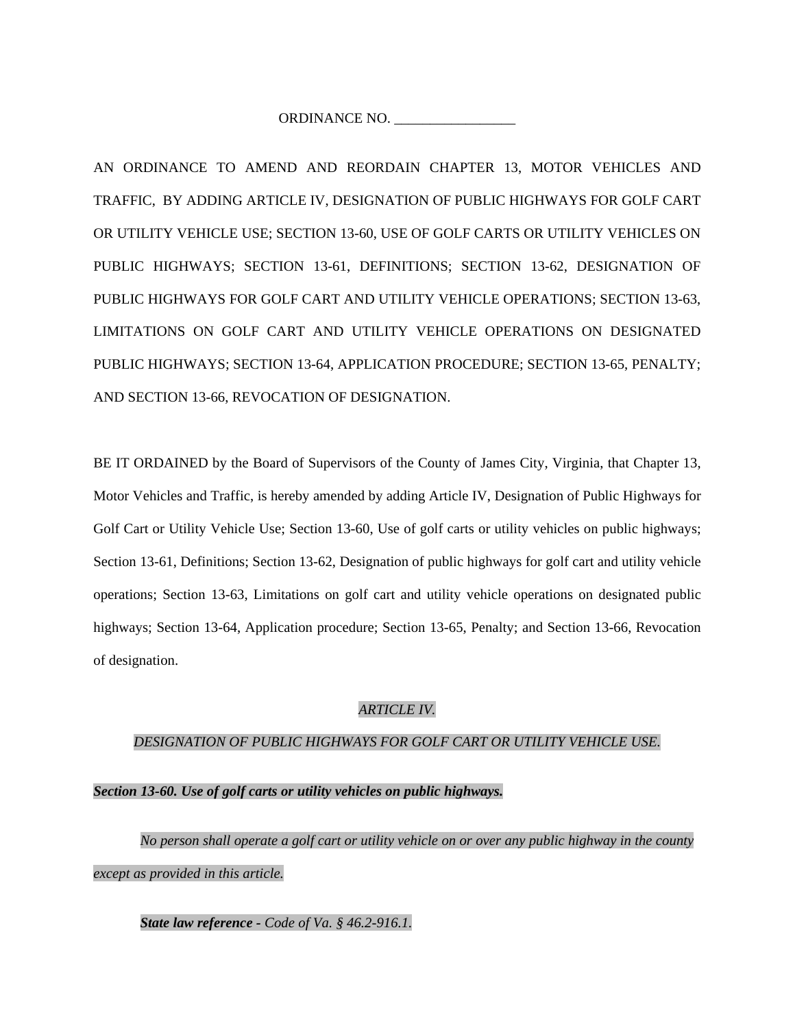ORDINANCE NO.

AN ORDINANCE TO AMEND AND REORDAIN CHAPTER 13, MOTOR VEHICLES AND TRAFFIC, BY ADDING ARTICLE IV, DESIGNATION OF PUBLIC HIGHWAYS FOR GOLF CART OR UTILITY VEHICLE USE; SECTION 13-60, USE OF GOLF CARTS OR UTILITY VEHICLES ON PUBLIC HIGHWAYS; SECTION 13-61, DEFINITIONS; SECTION 13-62, DESIGNATION OF PUBLIC HIGHWAYS FOR GOLF CART AND UTILITY VEHICLE OPERATIONS; SECTION 13-63, LIMITATIONS ON GOLF CART AND UTILITY VEHICLE OPERATIONS ON DESIGNATED PUBLIC HIGHWAYS; SECTION 13-64, APPLICATION PROCEDURE; SECTION 13-65, PENALTY; AND SECTION 13-66, REVOCATION OF DESIGNATION.

BE IT ORDAINED by the Board of Supervisors of the County of James City, Virginia, that Chapter 13, Motor Vehicles and Traffic, is hereby amended by adding Article IV, Designation of Public Highways for Golf Cart or Utility Vehicle Use; Section 13-60, Use of golf carts or utility vehicles on public highways; Section 13-61, Definitions; Section 13-62, Designation of public highways for golf cart and utility vehicle operations; Section 13-63, Limitations on golf cart and utility vehicle operations on designated public highways; Section 13-64, Application procedure; Section 13-65, Penalty; and Section 13-66, Revocation of designation.

# *ARTICLE IV.*

# *DESIGNATION OF PUBLIC HIGHWAYS FOR GOLF CART OR UTILITY VEHICLE USE.*

#### *Section 13-60. Use of golf carts or utility vehicles on public highways.*

*No person shall operate a golf cart or utility vehicle on or over any public highway in the county except as provided in this article.* 

*State law reference - Code of Va. § 46.2-916.1.*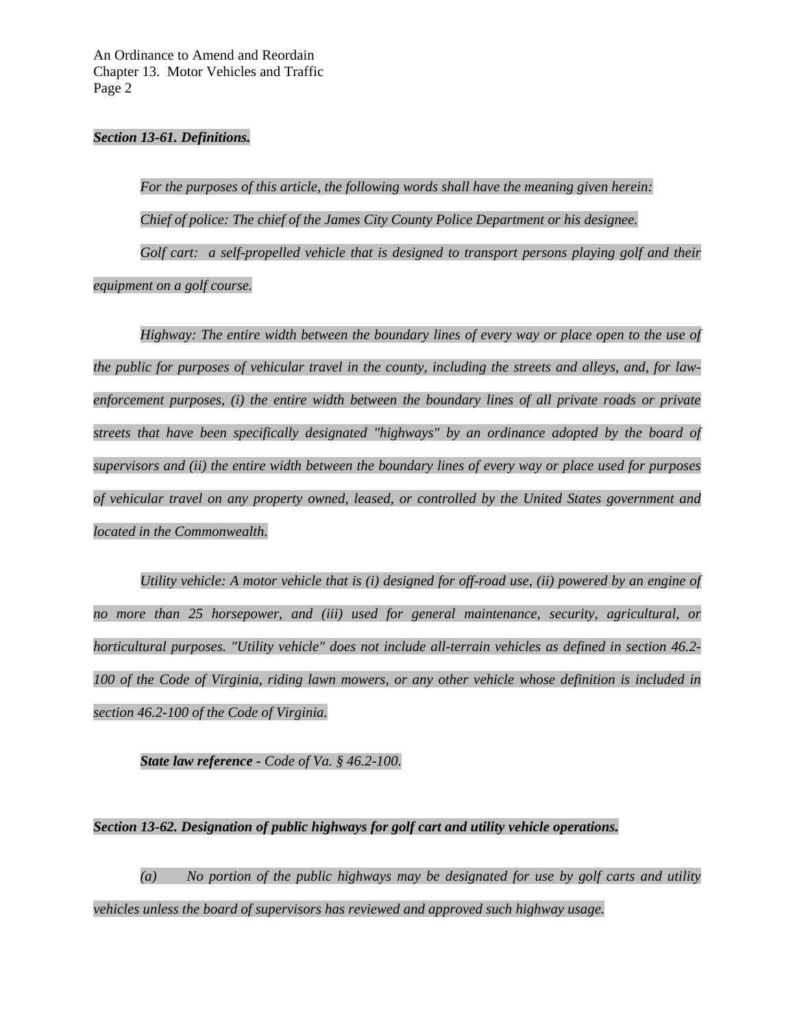An Ordinance to Amend and Reordain Chapter 13. Motor Vehicles and Traffic Page 2

#### *Section 13-61. Definitions.*

*For the purposes of this article, the following words shall have the meaning given herein: Chief of police: The chief of the James City County Police Department or his designee. Golf cart: a self-propelled vehicle that is designed to transport persons playing golf and their equipment on a golf course.* 

*Highway: The entire width between the boundary lines of every way or place open to the use of the public for purposes of vehicular travel in the county, including the streets and alleys, and, for lawenforcement purposes, (i) the entire width between the boundary lines of all private roads or private streets that have been specifically designated "highways" by an ordinance adopted by the board of supervisors and (ii) the entire width between the boundary lines of every way or place used for purposes of vehicular travel on any property owned, leased, or controlled by the United States government and located in the Commonwealth.* 

*Utility vehicle: A motor vehicle that is (i) designed for off-road use, (ii) powered by an engine of no more than 25 horsepower, and (iii) used for general maintenance, security, agricultural, or horticultural purposes. "Utility vehicle" does not include all-terrain vehicles as defined in section 46.2- 100 of the Code of Virginia, riding lawn mowers, or any other vehicle whose definition is included in section 46.2-100 of the Code of Virginia.* 

*State law reference - Code of Va. § 46.2-100.* 

#### *Section 13-62. Designation of public highways for golf cart and utility vehicle operations.*

*(a) No portion of the public highways may be designated for use by golf carts and utility vehicles unless the board of supervisors has reviewed and approved such highway usage.*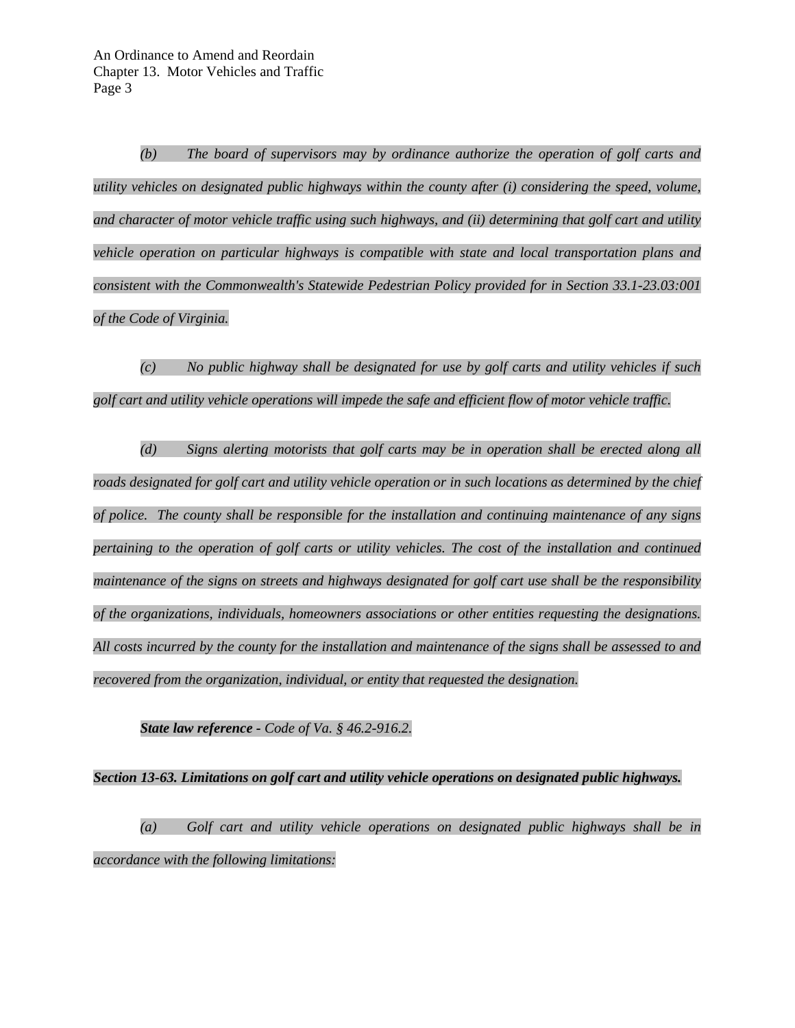*(b) The board of supervisors may by ordinance authorize the operation of golf carts and utility vehicles on designated public highways within the county after (i) considering the speed, volume, and character of motor vehicle traffic using such highways, and (ii) determining that golf cart and utility vehicle operation on particular highways is compatible with state and local transportation plans and consistent with the Commonwealth's Statewide Pedestrian Policy provided for in Section 33.1-23.03:001 of the Code of Virginia.* 

*(c) No public highway shall be designated for use by golf carts and utility vehicles if such golf cart and utility vehicle operations will impede the safe and efficient flow of motor vehicle traffic.* 

*(d) Signs alerting motorists that golf carts may be in operation shall be erected along all*  roads designated for golf cart and utility vehicle operation or in such locations as determined by the chief *of police. The county shall be responsible for the installation and continuing maintenance of any signs pertaining to the operation of golf carts or utility vehicles. The cost of the installation and continued maintenance of the signs on streets and highways designated for golf cart use shall be the responsibility of the organizations, individuals, homeowners associations or other entities requesting the designations. All costs incurred by the county for the installation and maintenance of the signs shall be assessed to and recovered from the organization, individual, or entity that requested the designation.* 

#### *State law reference - Code of Va. § 46.2-916.2.*

# *Section 13-63. Limitations on golf cart and utility vehicle operations on designated public highways.*

*(a) Golf cart and utility vehicle operations on designated public highways shall be in accordance with the following limitations:*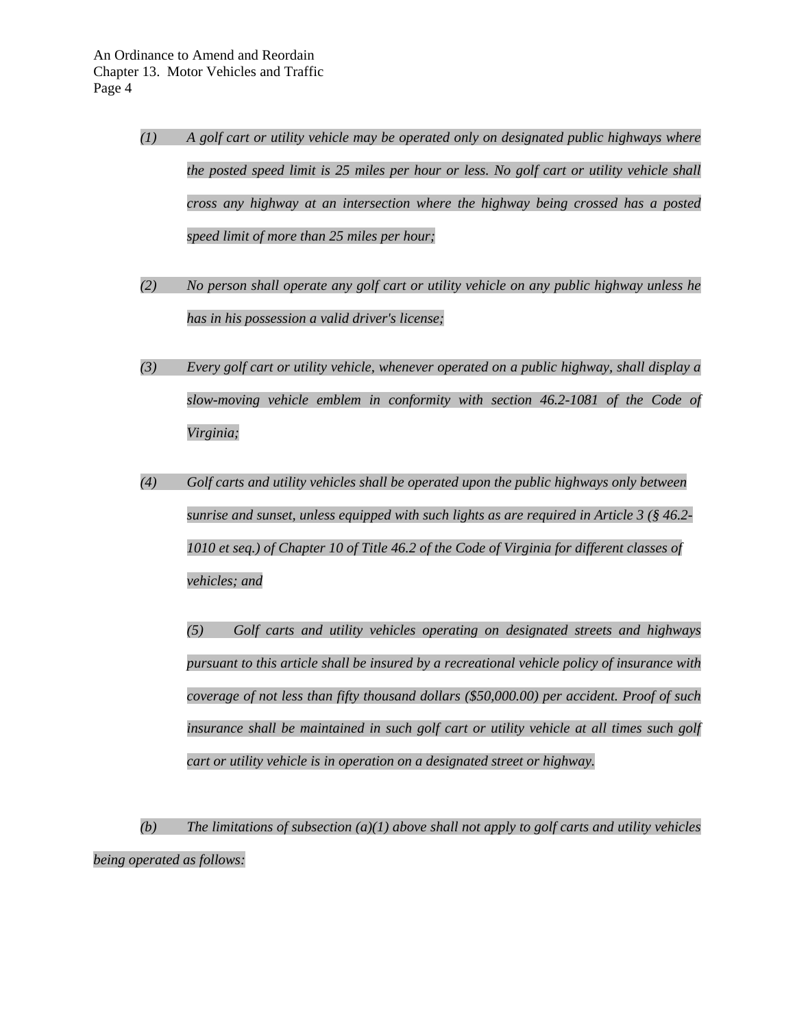- *(1) A golf cart or utility vehicle may be operated only on designated public highways where the posted speed limit is 25 miles per hour or less. No golf cart or utility vehicle shall cross any highway at an intersection where the highway being crossed has a posted speed limit of more than 25 miles per hour;*
- *(2) No person shall operate any golf cart or utility vehicle on any public highway unless he has in his possession a valid driver's license;*
- *(3) Every golf cart or utility vehicle, whenever operated on a public highway, shall display a slow-moving vehicle emblem in conformity with section 46.2-1081 of the Code of Virginia;*
- *(4) Golf carts and utility vehicles shall be operated upon the public highways only between sunrise and sunset, unless equipped with such lights as are required in Article 3 (§ 46.2- 1010 et seq.) of Chapter 10 of Title 46.2 of the Code of Virginia for different classes of vehicles; and*

*(5) Golf carts and utility vehicles operating on designated streets and highways pursuant to this article shall be insured by a recreational vehicle policy of insurance with coverage of not less than fifty thousand dollars (\$50,000.00) per accident. Proof of such*  insurance shall be maintained in such golf cart or utility vehicle at all times such golf *cart or utility vehicle is in operation on a designated street or highway.* 

*(b) The limitations of subsection (a)(1) above shall not apply to golf carts and utility vehicles being operated as follows:*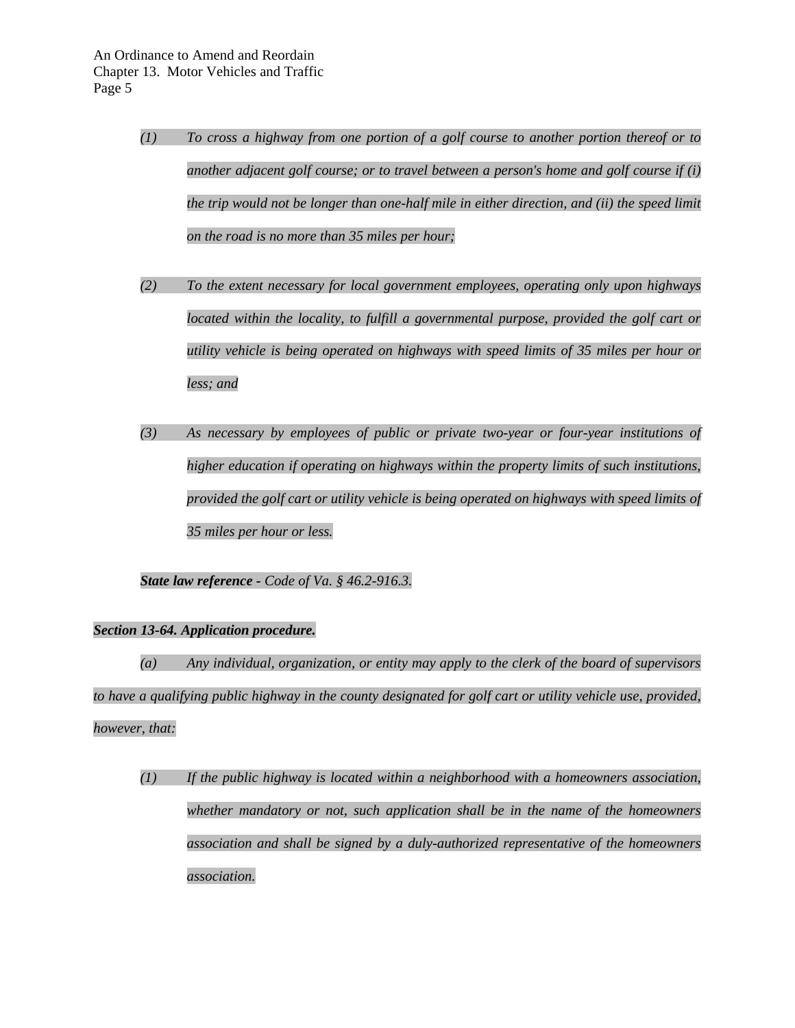- *(1) To cross a highway from one portion of a golf course to another portion thereof or to another adjacent golf course; or to travel between a person's home and golf course if (i) the trip would not be longer than one-half mile in either direction, and (ii) the speed limit on the road is no more than 35 miles per hour;*
- *(2) To the extent necessary for local government employees, operating only upon highways located within the locality, to fulfill a governmental purpose, provided the golf cart or utility vehicle is being operated on highways with speed limits of 35 miles per hour or less; and*
- *(3) As necessary by employees of public or private two-year or four-year institutions of higher education if operating on highways within the property limits of such institutions, provided the golf cart or utility vehicle is being operated on highways with speed limits of 35 miles per hour or less.*

*State law reference - Code of Va. § 46.2-916.3.* 

# *Section 13-64. Application procedure.*

*(a) Any individual, organization, or entity may apply to the clerk of the board of supervisors*  to have a qualifying public highway in the county designated for golf cart or utility vehicle use, provided, *however, that:* 

*(1) If the public highway is located within a neighborhood with a homeowners association, whether mandatory or not, such application shall be in the name of the homeowners association and shall be signed by a duly-authorized representative of the homeowners association.*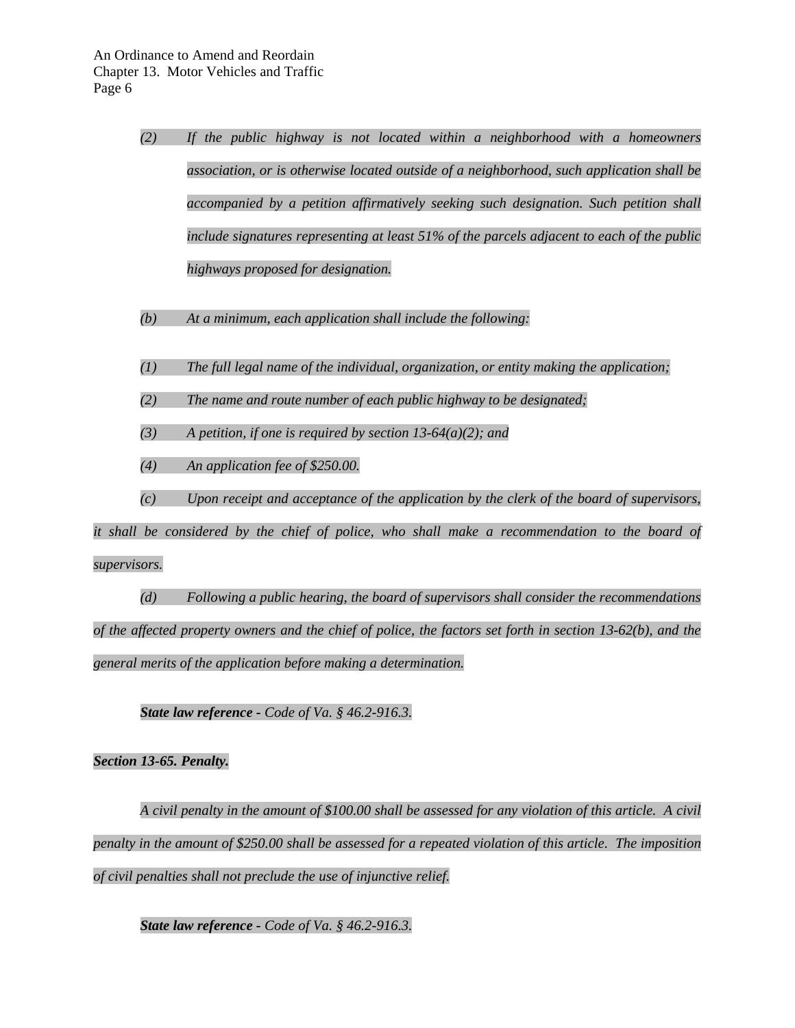|              | (2) | If the public highway is not located within a neighborhood with a homeowners                   |
|--------------|-----|------------------------------------------------------------------------------------------------|
|              |     | association, or is otherwise located outside of a neighborhood, such application shall be      |
|              |     | accompanied by a petition affirmatively seeking such designation. Such petition shall          |
|              |     | include signatures representing at least 51% of the parcels adjacent to each of the public     |
|              |     | highways proposed for designation.                                                             |
|              | (b) | At a minimum, each application shall include the following:                                    |
|              | (1) | The full legal name of the individual, organization, or entity making the application;         |
|              | (2) | The name and route number of each public highway to be designated;                             |
|              | (3) | A petition, if one is required by section 13-64(a)(2); and                                     |
|              | (4) | An application fee of \$250.00.                                                                |
|              | (c) | Upon receipt and acceptance of the application by the clerk of the board of supervisors,       |
|              |     | it shall be considered by the chief of police, who shall make a recommendation to the board of |
| supervisors. |     |                                                                                                |

*(d) Following a public hearing, the board of supervisors shall consider the recommendations of the affected property owners and the chief of police, the factors set forth in section 13-62(b), and the general merits of the application before making a determination.* 

*State law reference - Code of Va. § 46.2-916.3.* 

# *Section 13-65. Penalty.*

*A civil penalty in the amount of \$100.00 shall be assessed for any violation of this article. A civil penalty in the amount of \$250.00 shall be assessed for a repeated violation of this article. The imposition of civil penalties shall not preclude the use of injunctive relief.* 

*State law reference - Code of Va. § 46.2-916.3.*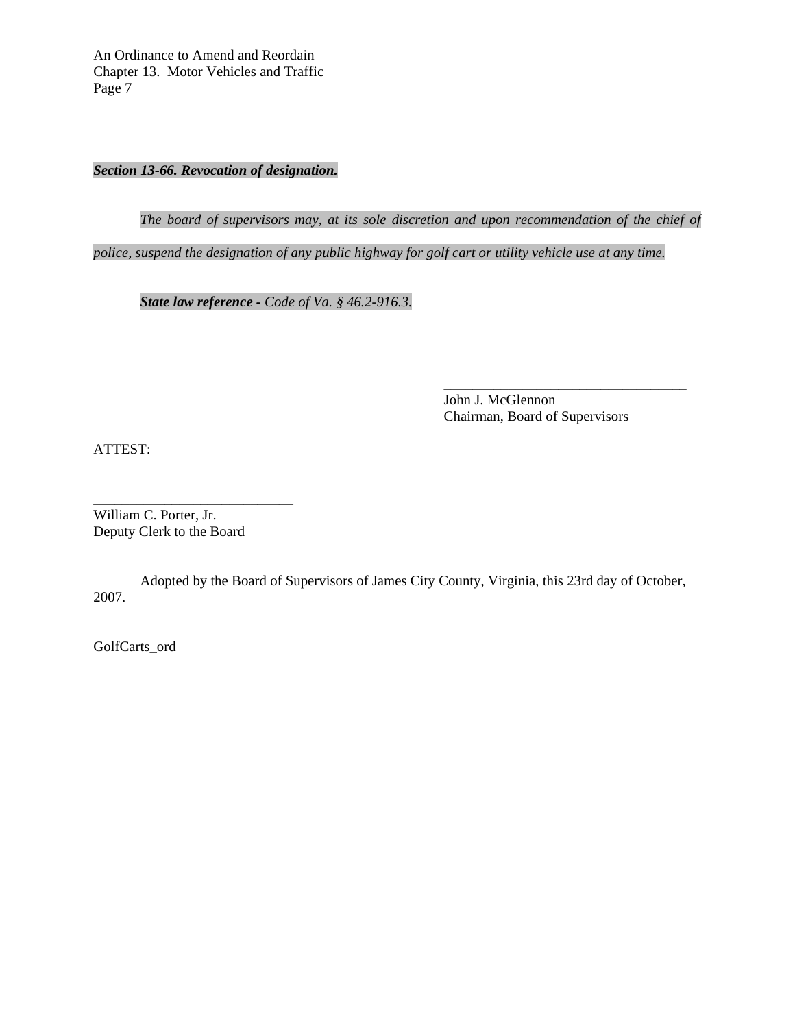An Ordinance to Amend and Reordain Chapter 13. Motor Vehicles and Traffic Page 7

*Section 13-66. Revocation of designation.* 

*The board of supervisors may, at its sole discretion and upon recommendation of the chief of* 

 $\overline{\phantom{a}}$  ,  $\overline{\phantom{a}}$  ,  $\overline{\phantom{a}}$  ,  $\overline{\phantom{a}}$  ,  $\overline{\phantom{a}}$  ,  $\overline{\phantom{a}}$  ,  $\overline{\phantom{a}}$  ,  $\overline{\phantom{a}}$  ,  $\overline{\phantom{a}}$  ,  $\overline{\phantom{a}}$  ,  $\overline{\phantom{a}}$  ,  $\overline{\phantom{a}}$  ,  $\overline{\phantom{a}}$  ,  $\overline{\phantom{a}}$  ,  $\overline{\phantom{a}}$  ,  $\overline{\phantom{a}}$ 

*police, suspend the designation of any public highway for golf cart or utility vehicle use at any time.* 

*State law reference - Code of Va. § 46.2-916.3.* 

John J. McGlennon Chairman, Board of Supervisors

ATTEST:

William C. Porter, Jr. Deputy Clerk to the Board

\_\_\_\_\_\_\_\_\_\_\_\_\_\_\_\_\_\_\_\_\_\_\_\_\_\_\_\_

Adopted by the Board of Supervisors of James City County, Virginia, this 23rd day of October, 2007.

GolfCarts\_ord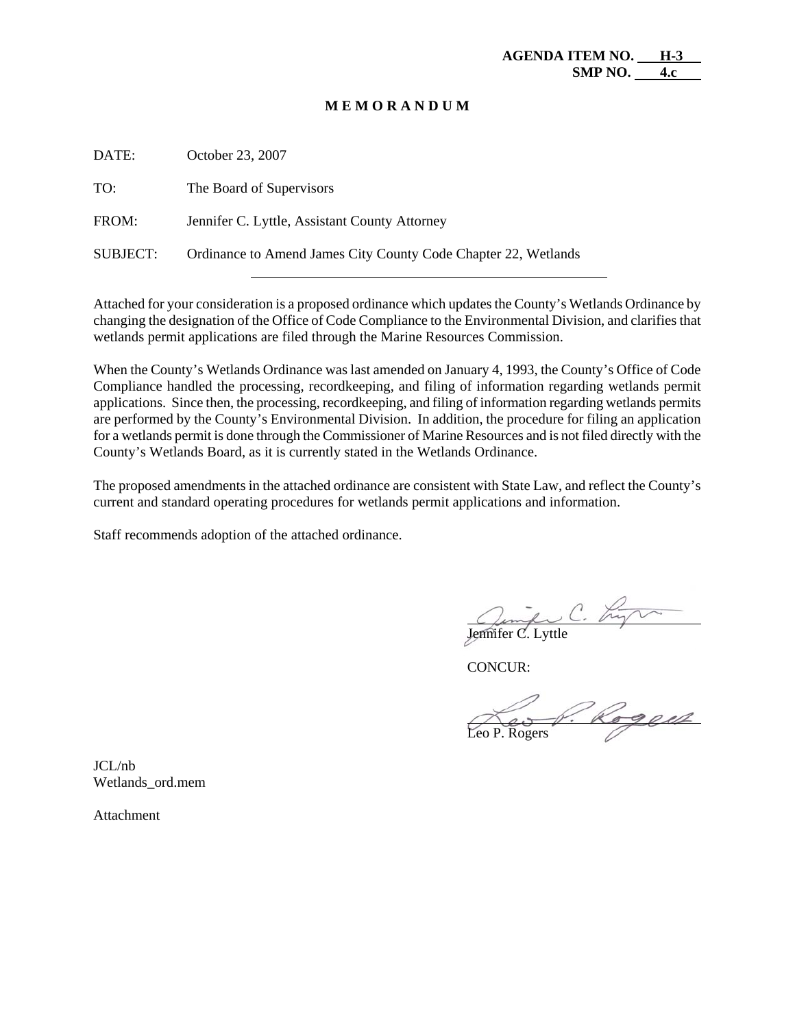#### **M E M O R A N D U M**

| DATE:    | October 23, 2007                                               |
|----------|----------------------------------------------------------------|
| TO:      | The Board of Supervisors                                       |
| FROM:    | Jennifer C. Lyttle, Assistant County Attorney                  |
| SUBJECT: | Ordinance to Amend James City County Code Chapter 22, Wetlands |

Attached for your consideration is a proposed ordinance which updates the County's Wetlands Ordinance by changing the designation of the Office of Code Compliance to the Environmental Division, and clarifies that wetlands permit applications are filed through the Marine Resources Commission.

When the County's Wetlands Ordinance was last amended on January 4, 1993, the County's Office of Code Compliance handled the processing, recordkeeping, and filing of information regarding wetlands permit applications. Since then, the processing, recordkeeping, and filing of information regarding wetlands permits are performed by the County's Environmental Division. In addition, the procedure for filing an application for a wetlands permit is done through the Commissioner of Marine Resources and is not filed directly with the County's Wetlands Board, as it is currently stated in the Wetlands Ordinance.

The proposed amendments in the attached ordinance are consistent with State Law, and reflect the County's current and standard operating procedures for wetlands permit applications and information.

Staff recommends adoption of the attached ordinance.

 $\overline{a}$ 

Jennifer C. Lyttle

CONCUR:

ogen J Leo P. Rogers

JCL/nb Wetlands\_ord.mem

Attachment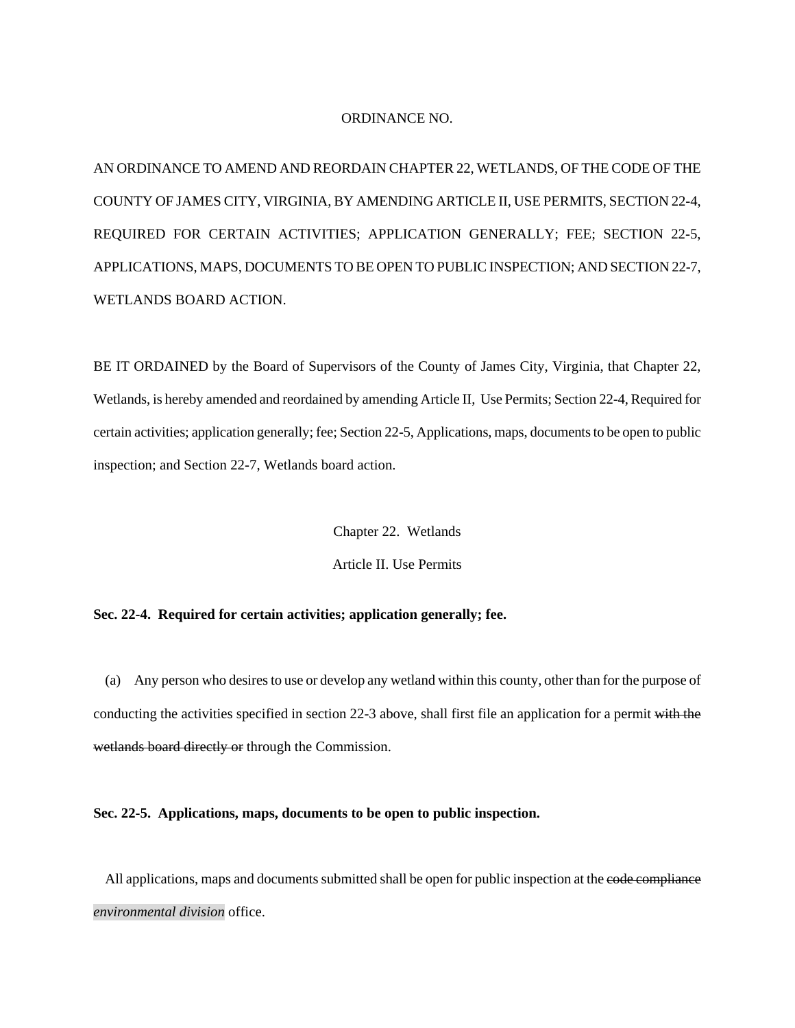#### ORDINANCE NO.

AN ORDINANCE TO AMEND AND REORDAIN CHAPTER 22, WETLANDS, OF THE CODE OF THE COUNTY OF JAMES CITY, VIRGINIA, BY AMENDING ARTICLE II, USE PERMITS, SECTION 22-4, REQUIRED FOR CERTAIN ACTIVITIES; APPLICATION GENERALLY; FEE; SECTION 22-5, APPLICATIONS, MAPS, DOCUMENTS TO BE OPEN TO PUBLIC INSPECTION; AND SECTION 22-7, WETLANDS BOARD ACTION.

BE IT ORDAINED by the Board of Supervisors of the County of James City, Virginia, that Chapter 22, Wetlands, is hereby amended and reordained by amending Article II, Use Permits; Section 22-4, Required for certain activities; application generally; fee; Section 22-5, Applications, maps, documents to be open to public inspection; and Section 22-7, Wetlands board action.

Chapter 22. Wetlands

Article II. Use Permits

# **Sec. 22-4. Required for certain activities; application generally; fee.**

(a) Any person who desires to use or develop any wetland within this county, other than for the purpose of conducting the activities specified in section 22-3 above, shall first file an application for a permit with the wetlands board directly or through the Commission.

#### **Sec. 22-5. Applications, maps, documents to be open to public inspection.**

All applications, maps and documents submitted shall be open for public inspection at the code compliance *environmental division* office.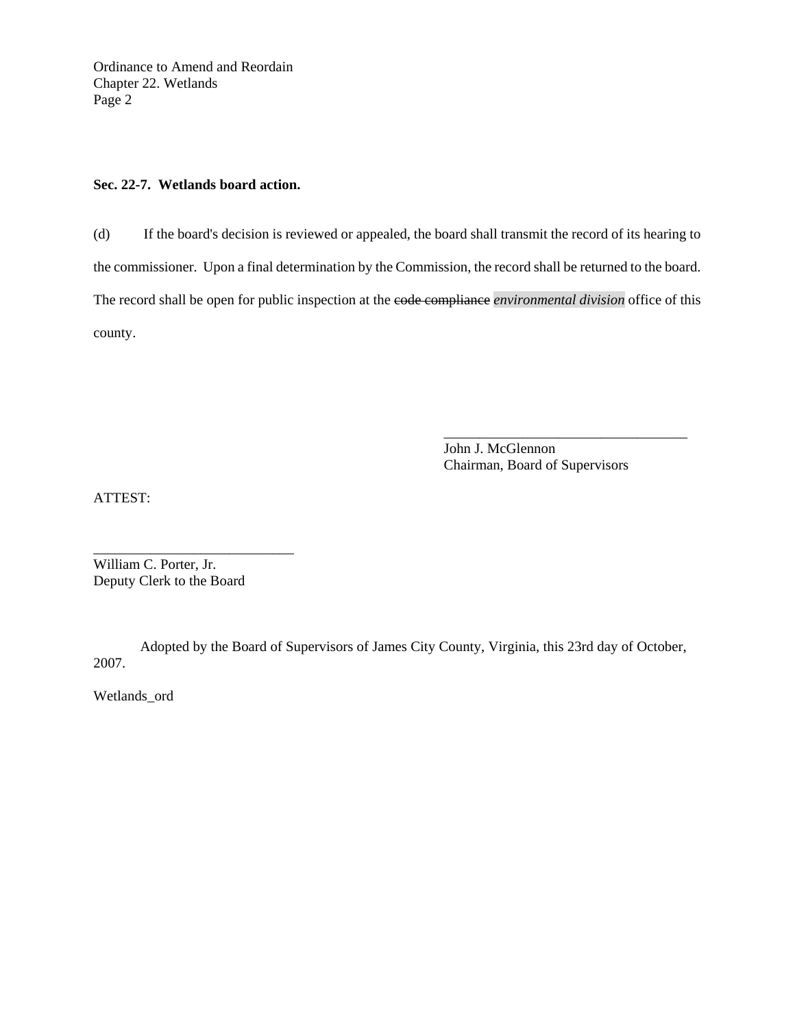Ordinance to Amend and Reordain Chapter 22. Wetlands Page 2

#### **Sec. 22-7. Wetlands board action.**

(d) If the board's decision is reviewed or appealed, the board shall transmit the record of its hearing to the commissioner. Upon a final determination by the Commission, the record shall be returned to the board. The record shall be open for public inspection at the code compliance *environmental division* office of this county.

 $\overline{\phantom{a}}$  , and the contract of the contract of the contract of the contract of the contract of the contract of the contract of the contract of the contract of the contract of the contract of the contract of the contrac

 John J. McGlennon Chairman, Board of Supervisors

ATTEST:

\_\_\_\_\_\_\_\_\_\_\_\_\_\_\_\_\_\_\_\_\_\_\_\_\_\_\_\_ William C. Porter, Jr. Deputy Clerk to the Board

Adopted by the Board of Supervisors of James City County, Virginia, this 23rd day of October, 2007.

Wetlands\_ord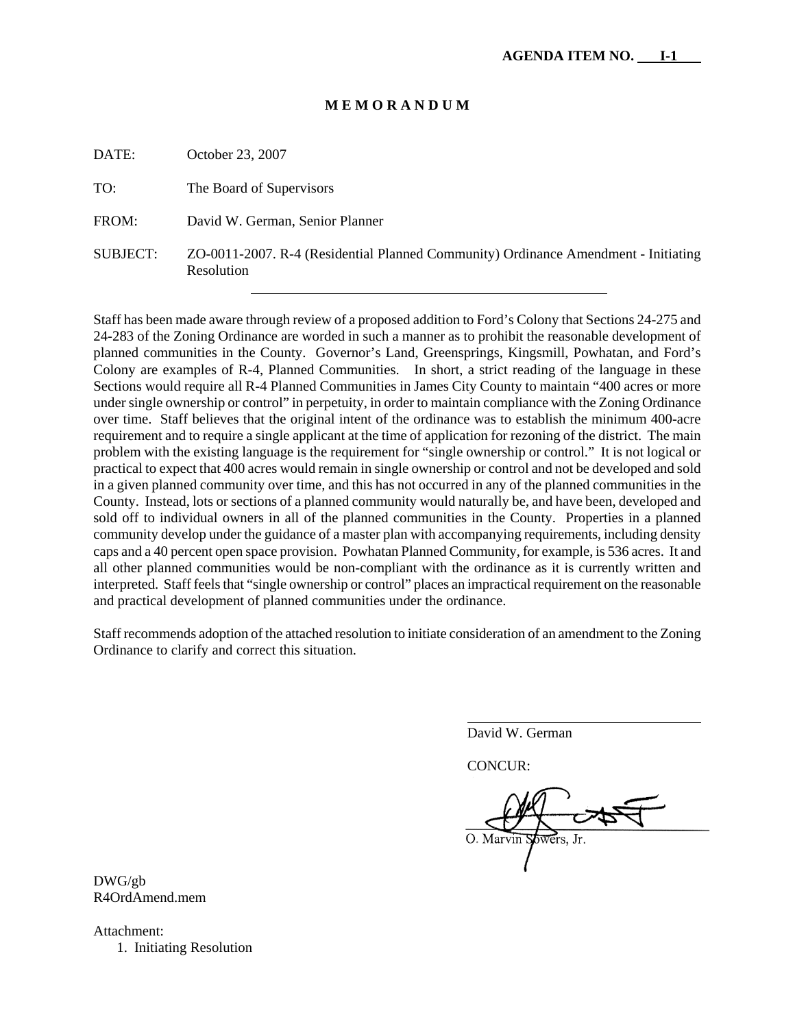#### **M E M O R A N D U M**

DATE: October 23, 2007

| TO:      | The Board of Supervisors                                                                         |
|----------|--------------------------------------------------------------------------------------------------|
| FROM:    | David W. German, Senior Planner                                                                  |
| SUBJECT: | ZO-0011-2007. R-4 (Residential Planned Community) Ordinance Amendment - Initiating<br>Resolution |

Staff has been made aware through review of a proposed addition to Ford's Colony that Sections 24-275 and 24-283 of the Zoning Ordinance are worded in such a manner as to prohibit the reasonable development of planned communities in the County. Governor's Land, Greensprings, Kingsmill, Powhatan, and Ford's Colony are examples of R-4, Planned Communities. In short, a strict reading of the language in these Sections would require all R-4 Planned Communities in James City County to maintain "400 acres or more under single ownership or control" in perpetuity, in order to maintain compliance with the Zoning Ordinance over time. Staff believes that the original intent of the ordinance was to establish the minimum 400-acre requirement and to require a single applicant at the time of application for rezoning of the district. The main problem with the existing language is the requirement for "single ownership or control." It is not logical or practical to expect that 400 acres would remain in single ownership or control and not be developed and sold in a given planned community over time, and this has not occurred in any of the planned communities in the County. Instead, lots or sections of a planned community would naturally be, and have been, developed and sold off to individual owners in all of the planned communities in the County. Properties in a planned community develop under the guidance of a master plan with accompanying requirements, including density caps and a 40 percent open space provision. Powhatan Planned Community, for example, is 536 acres. It and all other planned communities would be non-compliant with the ordinance as it is currently written and interpreted. Staff feels that "single ownership or control" places an impractical requirement on the reasonable and practical development of planned communities under the ordinance.

Staff recommends adoption of the attached resolution to initiate consideration of an amendment to the Zoning Ordinance to clarify and correct this situation.

David W. German

CONCUR:

 $\overline{a}$ 

DWG/gb R4OrdAmend.mem

Attachment: 1. Initiating Resolution